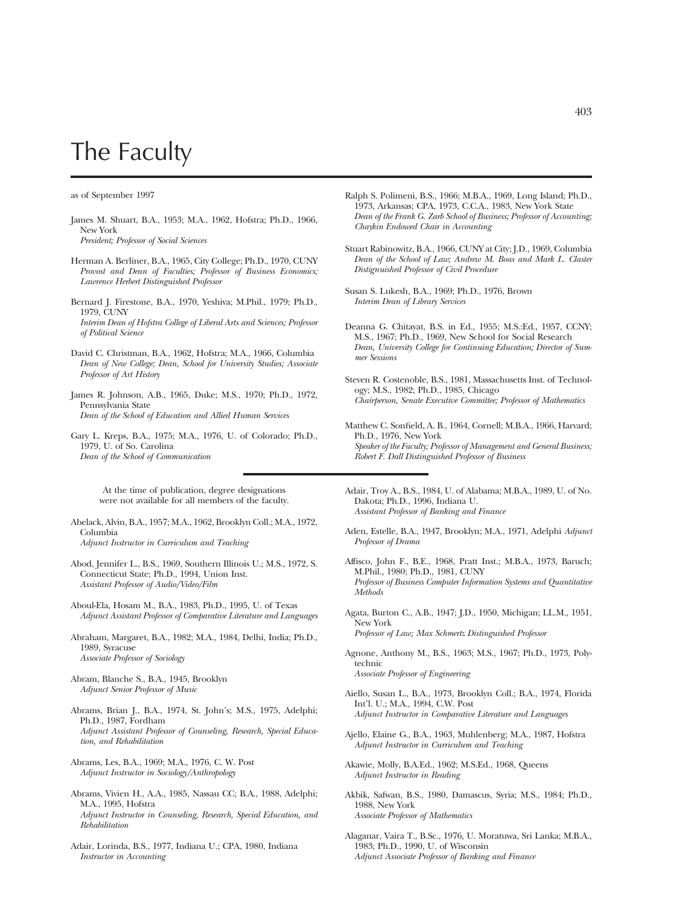## The Faculty

as of September 1997

James M. Shuart, B.A., 1953; M.A., 1962, Hofstra; Ph.D., 1966, New York

*President; Professor of Social Sciences*

- Herman A. Berliner, B.A., 1965, City College; Ph.D., 1970, CUNY *Provost and Dean of Faculties; Professor of Business Economics; Lawrence Herbert Distinguished Professor*
- Bernard J. Firestone, B.A., 1970, Yeshiva; M.Phil., 1979; Ph.D., 1979, CUNY *Interim Dean of Hofstra College of Liberal Arts and Sciences; Professor of Political Science*
- David C. Christman, B.A., 1962, Hofstra; M.A., 1966, Columbia *Dean of New College; Dean, School for University Studies; Associate Professor of Art History*
- James R. Johnson, A.B., 1965, Duke; M.S., 1970; Ph.D., 1972, Pennsylvania State *Dean of the School of Education and Allied Human Services*
- Gary L. Kreps, B.A., 1975; M.A., 1976, U. of Colorado; Ph.D., 1979, U. of So. Carolina *Dean of the School of Communication*

At the time of publication, degree designations were not available for all members of the faculty.

Abelack, Alvin, B.A., 1957; M.A., 1962, Brooklyn Coll.; M.A., 1972, Columbia

*Adjunct Instructor in Curriculum and Teaching*

- Abod, Jennifer L., B.S., 1969, Southern Illinois U.; M.S., 1972, S. Connecticut State; Ph.D., 1994, Union Inst. *Assistant Professor of Audio/Video/Film*
- Aboul-Ela, Hosam M., B.A., 1983, Ph.D., 1995, U. of Texas *Adjunct Assistant Professor of Comparative Literature and Languages*
- Abraham, Margaret, B.A., 1982; M.A., 1984, Delhi, India; Ph.D., 1989, Syracuse *Associate Professor of Sociology*
- Abram, Blanche S., B.A., 1945, Brooklyn *Adjunct Senior Professor of Music*
- Abrams, Brian J., B.A., 1974, St. John's; M.S., 1975, Adelphi; Ph.D., 1987, Fordham *Adjunct Assistant Professor of Counseling, Research, Special Education, and Rehabilitation*
- Abrams, Les, B.A., 1969; M.A., 1976, C. W. Post *Adjunct Instructor in Sociology/Anthropology*
- Abrams, Vivien H., A.A., 1985, Nassau CC; B.A., 1988, Adelphi; M.A., 1995, Hofstra *Adjunct Instructor in Counseling, Research, Special Education, and Rehabilitation*
- Adair, Lorinda, B.S., 1977, Indiana U.; CPA, 1980, Indiana *Instructor in Accounting*
- Ralph S. Polimeni, B.S., 1966; M.B.A., 1969, Long Island; Ph.D., 1973, Arkansas; CPA, 1973, C.C.A., 1983, New York State *Dean of the Frank G. Zarb School of Business; Professor of Accounting; Chaykin Endowed Chair in Accounting*
- Stuart Rabinowitz, B.A., 1966, CUNY at City; J.D., 1969, Columbia *Dean of the School of Law; Andrew M. Boas and Mark L. Claster Distignuished Professor of Civil Procedure*
- Susan S. Lukesh, B.A., 1969; Ph.D., 1976, Brown *Interim Dean of Library Services*
- Deanna G. Chitayat, B.S. in Ed., 1955; M.S.:Ed., 1957, CCNY; M.S., 1967; Ph.D., 1969, New School for Social Research *Dean, University College for Continuing Education; Director of Summer Sessions*
- Steven R. Costenoble, B.S., 1981, Massachusetts Inst. of Technology; M.S., 1982; Ph.D., 1985, Chicago *Chairperson, Senate Executive Committee; Professor of Mathematics*
- Matthew C. Sonfield, A. B., 1964, Cornell; M.B.A., 1966, Harvard; Ph.D., 1976, New York *Speaker of the Faculty; Professor of Management and General Business; Robert F. Dall Distinguished Professor of Business*

Adair, Troy A., B.S., 1984, U. of Alabama; M.B.A., 1989, U. of No. Dakota; Ph.D., 1996, Indiana U. *Assistant Professor of Banking and Finance*

- Aden, Estelle, B.A., 1947, Brooklyn; M.A., 1971, Adelphi *Adjunct Professor of Drama*
- Affisco, John F., B.E., 1968, Pratt Inst.; M.B.A., 1973, Baruch; M.Phil., 1980; Ph.D., 1981, CUNY *Professor of Business Computer Information Systems and Quantitative Methods*
- Agata, Burton C., A.B., 1947; J.D., 1950, Michigan; LL.M., 1951, New York *Professor of Law; Max Schmertz Distinguished Professor*
- Agnone, Anthony M., B.S., 1963; M.S., 1967; Ph.D., 1973, Polytechnic *Associate Professor of Engineering*
- Aiello, Susan L., B.A., 1973, Brooklyn Coll.; B.A., 1974, Florida Int'l. U.; M.A., 1994, C.W. Post *Adjunct Instructor in Comparative Literature and Languages*
- Ajello, Elaine G., B.A., 1963, Muhlenberg; M.A., 1987, Hofstra *Adjunct Instructor in Curriculum and Teaching*
- Akawie, Molly, B.A.Ed., 1962; M.S.Ed., 1968, Queens *Adjunct Instructor in Reading*
- Akbik, Safwan, B.S., 1980, Damascus, Syria; M.S., 1984; Ph.D., 1988, New York *Associate Professor of Mathematics*
- Alaganar, Vaira T., B.Sc., 1976, U. Moratuwa, Sri Lanka; M.B.A., 1983; Ph.D., 1990, U. of Wisconsin *Adjunct Associate Professor of Banking and Finance*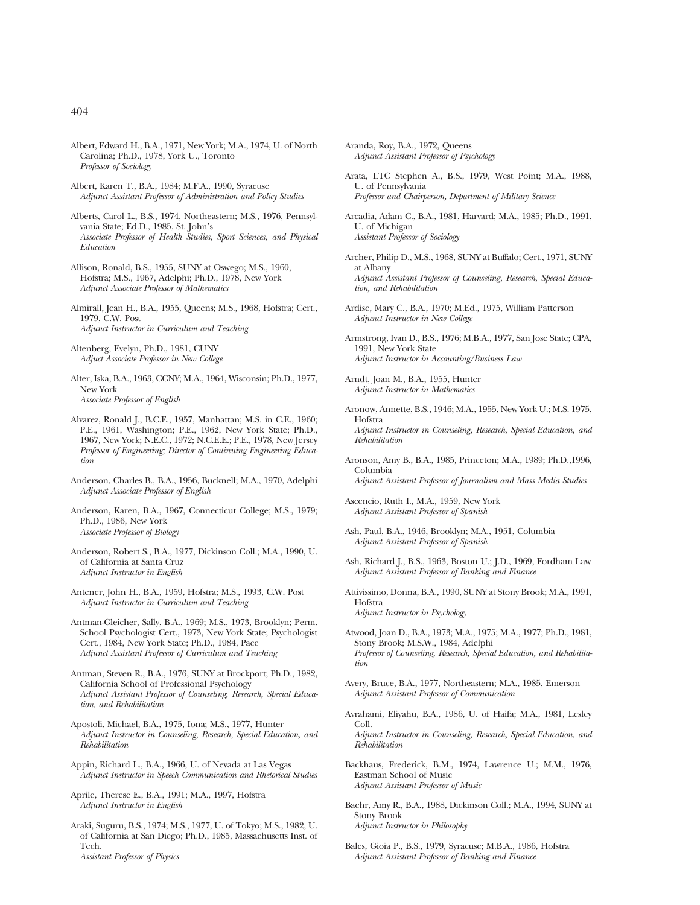- Albert, Edward H., B.A., 1971, New York; M.A., 1974, U. of North Carolina; Ph.D., 1978, York U., Toronto *Professor of Sociology*
- Albert, Karen T., B.A., 1984; M.F.A., 1990, Syracuse *Adjunct Assistant Professor of Administration and Policy Studies*
- Alberts, Carol L., B.S., 1974, Northeastern; M.S., 1976, Pennsylvania State; Ed.D., 1985, St. John's *Associate Professor of Health Studies, Sport Sciences, and Physical Education*
- Allison, Ronald, B.S., 1955, SUNY at Oswego; M.S., 1960, Hofstra; M.S., 1967, Adelphi; Ph.D., 1978, New York *Adjunct Associate Professor of Mathematics*
- Almirall, Jean H., B.A., 1955, Queens; M.S., 1968, Hofstra; Cert., 1979, C.W. Post *Adjunct Instructor in Curriculum and Teaching*
- Altenberg, Evelyn, Ph.D., 1981, CUNY *Adjuct Associate Professor in New College*
- Alter, Iska, B.A., 1963, CCNY; M.A., 1964, Wisconsin; Ph.D., 1977, New York *Associate Professor of English*
- Alvarez, Ronald J., B.C.E., 1957, Manhattan; M.S. in C.E., 1960; P.E., 1961, Washington; P.E., 1962, New York State; Ph.D., 1967, New York; N.E.C., 1972; N.C.E.E.; P.E., 1978, New Jersey *Professor of Engineering; Director of Continuing Engineering Education*
- Anderson, Charles B., B.A., 1956, Bucknell; M.A., 1970, Adelphi *Adjunct Associate Professor of English*
- Anderson, Karen, B.A., 1967, Connecticut College; M.S., 1979; Ph.D., 1986, New York *Associate Professor of Biology*
- Anderson, Robert S., B.A., 1977, Dickinson Coll.; M.A., 1990, U. of California at Santa Cruz *Adjunct Instructor in English*
- Antener, John H., B.A., 1959, Hofstra; M.S., 1993, C.W. Post *Adjunct Instructor in Curriculum and Teaching*
- Antman-Gleicher, Sally, B.A., 1969; M.S., 1973, Brooklyn; Perm. School Psychologist Cert., 1973, New York State; Psychologist Cert., 1984, New York State; Ph.D., 1984, Pace *Adjunct Assistant Professor of Curriculum and Teaching*
- Antman, Steven R., B.A., 1976, SUNY at Brockport; Ph.D., 1982, California School of Professional Psychology *Adjunct Assistant Professor of Counseling, Research, Special Education, and Rehabilitation*
- Apostoli, Michael, B.A., 1975, Iona; M.S., 1977, Hunter *Adjunct Instructor in Counseling, Research, Special Education, and Rehabilitation*
- Appin, Richard L., B.A., 1966, U. of Nevada at Las Vegas *Adjunct Instructor in Speech Communication and Rhetorical Studies*
- Aprile, Therese E., B.A., 1991; M.A., 1997, Hofstra *Adjunct Instructor in English*
- Araki, Suguru, B.S., 1974; M.S., 1977, U. of Tokyo; M.S., 1982, U. of California at San Diego; Ph.D., 1985, Massachusetts Inst. of Tech. *Assistant Professor of Physics*
- Aranda, Roy, B.A., 1972, Queens *Adjunct Assistant Professor of Psychology*
- Arata, LTC Stephen A., B.S., 1979, West Point; M.A., 1988, U. of Pennsylvania *Professor and Chairperson, Department of Military Science*
- Arcadia, Adam C., B.A., 1981, Harvard; M.A., 1985; Ph.D., 1991, U. of Michigan *Assistant Professor of Sociology*
- Archer, Philip D., M.S., 1968, SUNY at Buffalo; Cert., 1971, SUNY at Albany *Adjunct Assistant Professor of Counseling, Research, Special Education, and Rehabilitation*
- Ardise, Mary C., B.A., 1970; M.Ed., 1975, William Patterson *Adjunct Instructor in New College*
- Armstrong, Ivan D., B.S., 1976; M.B.A., 1977, San Jose State; CPA, 1991, New York State *Adjunct Instructor in Accounting/Business Law*
- Arndt, Joan M., B.A., 1955, Hunter *Adjunct Instructor in Mathematics*
- Aronow, Annette, B.S., 1946; M.A., 1955, New York U.; M.S. 1975, Hofstra *Adjunct Instructor in Counseling, Research, Special Education, and Rehabilitation*
- Aronson, Amy B., B.A., 1985, Princeton; M.A., 1989; Ph.D.,1996, Columbia
	- *Adjunct Assistant Professor of Journalism and Mass Media Studies*
- Ascencio, Ruth I., M.A., 1959, New York *Adjunct Assistant Professor of Spanish*
- Ash, Paul, B.A., 1946, Brooklyn; M.A., 1951, Columbia *Adjunct Assistant Professor of Spanish*
- Ash, Richard J., B.S., 1963, Boston U.; J.D., 1969, Fordham Law *Adjunct Assistant Professor of Banking and Finance*
- Attivissimo, Donna, B.A., 1990, SUNY at Stony Brook; M.A., 1991, Hofstra *Adjunct Instructor in Psychology*
- Atwood, Joan D., B.A., 1973; M.A., 1975; M.A., 1977; Ph.D., 1981, Stony Brook; M.S.W., 1984, Adelphi *Professor of Counseling, Research, Special Education, and Rehabilitation*
- Avery, Bruce, B.A., 1977, Northeastern; M.A., 1985, Emerson *Adjunct Assistant Professor of Communication*
- Avrahami, Eliyahu, B.A., 1986, U. of Haifa; M.A., 1981, Lesley Coll.
- *Adjunct Instructor in Counseling, Research, Special Education, and Rehabilitation*
- Backhaus, Frederick, B.M., 1974, Lawrence U.; M.M., 1976, Eastman School of Music *Adjunct Assistant Professor of Music*
- Baehr, Amy R., B.A., 1988, Dickinson Coll.; M.A., 1994, SUNY at Stony Brook *Adjunct Instructor in Philosophy*
- Bales, Gioia P., B.S., 1979, Syracuse; M.B.A., 1986, Hofstra *Adjunct Assistant Professor of Banking and Finance*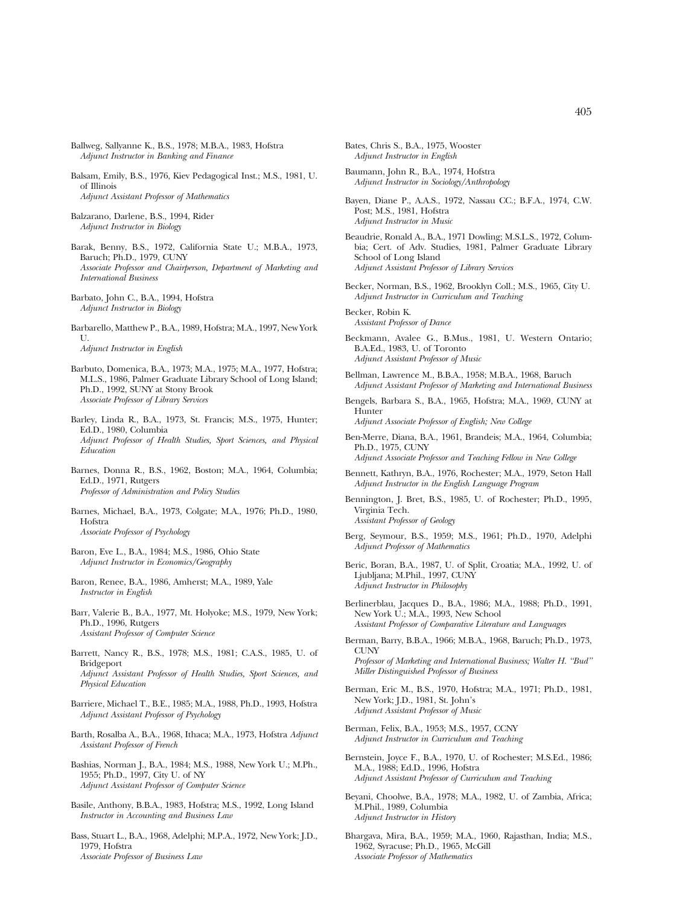Ballweg, Sallyanne K., B.S., 1978; M.B.A., 1983, Hofstra *Adjunct Instructor in Banking and Finance*

Balsam, Emily, B.S., 1976, Kiev Pedagogical Inst.; M.S., 1981, U. of Illinois *Adjunct Assistant Professor of Mathematics*

Balzarano, Darlene, B.S., 1994, Rider *Adjunct Instructor in Biology*

- Barak, Benny, B.S., 1972, California State U.; M.B.A., 1973, Baruch; Ph.D., 1979, CUNY *Associate Professor and Chairperson, Department of Marketing and International Business*
- Barbato, John C., B.A., 1994, Hofstra *Adjunct Instructor in Biology*
- Barbarello, Matthew P., B.A., 1989, Hofstra; M.A., 1997, New York U. *Adjunct Instructor in English*
- Barbuto, Domenica, B.A., 1973; M.A., 1975; M.A., 1977, Hofstra; M.L.S., 1986, Palmer Graduate Library School of Long Island; Ph.D., 1992, SUNY at Stony Brook *Associate Professor of Library Services*
- Barley, Linda R., B.A., 1973, St. Francis; M.S., 1975, Hunter; Ed.D., 1980, Columbia *Adjunct Professor of Health Studies, Sport Sciences, and Physical Education*
- Barnes, Donna R., B.S., 1962, Boston; M.A., 1964, Columbia; Ed.D., 1971, Rutgers *Professor of Administration and Policy Studies*
- Barnes, Michael, B.A., 1973, Colgate; M.A., 1976; Ph.D., 1980, Hofstra *Associate Professor of Psychology*
- Baron, Eve L., B.A., 1984; M.S., 1986, Ohio State *Adjunct Instructor in Economics/Geography*
- Baron, Renee, B.A., 1986, Amherst; M.A., 1989, Yale *Instructor in English*
- Barr, Valerie B., B.A., 1977, Mt. Holyoke; M.S., 1979, New York; Ph.D., 1996, Rutgers *Assistant Professor of Computer Science*
- Barrett, Nancy R., B.S., 1978; M.S., 1981; C.A.S., 1985, U. of Bridgeport *Adjunct Assistant Professor of Health Studies, Sport Sciences, and Physical Education*
- Barriere, Michael T., B.E., 1985; M.A., 1988, Ph.D., 1993, Hofstra *Adjunct Assistant Professor of Psychology*
- Barth, Rosalba A., B.A., 1968, Ithaca; M.A., 1973, Hofstra *Adjunct Assistant Professor of French*
- Bashias, Norman J., B.A., 1984; M.S., 1988, New York U.; M.Ph., 1955; Ph.D., 1997, City U. of NY *Adjunct Assistant Professor of Computer Science*
- Basile, Anthony, B.B.A., 1983, Hofstra; M.S., 1992, Long Island *Instructor in Accounting and Business Law*
- Bass, Stuart L., B.A., 1968, Adelphi; M.P.A., 1972, New York; J.D., 1979, Hofstra *Associate Professor of Business Law*
- Bates, Chris S., B.A., 1975, Wooster *Adjunct Instructor in English*
- Baumann, John R., B.A., 1974, Hofstra *Adjunct Instructor in Sociology/Anthropology*
- Bayen, Diane P., A.A.S., 1972, Nassau CC.; B.F.A., 1974, C.W. Post; M.S., 1981, Hofstra *Adjunct Instructor in Music*
- Beaudrie, Ronald A., B.A., 1971 Dowling; M.S.L.S., 1972, Columbia; Cert. of Adv. Studies, 1981, Palmer Graduate Library School of Long Island *Adjunct Assistant Professor of Library Services*
- Becker, Norman, B.S., 1962, Brooklyn Coll.; M.S., 1965, City U. *Adjunct Instructor in Curriculum and Teaching*

Becker, Robin K. *Assistant Professor of Dance*

- Beckmann, Avalee G., B.Mus., 1981, U. Western Ontario; B.A.Ed., 1983, U. of Toronto *Adjunct Assistant Professor of Music*
- Bellman, Lawrence M., B.B.A., 1958; M.B.A., 1968, Baruch *Adjunct Assistant Professor of Marketing and International Business*
- Bengels, Barbara S., B.A., 1965, Hofstra; M.A., 1969, CUNY at Hunter

*Adjunct Associate Professor of English; New College*

Ben-Merre, Diana, B.A., 1961, Brandeis; M.A., 1964, Columbia; Ph.D., 1975, CUNY

*Adjunct Associate Professor and Teaching Fellow in New College*

- Bennett, Kathryn, B.A., 1976, Rochester; M.A., 1979, Seton Hall *Adjunct Instructor in the English Language Program*
- Bennington, J. Bret, B.S., 1985, U. of Rochester; Ph.D., 1995, Virginia Tech. *Assistant Professor of Geology*
- Berg, Seymour, B.S., 1959; M.S., 1961; Ph.D., 1970, Adelphi *Adjunct Professor of Mathematics*
- Beric, Boran, B.A., 1987, U. of Split, Croatia; M.A., 1992, U. of Ljubljana; M.Phil., 1997, CUNY *Adjunct Instructor in Philosophy*
- Berlinerblau, Jacques D., B.A., 1986; M.A., 1988; Ph.D., 1991, New York U.; M.A., 1993, New School *Assistant Professor of Comparative Literature and Languages*
- Berman, Barry, B.B.A., 1966; M.B.A., 1968, Baruch; Ph.D., 1973, CUNY *Professor of Marketing and International Business; Walter H. ''Bud''*
- *Miller Distinguished Professor of Business* Berman, Eric M., B.S., 1970, Hofstra; M.A., 1971; Ph.D., 1981,
- New York; J.D., 1981, St. John's *Adjunct Assistant Professor of Music*
- Berman, Felix, B.A., 1953; M.S., 1957, CCNY *Adjunct Instructor in Curriculum and Teaching*
- Bernstein, Joyce F., B.A., 1970, U. of Rochester; M.S.Ed., 1986; M.A., 1988; Ed.D., 1996, Hofstra *Adjunct Assistant Professor of Curriculum and Teaching*
- Beyani, Choolwe, B.A., 1978; M.A., 1982, U. of Zambia, Africa; M.Phil., 1989, Columbia *Adjunct Instructor in History*
- Bhargava, Mira, B.A., 1959; M.A., 1960, Rajasthan, India; M.S., 1962, Syracuse; Ph.D., 1965, McGill *Associate Professor of Mathematics*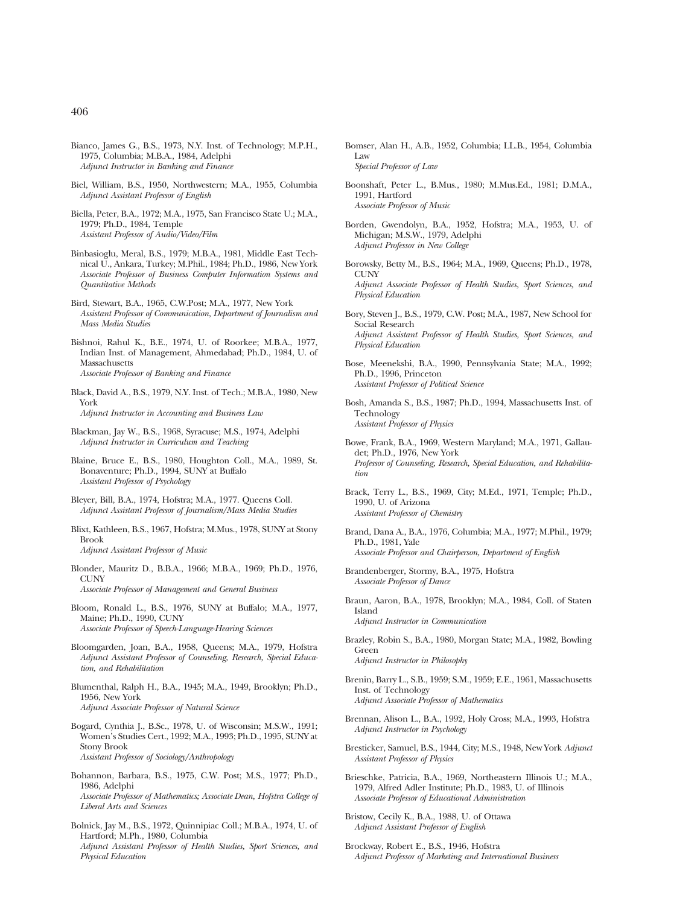- Bianco, James G., B.S., 1973, N.Y. Inst. of Technology; M.P.H., 1975, Columbia; M.B.A., 1984, Adelphi *Adjunct Instructor in Banking and Finance*
- Biel, William, B.S., 1950, Northwestern; M.A., 1955, Columbia *Adjunct Assistant Professor of English*
- Biella, Peter, B.A., 1972; M.A., 1975, San Francisco State U.; M.A., 1979; Ph.D., 1984, Temple *Assistant Professor of Audio/Video/Film*
- Binbasioglu, Meral, B.S., 1979; M.B.A., 1981, Middle East Technical U., Ankara, Turkey; M.Phil., 1984; Ph.D., 1986, New York *Associate Professor of Business Computer Information Systems and Quantitative Methods*
- Bird, Stewart, B.A., 1965, C.W.Post; M.A., 1977, New York *Assistant Professor of Communication, Department of Journalism and Mass Media Studies*
- Bishnoi, Rahul K., B.E., 1974, U. of Roorkee; M.B.A., 1977, Indian Inst. of Management, Ahmedabad; Ph.D., 1984, U. of Massachusetts *Associate Professor of Banking and Finance*
- Black, David A., B.S., 1979, N.Y. Inst. of Tech.; M.B.A., 1980, New York

*Adjunct Instructor in Accounting and Business Law*

- Blackman, Jay W., B.S., 1968, Syracuse; M.S., 1974, Adelphi *Adjunct Instructor in Curriculum and Teaching*
- Blaine, Bruce E., B.S., 1980, Houghton Coll., M.A., 1989, St. Bonaventure; Ph.D., 1994, SUNY at Buffalo *Assistant Professor of Psychology*
- Bleyer, Bill, B.A., 1974, Hofstra; M.A., 1977. Queens Coll. *Adjunct Assistant Professor of Journalism/Mass Media Studies*
- Blixt, Kathleen, B.S., 1967, Hofstra; M.Mus., 1978, SUNY at Stony Brook *Adjunct Assistant Professor of Music*
- Blonder, Mauritz D., B.B.A., 1966; M.B.A., 1969; Ph.D., 1976, **CUNY** *Associate Professor of Management and General Business*
- 
- Bloom, Ronald L., B.S., 1976, SUNY at Buffalo; M.A., 1977, Maine; Ph.D., 1990, CUNY *Associate Professor of Speech-Language-Hearing Sciences*
- Bloomgarden, Joan, B.A., 1958, Queens; M.A., 1979, Hofstra *Adjunct Assistant Professor of Counseling, Research, Special Education, and Rehabilitation*
- Blumenthal, Ralph H., B.A., 1945; M.A., 1949, Brooklyn; Ph.D., 1956, New York *Adjunct Associate Professor of Natural Science*
- Bogard, Cynthia J., B.Sc., 1978, U. of Wisconsin; M.S.W., 1991; Women's Studies Cert., 1992; M.A., 1993; Ph.D., 1995, SUNY at Stony Brook *Assistant Professor of Sociology/Anthropology*
- Bohannon, Barbara, B.S., 1975, C.W. Post; M.S., 1977; Ph.D., 1986, Adelphi *Associate Professor of Mathematics; Associate Dean, Hofstra College of Liberal Arts and Sciences*
- Bolnick, Jay M., B.S., 1972, Quinnipiac Coll.; M.B.A., 1974, U. of Hartford; M.Ph., 1980, Columbia *Adjunct Assistant Professor of Health Studies, Sport Sciences, and Physical Education*
- Bomser, Alan H., A.B., 1952, Columbia; LL.B., 1954, Columbia Law *Special Professor of Law*
- Boonshaft, Peter L., B.Mus., 1980; M.Mus.Ed., 1981; D.M.A., 1991, Hartford *Associate Professor of Music*
- Borden, Gwendolyn, B.A., 1952, Hofstra; M.A., 1953, U. of Michigan; M.S.W., 1979, Adelphi *Adjunct Professor in New College*
- Borowsky, Betty M., B.S., 1964; M.A., 1969, Queens; Ph.D., 1978, **CUNY** *Adjunct Associate Professor of Health Studies, Sport Sciences, and*
- *Physical Education*
- Bory, Steven J., B.S., 1979, C.W. Post; M.A., 1987, New School for Social Research *Adjunct Assistant Professor of Health Studies, Sport Sciences, and Physical Education*
- Bose, Meenekshi, B.A., 1990, Pennsylvania State; M.A., 1992; Ph.D., 1996, Princeton *Assistant Professor of Political Science*
- Bosh, Amanda S., B.S., 1987; Ph.D., 1994, Massachusetts Inst. of **Technology**

*Assistant Professor of Physics*

- Bowe, Frank, B.A., 1969, Western Maryland; M.A., 1971, Gallaudet; Ph.D., 1976, New York *Professor of Counseling, Research, Special Education, and Rehabilitation*
- Brack, Terry L., B.S., 1969, City; M.Ed., 1971, Temple; Ph.D., 1990, U. of Arizona *Assistant Professor of Chemistry*
- Brand, Dana A., B.A., 1976, Columbia; M.A., 1977; M.Phil., 1979; Ph.D., 1981, Yale *Associate Professor and Chairperson, Department of English*
- Brandenberger, Stormy, B.A., 1975, Hofstra *Associate Professor of Dance*
- Braun, Aaron, B.A., 1978, Brooklyn; M.A., 1984, Coll. of Staten Island *Adjunct Instructor in Communication*
- Brazley, Robin S., B.A., 1980, Morgan State; M.A., 1982, Bowling Green *Adjunct Instructor in Philosophy*
- Brenin, Barry L., S.B., 1959; S.M., 1959; E.E., 1961, Massachusetts Inst. of Technology *Adjunct Associate Professor of Mathematics*
- Brennan, Alison L., B.A., 1992, Holy Cross; M.A., 1993, Hofstra *Adjunct Instructor in Psychology*
- Bresticker, Samuel, B.S., 1944, City; M.S., 1948, New York *Adjunct Assistant Professor of Physics*
- Brieschke, Patricia, B.A., 1969, Northeastern Illinois U.; M.A., 1979, Alfred Adler Institute; Ph.D., 1983, U. of Illinois *Associate Professor of Educational Administration*
- Bristow, Cecily K., B.A., 1988, U. of Ottawa *Adjunct Assistant Professor of English*
- Brockway, Robert E., B.S., 1946, Hofstra *Adjunct Professor of Marketing and International Business*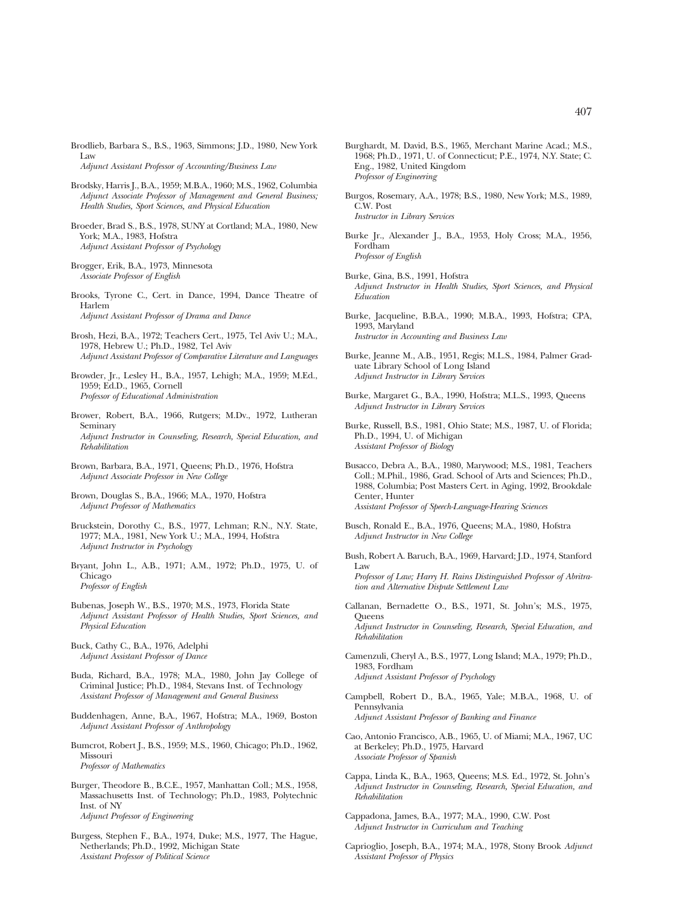Brodlieb, Barbara S., B.S., 1963, Simmons; J.D., 1980, New York Law

*Adjunct Assistant Professor of Accounting/Business Law*

- Brodsky, Harris J., B.A., 1959; M.B.A., 1960; M.S., 1962, Columbia *Adjunct Associate Professor of Management and General Business; Health Studies, Sport Sciences, and Physical Education*
- Broeder, Brad S., B.S., 1978, SUNY at Cortland; M.A., 1980, New York; M.A., 1983, Hofstra *Adjunct Assistant Professor of Psychology*
- Brogger, Erik, B.A., 1973, Minnesota *Associate Professor of English*
- Brooks, Tyrone C., Cert. in Dance, 1994, Dance Theatre of Harlem *Adjunct Assistant Professor of Drama and Dance*
- Brosh, Hezi, B.A., 1972; Teachers Cert., 1975, Tel Aviv U.; M.A., 1978, Hebrew U.; Ph.D., 1982, Tel Aviv *Adjunct Assistant Professor of Comparative Literature and Languages*
- Browder, Jr., Lesley H., B.A., 1957, Lehigh; M.A., 1959; M.Ed., 1959; Ed.D., 1965, Cornell *Professor of Educational Administration*
- Brower, Robert, B.A., 1966, Rutgers; M.Dv., 1972, Lutheran Seminary *Adjunct Instructor in Counseling, Research, Special Education, and Rehabilitation*
- Brown, Barbara, B.A., 1971, Queens; Ph.D., 1976, Hofstra *Adjunct Associate Professor in New College*
- Brown, Douglas S., B.A., 1966; M.A., 1970, Hofstra *Adjunct Professor of Mathematics*
- Bruckstein, Dorothy C., B.S., 1977, Lehman; R.N., N.Y. State, 1977; M.A., 1981, New York U.; M.A., 1994, Hofstra *Adjunct Instructor in Psychology*
- Bryant, John L., A.B., 1971; A.M., 1972; Ph.D., 1975, U. of Chicago *Professor of English*
- Bubenas, Joseph W., B.S., 1970; M.S., 1973, Florida State *Adjunct Assistant Professor of Health Studies, Sport Sciences, and Physical Education*
- Buck, Cathy C., B.A., 1976, Adelphi *Adjunct Assistant Professor of Dance*
- Buda, Richard, B.A., 1978; M.A., 1980, John Jay College of Criminal Justice; Ph.D., 1984, Stevans Inst. of Technology *Assistant Professor of Management and General Business*
- Buddenhagen, Anne, B.A., 1967, Hofstra; M.A., 1969, Boston *Adjunct Assistant Professor of Anthropology*
- Bumcrot, Robert J., B.S., 1959; M.S., 1960, Chicago; Ph.D., 1962, Missouri *Professor of Mathematics*
- Burger, Theodore B., B.C.E., 1957, Manhattan Coll.; M.S., 1958, Massachusetts Inst. of Technology; Ph.D., 1983, Polytechnic Inst. of NY *Adjunct Professor of Engineering*
- Burgess, Stephen F., B.A., 1974, Duke; M.S., 1977, The Hague, Netherlands; Ph.D., 1992, Michigan State *Assistant Professor of Political Science*
- Burghardt, M. David, B.S., 1965, Merchant Marine Acad.; M.S., 1968; Ph.D., 1971, U. of Connecticut; P.E., 1974, N.Y. State; C. Eng., 1982, United Kingdom *Professor of Engineering*
- Burgos, Rosemary, A.A., 1978; B.S., 1980, New York; M.S., 1989, C.W. Post *Instructor in Library Services*
- Burke Jr., Alexander J., B.A., 1953, Holy Cross; M.A., 1956, Fordham *Professor of English*
- Burke, Gina, B.S., 1991, Hofstra *Adjunct Instructor in Health Studies, Sport Sciences, and Physical Education*
- Burke, Jacqueline, B.B.A., 1990; M.B.A., 1993, Hofstra; CPA, 1993, Maryland *Instructor in Accounting and Business Law*
- Burke, Jeanne M., A.B., 1951, Regis; M.L.S., 1984, Palmer Graduate Library School of Long Island *Adjunct Instructor in Library Services*
- Burke, Margaret G., B.A., 1990, Hofstra; M.L.S., 1993, Queens *Adjunct Instructor in Library Services*
- Burke, Russell, B.S., 1981, Ohio State; M.S., 1987, U. of Florida; Ph.D., 1994, U. of Michigan *Assistant Professor of Biology*
- Busacco, Debra A., B.A., 1980, Marywood; M.S., 1981, Teachers Coll.; M.Phil., 1986, Grad. School of Arts and Sciences; Ph.D., 1988, Columbia; Post Masters Cert. in Aging, 1992, Brookdale Center, Hunter *Assistant Professor of Speech-Language-Hearing Sciences*
- Busch, Ronald E., B.A., 1976, Queens; M.A., 1980, Hofstra *Adjunct Instructor in New College*
- Bush, Robert A. Baruch, B.A., 1969, Harvard; J.D., 1974, Stanford Law
	- *Professor of Law; Harry H. Rains Distinguished Professor of Abritration and Alternative Dispute Settlement Law*
- Callanan, Bernadette O., B.S., 1971, St. John's; M.S., 1975, **Queens** 
	- *Adjunct Instructor in Counseling, Research, Special Education, and Rehabilitation*
- Camenzuli, Cheryl A., B.S., 1977, Long Island; M.A., 1979; Ph.D., 1983, Fordham *Adjunct Assistant Professor of Psychology*
- Campbell, Robert D., B.A., 1965, Yale; M.B.A., 1968, U. of Pennsylvania

*Adjunct Assistant Professor of Banking and Finance*

- Cao, Antonio Francisco, A.B., 1965, U. of Miami; M.A., 1967, UC at Berkeley; Ph.D., 1975, Harvard *Associate Professor of Spanish*
- Cappa, Linda K., B.A., 1963, Queens; M.S. Ed., 1972, St. John's *Adjunct Instructor in Counseling, Research, Special Education, and Rehabilitation*
- Cappadona, James, B.A., 1977; M.A., 1990, C.W. Post *Adjunct Instructor in Curriculum and Teaching*
- Caprioglio, Joseph, B.A., 1974; M.A., 1978, Stony Brook *Adjunct Assistant Professor of Physics*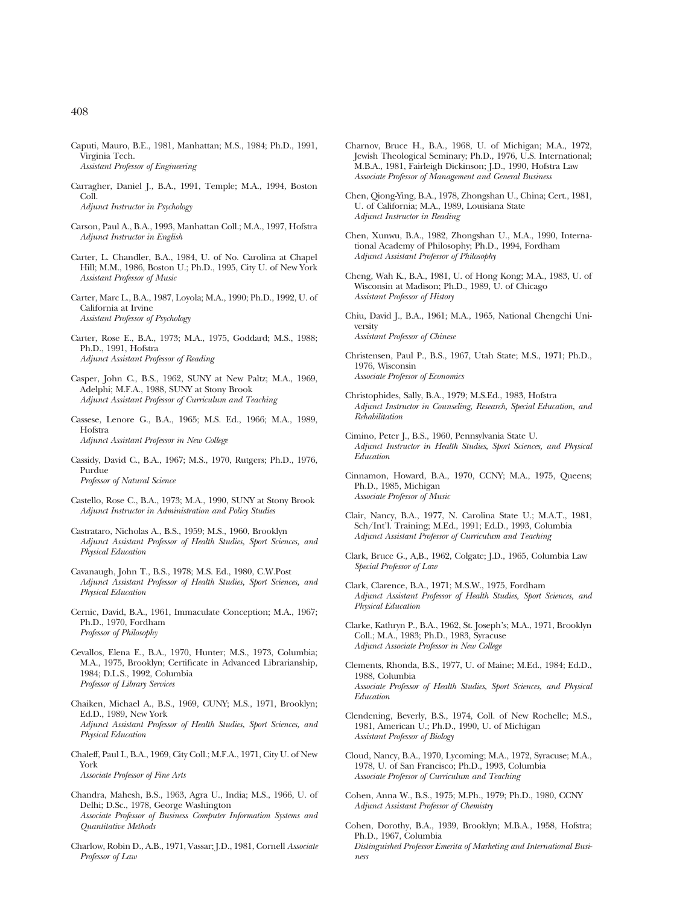- Caputi, Mauro, B.E., 1981, Manhattan; M.S., 1984; Ph.D., 1991, Virginia Tech. *Assistant Professor of Engineering*
- Carragher, Daniel J., B.A., 1991, Temple; M.A., 1994, Boston Coll. *Adjunct Instructor in Psychology*
- Carson, Paul A., B.A., 1993, Manhattan Coll.; M.A., 1997, Hofstra *Adjunct Instructor in English*
- Carter, L. Chandler, B.A., 1984, U. of No. Carolina at Chapel Hill; M.M., 1986, Boston U.; Ph.D., 1995, City U. of New York *Assistant Professor of Music*
- Carter, Marc L., B.A., 1987, Loyola; M.A., 1990; Ph.D., 1992, U. of California at Irvine *Assistant Professor of Psychology*
- Carter, Rose E., B.A., 1973; M.A., 1975, Goddard; M.S., 1988; Ph.D., 1991, Hofstra *Adjunct Assistant Professor of Reading*
- Casper, John C., B.S., 1962, SUNY at New Paltz; M.A., 1969, Adelphi; M.F.A., 1988, SUNY at Stony Brook *Adjunct Assistant Professor of Curriculum and Teaching*
- Cassese, Lenore G., B.A., 1965; M.S. Ed., 1966; M.A., 1989, Hofstra *Adjunct Assistant Professor in New College*
- Cassidy, David C., B.A., 1967; M.S., 1970, Rutgers; Ph.D., 1976, Purdue *Professor of Natural Science*
- Castello, Rose C., B.A., 1973; M.A., 1990, SUNY at Stony Brook *Adjunct Instructor in Administration and Policy Studies*
- Castrataro, Nicholas A., B.S., 1959; M.S., 1960, Brooklyn *Adjunct Assistant Professor of Health Studies, Sport Sciences, and Physical Education*
- Cavanaugh, John T., B.S., 1978; M.S. Ed., 1980, C.W.Post *Adjunct Assistant Professor of Health Studies, Sport Sciences, and Physical Education*
- Cernic, David, B.A., 1961, Immaculate Conception; M.A., 1967; Ph.D., 1970, Fordham *Professor of Philosophy*
- Cevallos, Elena E., B.A., 1970, Hunter; M.S., 1973, Columbia; M.A., 1975, Brooklyn; Certificate in Advanced Librarianship, 1984; D.L.S., 1992, Columbia *Professor of Library Services*
- Chaiken, Michael A., B.S., 1969, CUNY; M.S., 1971, Brooklyn; Ed.D., 1989, New York *Adjunct Assistant Professor of Health Studies, Sport Sciences, and Physical Education*
- Chaleff, Paul I., B.A., 1969, City Coll.; M.F.A., 1971, City U. of New York
	- *Associate Professor of Fine Arts*
- Chandra, Mahesh, B.S., 1963, Agra U., India; M.S., 1966, U. of Delhi; D.Sc., 1978, George Washington *Associate Professor of Business Computer Information Systems and Quantitative Methods*
- Charlow, Robin D., A.B., 1971, Vassar; J.D., 1981, Cornell *Associate Professor of Law*
- Charnov, Bruce H., B.A., 1968, U. of Michigan; M.A., 1972, Jewish Theological Seminary; Ph.D., 1976, U.S. International; M.B.A., 1981, Fairleigh Dickinson; J.D., 1990, Hofstra Law *Associate Professor of Management and General Business*
- Chen, Qiong-Ying, B.A., 1978, Zhongshan U., China; Cert., 1981, U. of California; M.A., 1989, Louisiana State *Adjunct Instructor in Reading*
- Chen, Xunwu, B.A., 1982, Zhongshan U., M.A., 1990, International Academy of Philosophy; Ph.D., 1994, Fordham *Adjunct Assistant Professor of Philosophy*
- Cheng, Wah K., B.A., 1981, U. of Hong Kong; M.A., 1983, U. of Wisconsin at Madison; Ph.D., 1989, U. of Chicago *Assistant Professor of History*
- Chiu, David J., B.A., 1961; M.A., 1965, National Chengchi University *Assistant Professor of Chinese*
- Christensen, Paul P., B.S., 1967, Utah State; M.S., 1971; Ph.D., 1976, Wisconsin *Associate Professor of Economics*
- Christophides, Sally, B.A., 1979; M.S.Ed., 1983, Hofstra *Adjunct Instructor in Counseling, Research, Special Education, and Rehabilitation*
- Cimino, Peter J., B.S., 1960, Pennsylvania State U. *Adjunct Instructor in Health Studies, Sport Sciences, and Physical Education*
- Cinnamon, Howard, B.A., 1970, CCNY; M.A., 1975, Queens; Ph.D., 1985, Michigan *Associate Professor of Music*
- Clair, Nancy, B.A., 1977, N. Carolina State U.; M.A.T., 1981, Sch/Int'l. Training; M.Ed., 1991; Ed.D., 1993, Columbia *Adjunct Assistant Professor of Curriculum and Teaching*
- Clark, Bruce G., A,B., 1962, Colgate; J.D., 1965, Columbia Law *Special Professor of Law*
- Clark, Clarence, B.A., 1971; M.S.W., 1975, Fordham *Adjunct Assistant Professor of Health Studies, Sport Sciences, and Physical Education*
- Clarke, Kathryn P., B.A., 1962, St. Joseph's; M.A., 1971, Brooklyn Coll.; M.A., 1983; Ph.D., 1983, Syracuse *Adjunct Associate Professor in New College*
- Clements, Rhonda, B.S., 1977, U. of Maine; M.Ed., 1984; Ed.D., 1988, Columbia *Associate Professor of Health Studies, Sport Sciences, and Physical Education*
- Clendening, Beverly, B.S., 1974, Coll. of New Rochelle; M.S., 1981, American U.; Ph.D., 1990, U. of Michigan *Assistant Professor of Biology*
- Cloud, Nancy, B.A., 1970, Lycoming; M.A., 1972, Syracuse; M.A., 1978, U. of San Francisco; Ph.D., 1993, Columbia *Associate Professor of Curriculum and Teaching*
- Cohen, Anna W., B.S., 1975; M.Ph., 1979; Ph.D., 1980, CCNY *Adjunct Assistant Professor of Chemistry*
- Cohen, Dorothy, B.A., 1939, Brooklyn; M.B.A., 1958, Hofstra; Ph.D., 1967, Columbia
	- *Distinguished Professor Emerita of Marketing and International Business*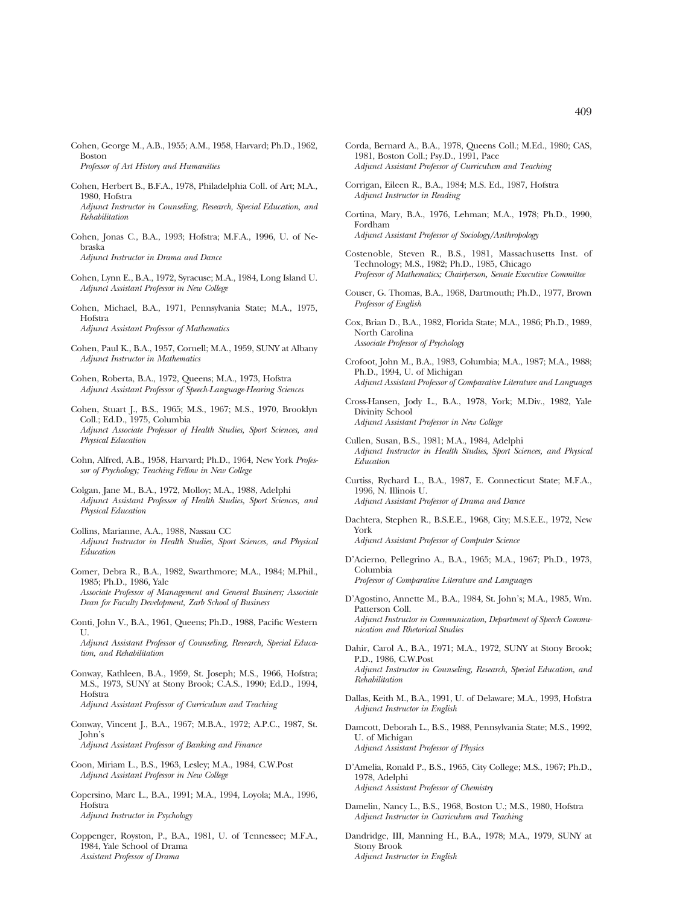- Cohen, George M., A.B., 1955; A.M., 1958, Harvard; Ph.D., 1962, Boston *Professor of Art History and Humanities*
- Cohen, Herbert B., B.F.A., 1978, Philadelphia Coll. of Art; M.A., 1980, Hofstra *Adjunct Instructor in Counseling, Research, Special Education, and*

*Rehabilitation*

- Cohen, Jonas C., B.A., 1993; Hofstra; M.F.A., 1996, U. of Nebraska *Adjunct Instructor in Drama and Dance*
- Cohen, Lynn E., B.A., 1972, Syracuse; M.A., 1984, Long Island U. *Adjunct Assistant Professor in New College*
- Cohen, Michael, B.A., 1971, Pennsylvania State; M.A., 1975, Hofstra *Adjunct Assistant Professor of Mathematics*
- Cohen, Paul K., B.A., 1957, Cornell; M.A., 1959, SUNY at Albany *Adjunct Instructor in Mathematics*
- Cohen, Roberta, B.A., 1972, Queens; M.A., 1973, Hofstra *Adjunct Assistant Professor of Speech-Language-Hearing Sciences*
- Cohen, Stuart J., B.S., 1965; M.S., 1967; M.S., 1970, Brooklyn Coll.; Ed.D., 1975, Columbia *Adjunct Associate Professor of Health Studies, Sport Sciences, and Physical Education*
- Cohn, Alfred, A.B., 1958, Harvard; Ph.D., 1964, New York *Professor of Psychology; Teaching Fellow in New College*
- Colgan, Jane M., B.A., 1972, Molloy; M.A., 1988, Adelphi *Adjunct Assistant Professor of Health Studies, Sport Sciences, and Physical Education*
- Collins, Marianne, A.A., 1988, Nassau CC *Adjunct Instructor in Health Studies, Sport Sciences, and Physical Education*
- Comer, Debra R., B.A., 1982, Swarthmore; M.A., 1984; M.Phil., 1985; Ph.D., 1986, Yale *Associate Professor of Management and General Business; Associate Dean for Faculty Development, Zarb School of Business*
- Conti, John V., B.A., 1961, Queens; Ph.D., 1988, Pacific Western U. *Adjunct Assistant Professor of Counseling, Research, Special Educa-*

*tion, and Rehabilitation*

- Conway, Kathleen, B.A., 1959, St. Joseph; M.S., 1966, Hofstra; M.S., 1973, SUNY at Stony Brook; C.A.S., 1990; Ed.D., 1994, Hofstra *Adjunct Assistant Professor of Curriculum and Teaching*
- Conway, Vincent J., B.A., 1967; M.B.A., 1972; A.P.C., 1987, St. John's *Adjunct Assistant Professor of Banking and Finance*
- Coon, Miriam L., B.S., 1963, Lesley; M.A., 1984, C.W.Post *Adjunct Assistant Professor in New College*
- Copersino, Marc L., B.A., 1991; M.A., 1994, Loyola; M.A., 1996, **H**ofstra *Adjunct Instructor in Psychology*
- Coppenger, Royston, P., B.A., 1981, U. of Tennessee; M.F.A., 1984, Yale School of Drama *Assistant Professor of Drama*
- Corda, Bernard A., B.A., 1978, Queens Coll.; M.Ed., 1980; CAS, 1981, Boston Coll.; Psy.D., 1991, Pace *Adjunct Assistant Professor of Curriculum and Teaching*
- Corrigan, Eileen R., B.A., 1984; M.S. Ed., 1987, Hofstra *Adjunct Instructor in Reading*
- Cortina, Mary, B.A., 1976, Lehman; M.A., 1978; Ph.D., 1990, Fordham

*Adjunct Assistant Professor of Sociology/Anthropology*

- Costenoble, Steven R., B.S., 1981, Massachusetts Inst. of Technology; M.S., 1982; Ph.D., 1985, Chicago *Professor of Mathematics; Chairperson, Senate Executive Committee*
- Couser, G. Thomas, B.A., 1968, Dartmouth; Ph.D., 1977, Brown *Professor of English*
- Cox, Brian D., B.A., 1982, Florida State; M.A., 1986; Ph.D., 1989, North Carolina *Associate Professor of Psychology*
- Crofoot, John M., B.A., 1983, Columbia; M.A., 1987; M.A., 1988; Ph.D., 1994, U. of Michigan *Adjunct Assistant Professor of Comparative Literature and Languages*
- Cross-Hansen, Jody L., B.A., 1978, York; M.Div., 1982, Yale Divinity School *Adjunct Assistant Professor in New College*
- Cullen, Susan, B.S., 1981; M.A., 1984, Adelphi *Adjunct Instructor in Health Studies, Sport Sciences, and Physical Education*
- Curtiss, Rychard L., B.A., 1987, E. Connecticut State; M.F.A., 1996, N. Illinois U. *Adjunct Assistant Professor of Drama and Dance*
- Dachtera, Stephen R., B.S.E.E., 1968, City; M.S.E.E., 1972, New York

*Adjunct Assistant Professor of Computer Science*

- D'Acierno, Pellegrino A., B.A., 1965; M.A., 1967; Ph.D., 1973, Columbia *Professor of Comparative Literature and Languages*
- D'Agostino, Annette M., B.A., 1984, St. John's; M.A., 1985, Wm. Patterson Coll. *Adjunct Instructor in Communication, Department of Speech Communication and Rhetorical Studies*
- Dahir, Carol A., B.A., 1971; M.A., 1972, SUNY at Stony Brook; P.D., 1986, C.W.Post *Adjunct Instructor in Counseling, Research, Special Education, and Rehabilitation*
- Dallas, Keith M., B.A., 1991, U. of Delaware; M.A., 1993, Hofstra *Adjunct Instructor in English*
- Damcott, Deborah L., B.S., 1988, Pennsylvania State; M.S., 1992, U. of Michigan *Adjunct Assistant Professor of Physics*
- D'Amelia, Ronald P., B.S., 1965, City College; M.S., 1967; Ph.D., 1978, Adelphi *Adjunct Assistant Professor of Chemistry*
- Damelin, Nancy L., B.S., 1968, Boston U.; M.S., 1980, Hofstra *Adjunct Instructor in Curriculum and Teaching*
- Dandridge, III, Manning H., B.A., 1978; M.A., 1979, SUNY at Stony Brook *Adjunct Instructor in English*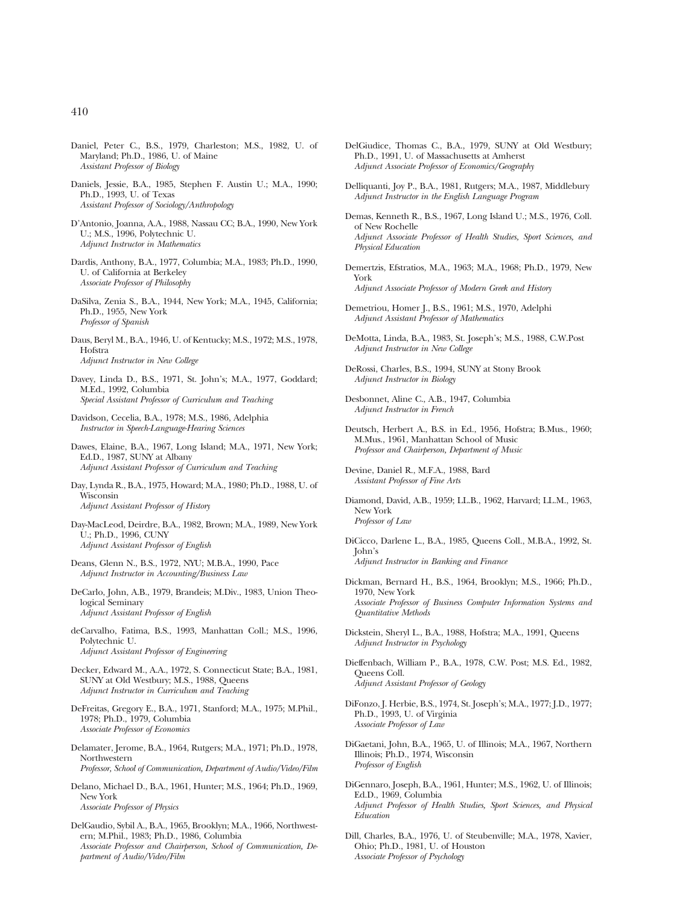- Daniel, Peter C., B.S., 1979, Charleston; M.S., 1982, U. of Maryland; Ph.D., 1986, U. of Maine *Assistant Professor of Biology*
- Daniels, Jessie, B.A., 1985, Stephen F. Austin U.; M.A., 1990; Ph.D., 1993, U. of Texas *Assistant Professor of Sociology/Anthropology*
- D'Antonio, Joanna, A.A., 1988, Nassau CC; B.A., 1990, New York U.; M.S., 1996, Polytechnic U. *Adjunct Instructor in Mathematics*
- Dardis, Anthony, B.A., 1977, Columbia; M.A., 1983; Ph.D., 1990, U. of California at Berkeley *Associate Professor of Philosophy*
- DaSilva, Zenia S., B.A., 1944, New York; M.A., 1945, California; Ph.D., 1955, New York *Professor of Spanish*
- Daus, Beryl M., B.A., 1946, U. of Kentucky; M.S., 1972; M.S., 1978, Hofstra *Adjunct Instructor in New College*
- Davey, Linda D., B.S., 1971, St. John's; M.A., 1977, Goddard; M.Ed., 1992, Columbia *Special Assistant Professor of Curriculum and Teaching*
- Davidson, Cecelia, B.A., 1978; M.S., 1986, Adelphia *Instructor in Speech-Language-Hearing Sciences*
- Dawes, Elaine, B.A., 1967, Long Island; M.A., 1971, New York; Ed.D., 1987, SUNY at Albany *Adjunct Assistant Professor of Curriculum and Teaching*
- Day, Lynda R., B.A., 1975, Howard; M.A., 1980; Ph.D., 1988, U. of Wisconsin *Adjunct Assistant Professor of History*
- Day-MacLeod, Deirdre, B.A., 1982, Brown; M.A., 1989, New York U.; Ph.D., 1996, CUNY *Adjunct Assistant Professor of English*
- Deans, Glenn N., B.S., 1972, NYU; M.B.A., 1990, Pace *Adjunct Instructor in Accounting/Business Law*
- DeCarlo, John, A.B., 1979, Brandeis; M.Div., 1983, Union Theological Seminary *Adjunct Assistant Professor of English*
- deCarvalho, Fatima, B.S., 1993, Manhattan Coll.; M.S., 1996, Polytechnic U. *Adjunct Assistant Professor of Engineering*
- Decker, Edward M., A.A., 1972, S. Connecticut State; B.A., 1981, SUNY at Old Westbury; M.S., 1988, Queens *Adjunct Instructor in Curriculum and Teaching*
- DeFreitas, Gregory E., B.A., 1971, Stanford; M.A., 1975; M.Phil., 1978; Ph.D., 1979, Columbia *Associate Professor of Economics*
- Delamater, Jerome, B.A., 1964, Rutgers; M.A., 1971; Ph.D., 1978, Northwestern *Professor, School of Communication, Department of Audio/Video/Film*
- Delano, Michael D., B.A., 1961, Hunter; M.S., 1964; Ph.D., 1969, New York *Associate Professor of Physics*
- DelGaudio, Sybil A., B.A., 1965, Brooklyn; M.A., 1966, Northwestern; M.Phil., 1983; Ph.D., 1986, Columbia *Associate Professor and Chairperson, School of Communication, Department of Audio/Video/Film*
- DelGiudice, Thomas C., B.A., 1979, SUNY at Old Westbury; Ph.D., 1991, U. of Massachusetts at Amherst *Adjunct Associate Professor of Economics/Geography*
- Delliquanti, Joy P., B.A., 1981, Rutgers; M.A., 1987, Middlebury *Adjunct Instructor in the English Language Program*
- Demas, Kenneth R., B.S., 1967, Long Island U.; M.S., 1976, Coll. of New Rochelle *Adjunct Associate Professor of Health Studies, Sport Sciences, and Physical Education*
- Demertzis, Efstratios, M.A., 1963; M.A., 1968; Ph.D., 1979, New York *Adjunct Associate Professor of Modern Greek and History*
- Demetriou, Homer J., B.S., 1961; M.S., 1970, Adelphi *Adjunct Assistant Professor of Mathematics*
- DeMotta, Linda, B.A., 1983, St. Joseph's; M.S., 1988, C.W.Post *Adjunct Instructor in New College*
- DeRossi, Charles, B.S., 1994, SUNY at Stony Brook *Adjunct Instructor in Biology*
- Desbonnet, Aline C., A.B., 1947, Columbia *Adjunct Instructor in French*
- Deutsch, Herbert A., B.S. in Ed., 1956, Hofstra; B.Mus., 1960; M.Mus., 1961, Manhattan School of Music *Professor and Chairperson, Department of Music*
- Devine, Daniel R., M.F.A., 1988, Bard *Assistant Professor of Fine Arts*
- Diamond, David, A.B., 1959; LL.B., 1962, Harvard; LL.M., 1963, New York *Professor of Law*
- DiCicco, Darlene L., B.A., 1985, Queens Coll., M.B.A., 1992, St. John's *Adjunct Instructor in Banking and Finance*
- Dickman, Bernard H., B.S., 1964, Brooklyn; M.S., 1966; Ph.D., 1970, New York *Associate Professor of Business Computer Information Systems and Quantitative Methods*
- Dickstein, Sheryl L., B.A., 1988, Hofstra; M.A., 1991, Queens *Adjunct Instructor in Psychology*
- Dieffenbach, William P., B.A., 1978, C.W. Post; M.S. Ed., 1982, Queens Coll.
	- *Adjunct Assistant Professor of Geology*
- DiFonzo, J. Herbie, B.S., 1974, St. Joseph's; M.A., 1977; J.D., 1977; Ph.D., 1993, U. of Virginia *Associate Professor of Law*
- DiGaetani, John, B.A., 1965, U. of Illinois; M.A., 1967, Northern Illinois; Ph.D., 1974, Wisconsin *Professor of English*
- DiGennaro, Joseph, B.A., 1961, Hunter; M.S., 1962, U. of Illinois; Ed.D., 1969, Columbia *Adjunct Professor of Health Studies, Sport Sciences, and Physical Education*
- Dill, Charles, B.A., 1976, U. of Steubenville; M.A., 1978, Xavier, Ohio; Ph.D., 1981, U. of Houston *Associate Professor of Psychology*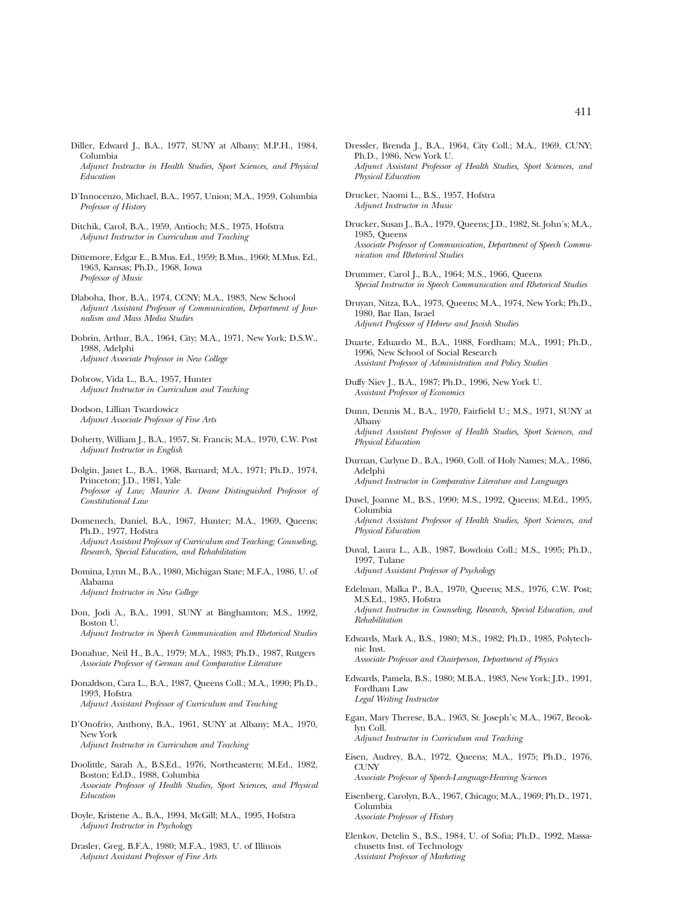Diller, Edward J., B.A., 1977, SUNY at Albany; M.P.H., 1984, Columbia

*Adjunct Instructor in Health Studies, Sport Sciences, and Physical Education*

- D'Innocenzo, Michael, B.A., 1957, Union; M.A., 1959, Columbia *Professor of History*
- Ditchik, Carol, B.A., 1959, Antioch; M.S., 1975, Hofstra *Adjunct Instructor in Curriculum and Teaching*
- Dittemore, Edgar E., B.Mus. Ed., 1959; B.Mus., 1960; M.Mus. Ed., 1963, Kansas; Ph.D., 1968, Iowa *Professor of Music*
- Dlaboha, Ihor, B.A., 1974, CCNY; M.A., 1983, New School *Adjunct Assistant Professor of Communication, Department of Journalism and Mass Media Studies*
- Dobrin, Arthur, B.A., 1964, City; M.A., 1971, New York; D.S.W., 1988, Adelphi *Adjunct Associate Professor in New College*
- Dobrow, Vida L., B.A., 1957, Hunter *Adjunct Instructor in Curriculum and Teaching*
- Dodson, Lillian Twardowicz *Adjunct Associate Professor of Fine Arts*
- Doherty, William J., B.A., 1957, St. Francis; M.A., 1970, C.W. Post *Adjunct Instructor in English*
- Dolgin, Janet L., B.A., 1968, Barnard; M.A., 1971; Ph.D., 1974, Princeton; J.D., 1981, Yale *Professor of Law; Maurice A. Deane Distinguished Professor of Constitutional Law*
- Domenech, Daniel, B.A., 1967, Hunter; M.A., 1969, Queens; Ph.D., 1977, Hofstra *Adjunct Assistant Professor of Curriculum and Teaching; Counseling,*

*Research, Special Education, and Rehabilitation*

- Domina, Lynn M., B.A., 1980, Michigan State; M.F.A., 1986, U. of Alabama *Adjunct Instructor in New College*
- Don, Jodi A., B.A., 1991, SUNY at Binghamton; M.S., 1992, Boston U. *Adjunct Instructor in Speech Communication and Rhetorical Studies*
- 
- Donahue, Neil H., B.A., 1979; M.A., 1983; Ph.D., 1987, Rutgers *Associate Professor of German and Comparative Literature*
- Donaldson, Cara L., B.A., 1987, Queens Coll.; M.A., 1990; Ph.D., 1993, Hofstra *Adjunct Assistant Professor of Curriculum and Teaching*
- D'Onofrio, Anthony, B.A., 1961, SUNY at Albany; M.A., 1970, New York *Adjunct Instructor in Curriculum and Teaching*
- Doolittle, Sarah A., B.S.Ed., 1976, Northeastern; M.Ed., 1982, Boston; Ed.D., 1988, Columbia *Associate Professor of Health Studies, Sport Sciences, and Physical Education*
- Doyle, Kristene A., B.A., 1994, McGill; M.A., 1995, Hofstra *Adjunct Instructor in Psychology*
- Drasler, Greg, B.F.A., 1980; M.F.A., 1983, U. of Illinois *Adjunct Assistant Professor of Fine Arts*
- Dressler, Brenda J., B.A., 1964, City Coll.; M.A., 1969, CUNY; Ph.D., 1986, New York U. *Adjunct Assistant Professor of Health Studies, Sport Sciences, and Physical Education*
- Drucker, Naomi L., B.S., 1957, Hofstra *Adjunct Instructor in Music*
- Drucker, Susan J., B.A., 1979, Queens; J.D., 1982, St. John's; M.A., 1985, Queens *Associate Professor of Communication, Department of Speech Communication and Rhetorical Studies*
- Drummer, Carol J., B.A., 1964; M.S., 1966, Queens *Special Instructor in Speech Communication and Rhetorical Studies*
- Druyan, Nitza, B.A., 1973, Queens; M.A., 1974, New York; Ph.D., 1980, Bar Ilan, Israel *Adjunct Professor of Hebrew and Jewish Studies*
- Duarte, Eduardo M., B.A., 1988, Fordham; M.A., 1991; Ph.D., 1996, New School of Social Research *Assistant Professor of Administration and Policy Studies*
- Duffy Niev J., B.A., 1987; Ph.D., 1996, New York U. *Assistant Professor of Economics*
- Dunn, Dennis M., B.A., 1970, Fairfield U.; M.S., 1971, SUNY at Albany *Adjunct Assistant Professor of Health Studies, Sport Sciences, and Physical Education*
- Durnan, Carlyne D., B.A., 1960, Coll. of Holy Names; M.A., 1986, Adelphi
	- *Adjunct Instructor in Comparative Literature and Languages*
- Dusel, Joanne M., B.S., 1990; M.S., 1992, Queens; M.Ed., 1995, Columbia
- *Adjunct Assistant Professor of Health Studies, Sport Sciences, and Physical Education*
- Duval, Laura L., A.B., 1987, Bowdoin Coll.; M.S., 1995; Ph.D., 1997, Tulane *Adjunct Assistant Professor of Psychology*
- Edelman, Malka P., B.A., 1970, Queens; M.S., 1976, C.W. Post; M.S.Ed., 1985, Hofstra *Adjunct Instructor in Counseling, Research, Special Education, and Rehabilitation*
- Edwards, Mark A., B.S., 1980; M.S., 1982; Ph.D., 1985, Polytechnic Inst. *Associate Professor and Chairperson, Department of Physics*
- Edwards, Pamela, B.S., 1980; M.B.A., 1983, New York; J.D., 1991, Fordham Law *Legal Writing Instructor*
- Egan, Mary Therese, B.A., 1963, St. Joseph's; M.A., 1967, Brooklyn Coll. *Adjunct Instructor in Curriculum and Teaching*

Eisen, Audrey, B.A., 1972, Queens; M.A., 1975; Ph.D., 1976, CUNY

*Associate Professor of Speech-Language-Hearing Sciences*

- Eisenberg, Carolyn, B.A., 1967, Chicago; M.A., 1969; Ph.D., 1971, Columbia *Associate Professor of History*
- Elenkov, Detelin S., B.S., 1984, U. of Sofia; Ph.D., 1992, Massachusetts Inst. of Technology *Assistant Professor of Marketing*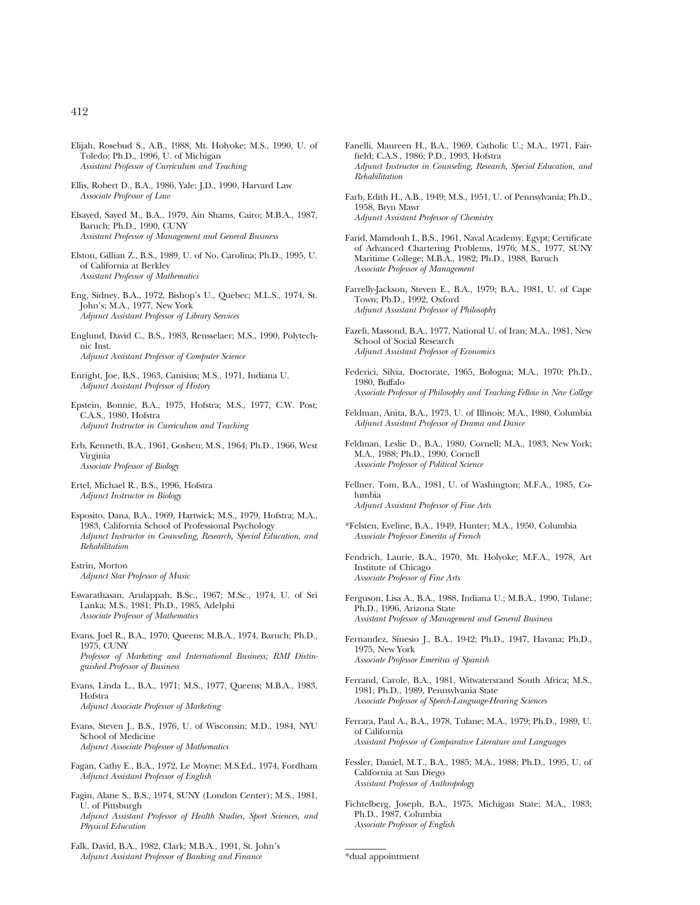- Elijah, Rosebud S., A.B., 1988, Mt. Holyoke; M.S., 1990, U. of Toledo; Ph.D., 1996, U. of Michigan *Assistant Professor of Curriculum and Teaching*
- Ellis, Robert D., B.A., 1986, Yale; J.D., 1990, Harvard Law *Associate Professor of Law*
- Elsayed, Sayed M., B.A., 1979, Ain Shams, Cairo; M.B.A., 1987, Baruch; Ph.D., 1990, CUNY *Assistant Professor of Management and General Business*
- Elston, Gillian Z., B.S., 1989, U. of No. Carolina; Ph.D., 1995, U. of California at Berkley *Assistant Professor of Mathematics*
- Eng, Sidney, B.A., 1972, Bishop's U., Quebec; M.L.S., 1974, St. John's; M.A., 1977, New York *Adjunct Assistant Professor of Library Services*
- Englund, David C., B.S., 1983, Rensselaer; M.S., 1990, Polytechnic Inst. *Adjunct Assistant Professor of Computer Science*
- Enright, Joe, B.S., 1963, Canisius; M.S., 1971, Indiana U. *Adjunct Assistant Professor of History*
- Epstein, Bonnie, B.A., 1975, Hofstra; M.S., 1977, C.W. Post; C.A.S., 1980, Hofstra *Adjunct Instructor in Curriculum and Teaching*
- Erb, Kenneth, B.A., 1961, Goshen; M.S., 1964; Ph.D., 1966, West Virginia *Associate Professor of Biology*
- Ertel, Michael R., B.S., 1996, Hofstra *Adjunct Instructor in Biology*
- Esposito, Dana, B.A., 1969, Hartwick; M.S., 1979, Hofstra; M.A., 1983, California School of Professional Psychology *Adjunct Instructor in Counseling, Research, Special Education, and Rehabilitation*

Estrin, Morton *Adjunct Star Professor of Music*

- Eswarathasan, Arulappah, B.Sc., 1967; M.Sc., 1974, U. of Sri Lanka; M.S., 1981; Ph.D., 1985, Adelphi *Associate Professor of Mathematics*
- Evans, Joel R., B.A., 1970, Queens; M.B.A., 1974, Baruch; Ph.D., 1975, CUNY *Professor of Marketing and International Business; RMI Distinguished Professor of Business*
- Evans, Linda L., B.A., 1971; M.S., 1977, Queens; M.B.A., 1983, Hofstra *Adjunct Associate Professor of Marketing*
- Evans, Steven J., B.S., 1976, U. of Wisconsin; M.D., 1984, NYU School of Medicine *Adjunct Associate Professor of Mathematics*
- Fagan, Cathy E., B.A., 1972, Le Moyne; M.S.Ed., 1974, Fordham *Adjunct Assistant Professor of English*
- Fagin, Alane S., B.S., 1974, SUNY (London Center); M.S., 1981, U. of Pittsburgh *Adjunct Assistant Professor of Health Studies, Sport Sciences, and Physical Education*
- Falk, David, B.A., 1982, Clark; M.B.A., 1991, St. John's *Adjunct Assistant Professor of Banking and Finance*
- Fanelli, Maureen H., B.A., 1969, Catholic U.; M.A., 1971, Fairfield; C.A.S., 1986; P.D., 1993, Hofstra *Adjunct Instructor in Counseling, Research, Special Education, and Rehabilitation*
- Farb, Edith H., A.B., 1949; M.S., 1951, U. of Pennsylvania; Ph.D., 1958, Bryn Mawr *Adjunct Assistant Professor of Chemistry*
- Farid, Mamdouh I., B.S., 1961, Naval Academy, Egypt; Certificate of Advanced Chartering Problems, 1976; M.S., 1977, SUNY Maritime College; M.B.A., 1982; Ph.D., 1988, Baruch *Associate Professor of Management*
- Farrelly-Jackson, Steven E., B.A., 1979; B.A., 1981, U. of Cape Town; Ph.D., 1992, Oxford *Adjunct Assistant Professor of Philosophy*
- Fazeli, Massoud, B.A., 1977, National U. of Iran; M.A., 1981, New School of Social Research *Adjunct Assistant Professor of Economics*
- Federici, Silvia, Doctorate, 1965, Bologna; M.A., 1970; Ph.D., 1980, Buffalo *Associate Professor of Philosophy and Teaching Fellow in New College*
- Feldman, Anita, B.A., 1973, U. of Illinois; M.A., 1980, Columbia *Adjunct Assistant Professor of Drama and Dance*
- Feldman, Leslie D., B.A., 1980, Cornell; M.A., 1983, New York; M.A., 1988; Ph.D., 1990, Cornell *Associate Professor of Political Science*
- Fellner, Tom, B.A., 1981, U. of Washington; M.F.A., 1985, Columbia *Adjunct Assistant Professor of Fine Arts*
- \*Felsten, Eveline, B.A., 1949, Hunter; M.A., 1950, Columbia *Associate Professor Emerita of French*
- Fendrich, Laurie, B.A., 1970, Mt. Holyoke; M.F.A., 1978, Art Institute of Chicago *Associate Professor of Fine Arts*
- Ferguson, Lisa A., B.A., 1988, Indiana U.; M.B.A., 1990, Tulane; Ph.D., 1996, Arizona State *Assistant Professor of Management and General Business*
- Fernandez, Sinesio J., B.A., 1942; Ph.D., 1947, Havana; Ph.D., 1975, New York *Associate Professor Emeritus of Spanish*
- Ferrand, Carole, B.A., 1981, Witwatersrand South Africa; M.S., 1981; Ph.D., 1989, Pennsylvania State *Associate Professor of Speech-Language-Hearing Sciences*
- Ferrara, Paul A., B.A., 1978, Tulane; M.A., 1979; Ph.D., 1989, U. of California *Assistant Professor of Comparative Literature and Languages*
- Fessler, Daniel, M.T., B.A., 1985; M.A., 1988; Ph.D., 1995, U. of California at San Diego *Assistant Professor of Anthropology*
- Fichtelberg, Joseph, B.A., 1975, Michigan State; M.A., 1983; Ph.D., 1987, Columbia *Associate Professor of English*

\*dual appointment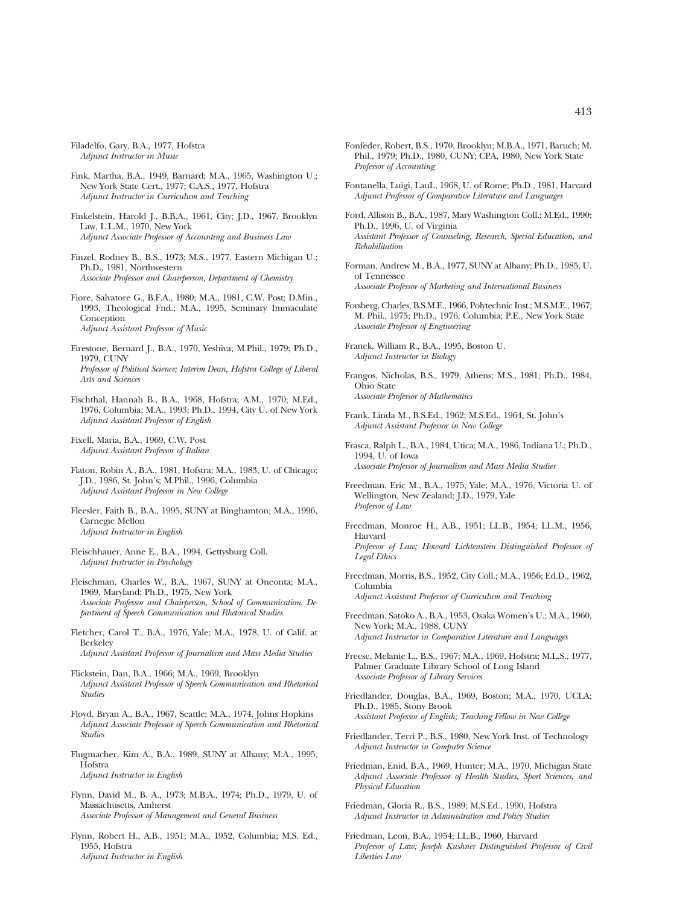Filadelfo, Gary, B.A., 1977, Hofstra *Adjunct Instructor in Music*

- Fink, Martha, B.A., 1949, Barnard; M.A., 1965, Washington U.; New York State Cert., 1977; C.A.S., 1977, Hofstra *Adjunct Instructor in Curriculum and Teaching*
- Finkelstein, Harold J., B.B.A., 1961, City; J.D., 1967, Brooklyn Law, L.L.M., 1970, New York *Adjunct Associate Professor of Accounting and Business Law*

Finzel, Rodney B., B.S., 1973; M.S., 1977, Eastern Michigan U.; Ph.D., 1981, Northwestern *Associate Professor and Chairperson, Department of Chemistry*

Fiore, Salvatore G., B.F.A., 1980; M.A., 1981, C.W. Post; D.Min., 1993, Theological Fnd.; M.A., 1995, Seminary Immaculate Conception *Adjunct Assistant Professor of Music*

- Firestone, Bernard J., B.A., 1970, Yeshiva; M.Phil., 1979; Ph.D., 1979, CUNY *Professor of Political Science; Interim Dean, Hofstra College of Liberal Arts and Sciences*
- Fischthal, Hannah B., B.A., 1968, Hofstra; A.M., 1970; M.Ed., 1976, Columbia; M.A., 1993; Ph.D., 1994, City U. of New York *Adjunct Assistant Professor of English*

Fixell, Maria, B.A., 1969, C.W. Post *Adjunct Assistant Professor of Italian*

Flaton, Robin A., B.A., 1981, Hofstra; M.A., 1983, U. of Chicago; J.D., 1986, St. John's; M.Phil., 1996, Columbia *Adjunct Assistant Professor in New College*

- Fleesler, Faith B., B.A., 1995, SUNY at Binghamton; M.A., 1996, Carnegie Mellon *Adjunct Instructor in English*
- Fleischhauer, Anne E., B.A., 1994, Gettysburg Coll. *Adjunct Instructor in Psychology*
- Fleischman, Charles W., B.A., 1967, SUNY at Oneonta; M.A., 1969, Maryland; Ph.D., 1975, New York *Associate Professor and Chairperson, School of Communication, Department of Speech Communication and Rhetorical Studies*
- Fletcher, Carol T., B.A., 1976, Yale; M.A., 1978, U. of Calif. at Berkeley *Adjunct Assistant Professor of Journalism and Mass Media Studies*
- Flickstein, Dan, B.A., 1966; M.A., 1969, Brooklyn *Adjunct Assistant Professor of Speech Communication and Rhetorical Studies*
- Floyd, Bryan A., B.A., 1967, Seattle; M.A., 1974, Johns Hopkins *Adjunct Associate Professor of Speech Communication and Rhetorical Studies*
- Flugmacher, Kim A., B.A., 1989, SUNY at Albany; M.A., 1995, Hofstra *Adjunct Instructor in English*
- Flynn, David M., B. A., 1973; M.B.A., 1974; Ph.D., 1979, U. of Massachusetts, Amherst *Associate Professor of Management and General Business*
- Flynn, Robert H., A.B., 1951; M.A., 1952, Columbia; M.S. Ed., 1955, Hofstra *Adjunct Instructor in English*
- Fonfeder, Robert, B.S., 1970, Brooklyn; M.B.A., 1971, Baruch; M. Phil., 1979; Ph.D., 1980, CUNY; CPA, 1980, New York State *Professor of Accounting*
- Fontanella, Luigi, LauL, 1968, U. of Rome; Ph.D., 1981, Harvard *Adjunct Professor of Comparative Literature and Languages*
- Ford, Allison B., B.A., 1987, Mary Washington Coll.; M.Ed., 1990; Ph.D., 1996, U. of Virginia *Assistant Professor of Counseling, Research, Special Education, and Rehabilitation*
- Forman, Andrew M., B.A., 1977, SUNY at Albany; Ph.D., 1985, U. of Tennessee *Associate Professor of Marketing and International Business*
- Forsberg, Charles, B.S.M.E., 1966, Polytechnic Inst.; M.S.M.E., 1967; M. Phil., 1975; Ph.D., 1976, Columbia; P.E., New York State *Associate Professor of Engineering*
- Franek, William R., B.A., 1995, Boston U. *Adjunct Instructor in Biology*

Frangos, Nicholas, B.S., 1979, Athens; M.S., 1981; Ph.D., 1984, Ohio State *Associate Professor of Mathematics*

- Frank, Linda M., B.S.Ed., 1962; M.S.Ed., 1964, St. John's *Adjunct Assistant Professor in New College*
- Frasca, Ralph L., B.A., 1984, Utica; M.A., 1986, Indiana U.; Ph.D., 1994, U. of Iowa *Associate Professor of Journalism and Mass Media Studies*
- Freedman, Eric M., B.A., 1975, Yale; M.A., 1976, Victoria U. of Wellington, New Zealand; J.D., 1979, Yale *Professor of Law*
- Freedman, Monroe H., A.B., 1951; LL.B., 1954; LL.M., 1956, Harvard *Professor of Law; Howard Lichtenstein Distinguished Professor of Legal Ethics*
- Freedman, Morris, B.S., 1952, City Coll.; M.A., 1956; Ed.D., 1962, Columbia *Adjunct Assistant Professor of Curriculum and Teaching*
- Freedman, Satoko A., B.A., 1953, Osaka Women's U.; M.A., 1960, New York; M.A., 1988, CUNY *Adjunct Instructor in Comparative Literature and Languages*
- Freese, Melanie L., B.S., 1967; M.A., 1969, Hofstra; M.L.S., 1977, Palmer Graduate Library School of Long Island *Associate Professor of Library Services*
- Friedlander, Douglas, B.A., 1969, Boston; M.A., 1970, UCLA; Ph.D., 1985, Stony Brook *Assistant Professor of English; Teaching Fellow in New College*
- Friedlander, Terri P., B.S., 1980, New York Inst. of Technology *Adjunct Instructor in Computer Science*
- Friedman, Enid, B.A., 1969, Hunter; M.A., 1970, Michigan State *Adjunct Associate Professor of Health Studies, Sport Sciences, and Physical Education*
- Friedman, Gloria R., B.S., 1989; M.S.Ed., 1990, Hofstra *Adjunct Instructor in Administration and Policy Studies*
- Friedman, Leon, B.A., 1954; LL.B., 1960, Harvard *Professor of Law; Joseph Kushner Distinguished Professor of Civil Liberties Law*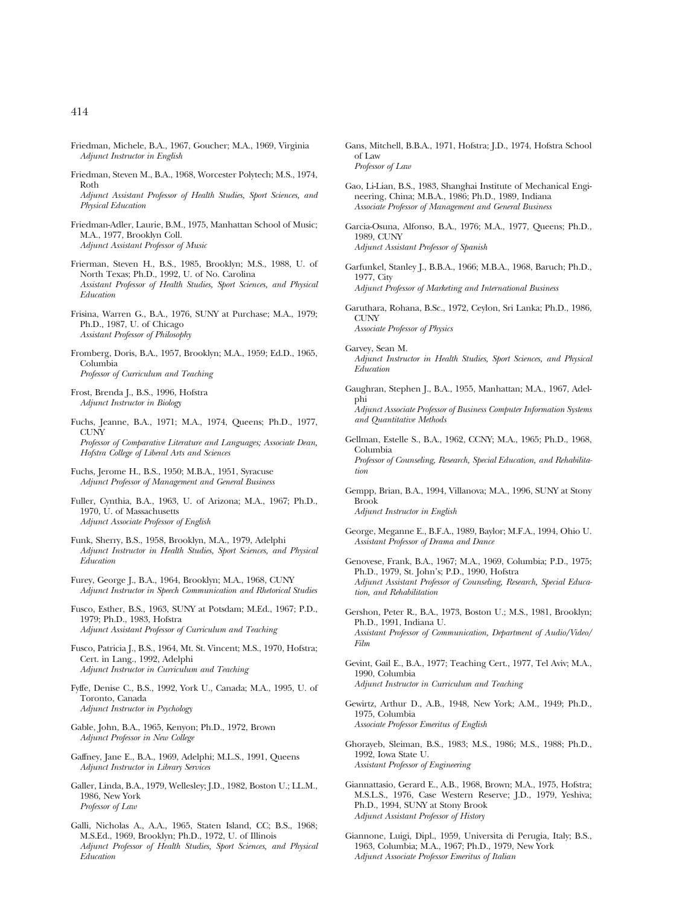- Friedman, Michele, B.A., 1967, Goucher; M.A., 1969, Virginia *Adjunct Instructor in English*
- Friedman, Steven M., B.A., 1968, Worcester Polytech; M.S., 1974, Roth

*Adjunct Assistant Professor of Health Studies, Sport Sciences, and Physical Education*

- Friedman-Adler, Laurie, B.M., 1975, Manhattan School of Music; M.A., 1977, Brooklyn Coll. *Adjunct Assistant Professor of Music*
- Frierman, Steven H., B.S., 1985, Brooklyn; M.S., 1988, U. of North Texas; Ph.D., 1992, U. of No. Carolina *Assistant Professor of Health Studies, Sport Sciences, and Physical Education*
- Frisina, Warren G., B.A., 1976, SUNY at Purchase; M.A., 1979; Ph.D., 1987, U. of Chicago *Assistant Professor of Philosophy*
- Fromberg, Doris, B.A., 1957, Brooklyn; M.A., 1959; Ed.D., 1965, Columbia *Professor of Curriculum and Teaching*

Frost, Brenda J., B.S., 1996, Hofstra *Adjunct Instructor in Biology*

Fuchs, Jeanne, B.A., 1971; M.A., 1974, Queens; Ph.D., 1977, **CUNY** *Professor of Comparative Literature and Languages; Associate Dean,*

*Hofstra College of Liberal Arts and Sciences*

Fuchs, Jerome H., B.S., 1950; M.B.A., 1951, Syracuse *Adjunct Professor of Management and General Business*

Fuller, Cynthia, B.A., 1963, U. of Arizona; M.A., 1967; Ph.D., 1970, U. of Massachusetts *Adjunct Associate Professor of English*

- Funk, Sherry, B.S., 1958, Brooklyn, M.A., 1979, Adelphi *Adjunct Instructor in Health Studies, Sport Sciences, and Physical Education*
- Furey, George J., B.A., 1964, Brooklyn; M.A., 1968, CUNY *Adjunct Instructor in Speech Communication and Rhetorical Studies*
- Fusco, Esther, B.S., 1963, SUNY at Potsdam; M.Ed., 1967; P.D., 1979; Ph.D., 1983, Hofstra *Adjunct Assistant Professor of Curriculum and Teaching*

Fusco, Patricia J., B.S., 1964, Mt. St. Vincent; M.S., 1970, Hofstra; Cert. in Lang., 1992, Adelphi *Adjunct Instructor in Curriculum and Teaching*

- Fyffe, Denise C., B.S., 1992, York U., Canada; M.A., 1995, U. of Toronto, Canada *Adjunct Instructor in Psychology*
- Gable, John, B.A., 1965, Kenyon; Ph.D., 1972, Brown *Adjunct Professor in New College*
- Gaffney, Jane E., B.A., 1969, Adelphi; M.L.S., 1991, Queens *Adjunct Instructor in Library Services*
- Galler, Linda, B.A., 1979, Wellesley; J.D., 1982, Boston U.; LL.M., 1986, New York *Professor of Law*
- Galli, Nicholas A., A.A., 1965, Staten Island, CC; B.S., 1968; M.S.Ed., 1969, Brooklyn; Ph.D., 1972, U. of Illinois *Adjunct Professor of Health Studies, Sport Sciences, and Physical Education*
- Gans, Mitchell, B.B.A., 1971, Hofstra; J.D., 1974, Hofstra School of Law *Professor of Law*
- Gao, Li-Lian, B.S., 1983, Shanghai Institute of Mechanical Engineering, China; M.B.A., 1986; Ph.D., 1989, Indiana *Associate Professor of Management and General Business*
- Garcia-Osuna, Alfonso, B.A., 1976; M.A., 1977, Queens; Ph.D., 1989, CUNY *Adjunct Assistant Professor of Spanish*
- Garfunkel, Stanley J., B.B.A., 1966; M.B.A., 1968, Baruch; Ph.D., 1977, City *Adjunct Professor of Marketing and International Business*
- Garuthara, Rohana, B.Sc., 1972, Ceylon, Sri Lanka; Ph.D., 1986, **CUNY**

*Associate Professor of Physics*

Garvey, Sean M.

*Adjunct Instructor in Health Studies, Sport Sciences, and Physical Education*

Gaughran, Stephen J., B.A., 1955, Manhattan; M.A., 1967, Adelphi

*Adjunct Associate Professor of Business Computer Information Systems and Quantitative Methods*

- Gellman, Estelle S., B.A., 1962, CCNY; M.A., 1965; Ph.D., 1968, Columbia *Professor of Counseling, Research, Special Education, and Rehabilitation*
- Gempp, Brian, B.A., 1994, Villanova; M.A., 1996, SUNY at Stony Brook

*Adjunct Instructor in English*

- George, Meganne E., B.F.A., 1989, Baylor; M.F.A., 1994, Ohio U. *Assistant Professor of Drama and Dance*
- Genovese, Frank, B.A., 1967; M.A., 1969, Columbia; P.D., 1975; Ph.D., 1979, St. John's; P.D., 1990, Hofstra *Adjunct Assistant Professor of Counseling, Research, Special Education, and Rehabilitation*
- Gershon, Peter R., B.A., 1973, Boston U.; M.S., 1981, Brooklyn; Ph.D., 1991, Indiana U. *Assistant Professor of Communication, Department of Audio/Video/ Film*
- Gevint, Gail E., B.A., 1977; Teaching Cert., 1977, Tel Aviv; M.A., 1990, Columbia *Adjunct Instructor in Curriculum and Teaching*
- Gewirtz, Arthur D., A.B., 1948, New York; A.M., 1949; Ph.D., 1975, Columbia *Associate Professor Emeritus of English*
- Ghorayeb, Sleiman, B.S., 1983; M.S., 1986; M.S., 1988; Ph.D., 1992, Iowa State U. *Assistant Professor of Engineering*
- Giannattasio, Gerard E., A.B., 1968, Brown; M.A., 1975, Hofstra; M.S.L.S., 1976, Case Western Reserve; J.D., 1979, Yeshiva; Ph.D., 1994, SUNY at Stony Brook *Adjunct Assistant Professor of History*
- Giannone, Luigi, Dipl., 1959, Universita di Perugia, Italy; B.S., 1963, Columbia; M.A., 1967; Ph.D., 1979, New York *Adjunct Associate Professor Emeritus of Italian*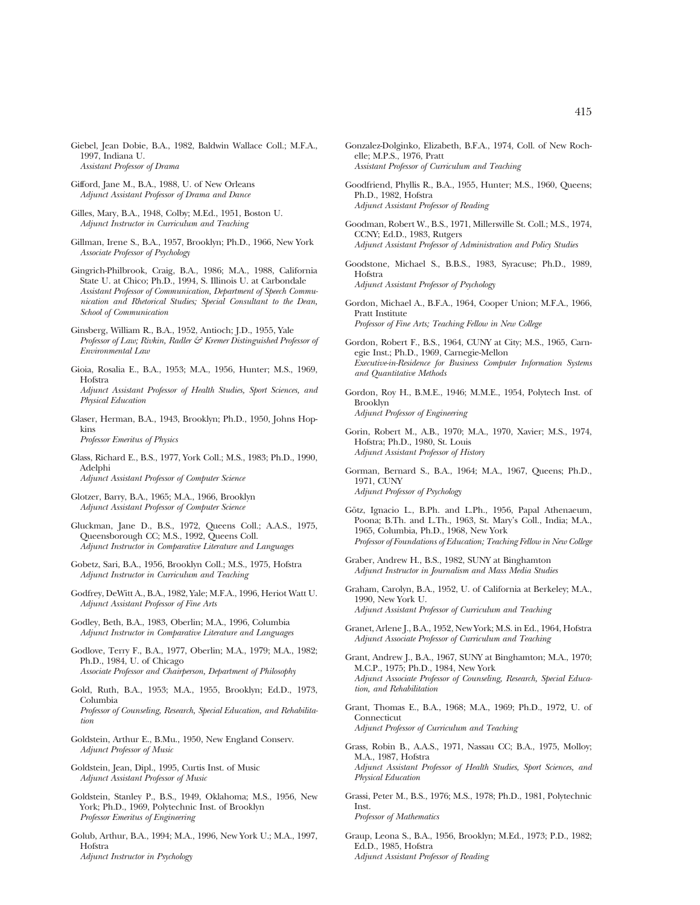- Giebel, Jean Dobie, B.A., 1982, Baldwin Wallace Coll.; M.F.A., 1997, Indiana U. *Assistant Professor of Drama*
- Gifford, Jane M., B.A., 1988, U. of New Orleans *Adjunct Assistant Professor of Drama and Dance*
- Gilles, Mary, B.A., 1948, Colby; M.Ed., 1951, Boston U. *Adjunct Instructor in Curriculum and Teaching*
- Gillman, Irene S., B.A., 1957, Brooklyn; Ph.D., 1966, New York *Associate Professor of Psychology*
- Gingrich-Philbrook, Craig, B.A., 1986; M.A., 1988, California State U. at Chico; Ph.D., 1994, S. Illinois U. at Carbondale *Assistant Professor of Communication, Department of Speech Communication and Rhetorical Studies; Special Consultant to the Dean, School of Communication*
- Ginsberg, William R., B.A., 1952, Antioch; J.D., 1955, Yale *Professor of Law; Rivkin, Radler & Kremer Distinguished Professor of Environmental Law*
- Gioia, Rosalia E., B.A., 1953; M.A., 1956, Hunter; M.S., 1969, Hofstra
	- *Adjunct Assistant Professor of Health Studies, Sport Sciences, and Physical Education*
- Glaser, Herman, B.A., 1943, Brooklyn; Ph.D., 1950, Johns Hopkins *Professor Emeritus of Physics*
- Glass, Richard E., B.S., 1977, York Coll.; M.S., 1983; Ph.D., 1990, Adelphi *Adjunct Assistant Professor of Computer Science*
- Glotzer, Barry, B.A., 1965; M.A., 1966, Brooklyn *Adjunct Assistant Professor of Computer Science*
- Gluckman, Jane D., B.S., 1972, Queens Coll.; A.A.S., 1975, Queensborough CC; M.S., 1992, Queens Coll. *Adjunct Instructor in Comparative Literature and Languages*
- Gobetz, Sari, B.A., 1956, Brooklyn Coll.; M.S., 1975, Hofstra *Adjunct Instructor in Curriculum and Teaching*
- Godfrey, DeWitt A., B.A., 1982, Yale; M.F.A., 1996, Heriot Watt U. *Adjunct Assistant Professor of Fine Arts*
- Godley, Beth, B.A., 1983, Oberlin; M.A., 1996, Columbia *Adjunct Instructor in Comparative Literature and Languages*
- Godlove, Terry F., B.A., 1977, Oberlin; M.A., 1979; M.A., 1982; Ph.D., 1984, U. of Chicago *Associate Professor and Chairperson, Department of Philosophy*
- Gold, Ruth, B.A., 1953; M.A., 1955, Brooklyn; Ed.D., 1973, Columbia *Professor of Counseling, Research, Special Education, and Rehabilita-*
- Goldstein, Arthur E., B.Mu., 1950, New England Conserv. *Adjunct Professor of Music*
- Goldstein, Jean, Dipl., 1995, Curtis Inst. of Music *Adjunct Assistant Professor of Music*

*tion*

- Goldstein, Stanley P., B.S., 1949, Oklahoma; M.S., 1956, New York; Ph.D., 1969, Polytechnic Inst. of Brooklyn *Professor Emeritus of Engineering*
- Golub, Arthur, B.A., 1994; M.A., 1996, New York U.; M.A., 1997, **H**ofstra *Adjunct Instructor in Psychology*
- Gonzalez-Dolginko, Elizabeth, B.F.A., 1974, Coll. of New Rochelle; M.P.S., 1976, Pratt *Assistant Professor of Curriculum and Teaching*
- Goodfriend, Phyllis R., B.A., 1955, Hunter; M.S., 1960, Queens; Ph.D., 1982, Hofstra *Adjunct Assistant Professor of Reading*
- Goodman, Robert W., B.S., 1971, Millersville St. Coll.; M.S., 1974, CCNY; Ed.D., 1983, Rutgers *Adjunct Assistant Professor of Administration and Policy Studies*
- Goodstone, Michael S., B.B.S., 1983, Syracuse; Ph.D., 1989, Hofstra *Adjunct Assistant Professor of Psychology*
- Gordon, Michael A., B.F.A., 1964, Cooper Union; M.F.A., 1966, Pratt Institute *Professor of Fine Arts; Teaching Fellow in New College*
- Gordon, Robert F., B.S., 1964, CUNY at City; M.S., 1965, Carnegie Inst.; Ph.D., 1969, Carnegie-Mellon *Executive-in-Residence for Business Computer Information Systems and Quantitative Methods*
- Gordon, Roy H., B.M.E., 1946; M.M.E., 1954, Polytech Inst. of Brooklyn *Adjunct Professor of Engineering*
- Gorin, Robert M., A.B., 1970; M.A., 1970, Xavier; M.S., 1974, Hofstra; Ph.D., 1980, St. Louis *Adjunct Assistant Professor of History*
- Gorman, Bernard S., B.A., 1964; M.A., 1967, Queens; Ph.D., 1971, CUNY *Adjunct Professor of Psychology*
- Götz, Ignacio L., B.Ph. and L.Ph., 1956, Papal Athenaeum, Poona; B.Th. and L.Th., 1963, St. Mary's Coll., India; M.A., 1965, Columbia, Ph.D., 1968, New York *Professor of Foundations of Education; Teaching Fellow in New College*
- Graber, Andrew H., B.S., 1982, SUNY at Binghamton *Adjunct Instructor in Journalism and Mass Media Studies*
- Graham, Carolyn, B.A., 1952, U. of California at Berkeley; M.A., 1990, New York U. *Adjunct Assistant Professor of Curriculum and Teaching*
- Granet, Arlene J., B.A., 1952, New York; M.S. in Ed., 1964, Hofstra *Adjunct Associate Professor of Curriculum and Teaching*
- Grant, Andrew J., B.A., 1967, SUNY at Binghamton; M.A., 1970; M.C.P., 1975; Ph.D., 1984, New York *Adjunct Associate Professor of Counseling, Research, Special Education, and Rehabilitation*
- Grant, Thomas E., B.A., 1968; M.A., 1969; Ph.D., 1972, U. of **Connecticut** *Adjunct Professor of Curriculum and Teaching*
- Grass, Robin B., A.A.S., 1971, Nassau CC; B.A., 1975, Molloy; M.A., 1987, Hofstra *Adjunct Assistant Professor of Health Studies, Sport Sciences, and Physical Education*
- Grassi, Peter M., B.S., 1976; M.S., 1978; Ph.D., 1981, Polytechnic Inst. *Professor of Mathematics*
- Graup, Leona S., B.A., 1956, Brooklyn; M.Ed., 1973; P.D., 1982; Ed.D., 1985, Hofstra *Adjunct Assistant Professor of Reading*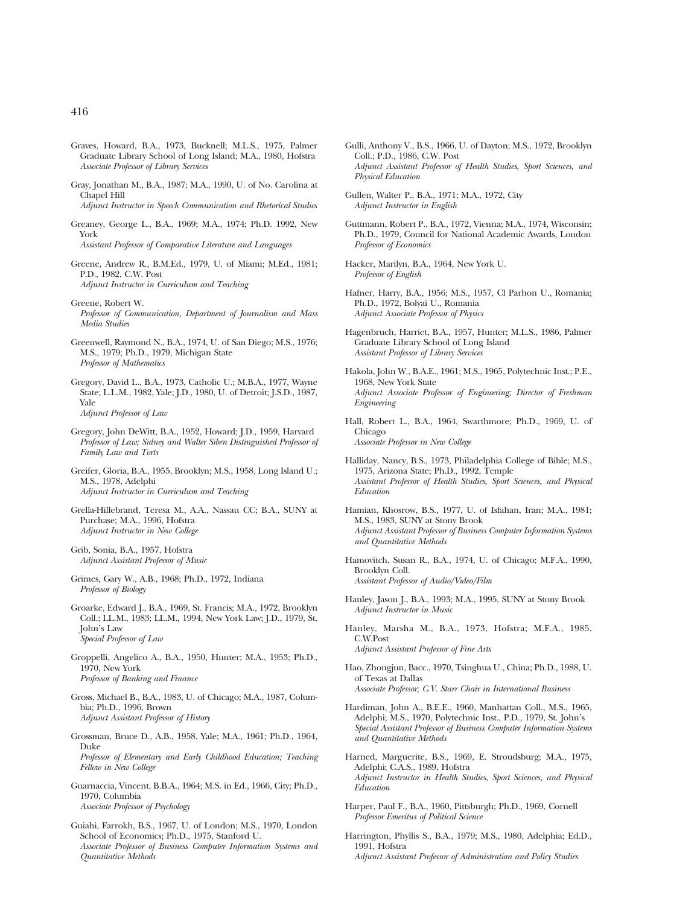- Graves, Howard, B.A., 1973, Bucknell; M.L.S., 1975, Palmer Graduate Library School of Long Island; M.A., 1980, Hofstra *Associate Professor of Library Services*
- Gray, Jonathan M., B.A., 1987; M.A., 1990, U. of No. Carolina at Chapel Hill
- *Adjunct Instructor in Speech Communication and Rhetorical Studies*
- Greaney, George L., B.A., 1969; M.A., 1974; Ph.D. 1992, New York

*Assistant Professor of Comparative Literature and Languages*

- Greene, Andrew R., B.M.Ed., 1979, U. of Miami; M.Ed., 1981; P.D., 1982, C.W. Post *Adjunct Instructor in Curriculum and Teaching*
- Greene, Robert W. *Professor of Communication, Department of Journalism and Mass Media Studies*
- Greenwell, Raymond N., B.A., 1974, U. of San Diego; M.S., 1976; M.S., 1979; Ph.D., 1979, Michigan State *Professor of Mathematics*
- Gregory, David L., B.A., 1973, Catholic U.; M.B.A., 1977, Wayne State; L.L.M., 1982, Yale; J.D., 1980, U. of Detroit; J.S.D., 1987, Yale *Adjunct Professor of Law*
- Gregory, John DeWitt, B.A., 1952, Howard; J.D., 1959, Harvard *Professor of Law; Sidney and Walter Siben Distinguished Professor of Family Law and Torts*
- Greifer, Gloria, B.A., 1955, Brooklyn; M.S., 1958, Long Island U.; M.S., 1978, Adelphi *Adjunct Instructor in Curriculum and Teaching*
- Grella-Hillebrand, Teresa M., A.A., Nassau CC; B.A., SUNY at Purchase; M.A., 1996, Hofstra *Adjunct Instructor in New College*
- Grib, Sonia, B.A., 1957, Hofstra *Adjunct Assistant Professor of Music*
- Grimes, Gary W., A.B., 1968; Ph.D., 1972, Indiana *Professor of Biology*
- Groarke, Edward J., B.A., 1969, St. Francis; M.A., 1972, Brooklyn Coll.; LL.M., 1983; LL.M., 1994, New York Law; J.D., 1979, St. John's Law *Special Professor of Law*
- Groppelli, Angelico A., B.A., 1950, Hunter; M.A., 1953; Ph.D., 1970, New York *Professor of Banking and Finance*
- Gross, Michael B., B.A., 1983, U. of Chicago; M.A., 1987, Columbia; Ph.D., 1996, Brown *Adjunct Assistant Professor of History*
- Grossman, Bruce D., A.B., 1958, Yale; M.A., 1961; Ph.D., 1964, Duke
	- *Professor of Elementary and Early Childhood Education; Teaching Fellow in New College*
- Guarnaccia, Vincent, B.B.A., 1964; M.S. in Ed., 1966, City; Ph.D., 1970, Columbia *Associate Professor of Psychology*
- Guiahi, Farrokh, B.S., 1967, U. of London; M.S., 1970, London School of Economics; Ph.D., 1975, Stanford U. *Associate Professor of Business Computer Information Systems and Quantitative Methods*
- Gulli, Anthony V., B.S., 1966, U. of Dayton; M.S., 1972, Brooklyn Coll.; P.D., 1986, C.W. Post *Adjunct Assistant Professor of Health Studies, Sport Sciences, and*
- *Physical Education*
- Gullen, Walter P., B.A., 1971; M.A., 1972, City *Adjunct Instructor in English*
- Guttmann, Robert P., B.A., 1972, Vienna; M.A., 1974, Wisconsin; Ph.D., 1979, Council for National Academic Awards, London *Professor of Economics*
- Hacker, Marilyn, B.A., 1964, New York U. *Professor of English*
- Hafner, Harry, B.A., 1956; M.S., 1957, Cl Parhon U., Romania; Ph.D., 1972, Bolyai U., Romania *Adjunct Associate Professor of Physics*
- Hagenbruch, Harriet, B.A., 1957, Hunter; M.L.S., 1986, Palmer Graduate Library School of Long Island *Assistant Professor of Library Services*
- Hakola, John W., B.A.E., 1961; M.S., 1965, Polytechnic Inst.; P.E., 1968, New York State *Adjunct Associate Professor of Engineering; Director of Freshman Engineering*
- Hall, Robert L., B.A., 1964, Swarthmore; Ph.D., 1969, U. of Chicago *Associate Professor in New College*
- Halliday, Nancy, B.S., 1973, Philadelphia College of Bible; M.S., 1975, Arizona State; Ph.D., 1992, Temple *Assistant Professor of Health Studies, Sport Sciences, and Physical Education*
- Hamian, Khosrow, B.S., 1977, U. of Isfahan, Iran; M.A., 1981; M.S., 1983, SUNY at Stony Brook *Adjunct Assistant Professor of Business Computer Information Systems and Quantitative Methods*
- Hamovitch, Susan R., B.A., 1974, U. of Chicago; M.F.A., 1990, Brooklyn Coll. *Assistant Professor of Audio/Video/Film*
- Hanley, Jason J., B.A., 1993; M.A., 1995, SUNY at Stony Brook *Adjunct Instructor in Music*
- Hanley, Marsha M., B.A., 1973, Hofstra; M.F.A., 1985, C.W.Post *Adjunct Assistant Professor of Fine Arts*
- Hao, Zhongjun, Bacc., 1970, Tsinghua U., China; Ph.D., 1988, U. of Texas at Dallas

*Associate Professor; C.V. Starr Chair in International Business*

- Hardiman, John A., B.E.E., 1960, Manhattan Coll., M.S., 1965, Adelphi; M.S., 1970, Polytechnic Inst., P.D., 1979, St. John's *Special Assistant Professor of Business Computer Information Systems and Quantitative Methods*
- Harned, Marguerite, B.S., 1969, E. Stroudsburg; M.A., 1975, Adelphi; C.A.S., 1989, Hofstra *Adjunct Instructor in Health Studies, Sport Sciences, and Physical Education*
- Harper, Paul F., B.A., 1960, Pittsburgh; Ph.D., 1969, Cornell *Professor Emeritus of Political Science*
- Harrington, Phyllis S., B.A., 1979; M.S., 1980, Adelphia; Ed.D., 1991, Hofstra *Adjunct Assistant Professor of Administration and Policy Studies*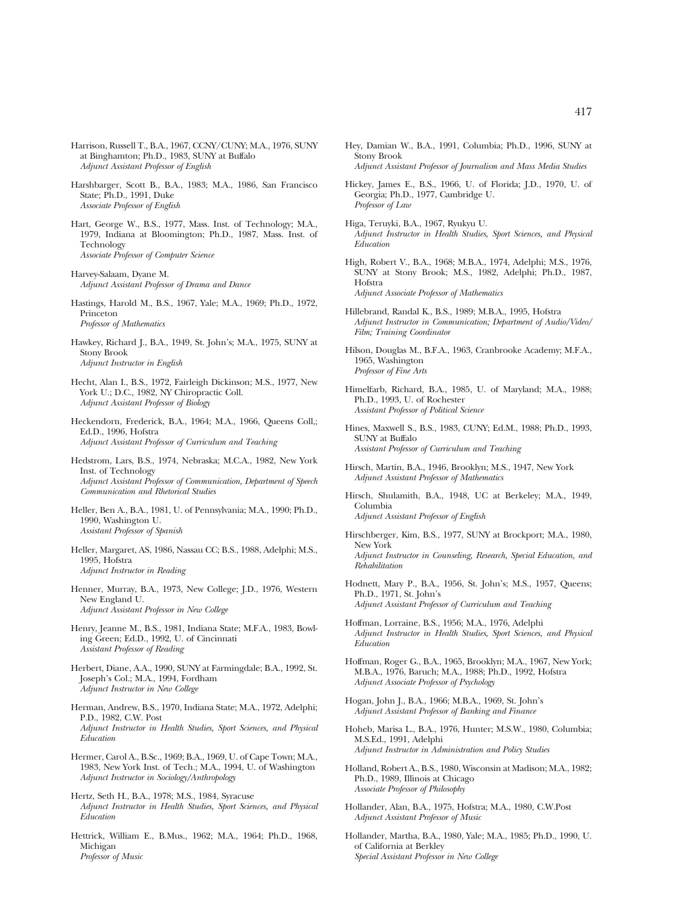- Harrison, Russell T., B.A., 1967, CCNY/CUNY; M.A., 1976, SUNY at Binghamton; Ph.D., 1983, SUNY at Buffalo *Adjunct Assistant Professor of English*
- Harshbarger, Scott B., B.A., 1983; M.A., 1986, San Francisco State; Ph.D., 1991, Duke *Associate Professor of English*
- Hart, George W., B.S., 1977, Mass. Inst. of Technology; M.A., 1979, Indiana at Bloomington; Ph.D., 1987, Mass. Inst. of **Technology** *Associate Professor of Computer Science*
- Harvey-Salaam, Dyane M. *Adjunct Assistant Professor of Drama and Dance*
- Hastings, Harold M., B.S., 1967, Yale; M.A., 1969; Ph.D., 1972, Princeton *Professor of Mathematics*
- Hawkey, Richard J., B.A., 1949, St. John's; M.A., 1975, SUNY at Stony Brook *Adjunct Instructor in English*
- Hecht, Alan I., B.S., 1972, Fairleigh Dickinson; M.S., 1977, New York U.; D.C., 1982, NY Chiropractic Coll. *Adjunct Assistant Professor of Biology*
- Heckendorn, Frederick, B.A., 1964; M.A., 1966, Queens Coll,; Ed.D., 1996, Hofstra *Adjunct Assistant Professor of Curriculum and Teaching*
- Hedstrom, Lars, B.S., 1974, Nebraska; M.C.A., 1982, New York Inst. of Technology *Adjunct Assistant Professor of Communication, Department of Speech Communication and Rhetorical Studies*
- Heller, Ben A., B.A., 1981, U. of Pennsylvania; M.A., 1990; Ph.D., 1990, Washington U. *Assistant Professor of Spanish*
- Heller, Margaret, AS, 1986, Nassau CC; B.S., 1988, Adelphi; M.S., 1995, Hofstra *Adjunct Instructor in Reading*
- Henner, Murray, B.A., 1973, New College; J.D., 1976, Western New England U. *Adjunct Assistant Professor in New College*
- Henry, Jeanne M., B.S., 1981, Indiana State; M.F.A., 1983, Bowling Green; Ed.D., 1992, U. of Cincinnati *Assistant Professor of Reading*
- Herbert, Diane, A.A., 1990, SUNY at Farmingdale; B.A., 1992, St. Joseph's Col.; M.A., 1994, Fordham *Adjunct Instructor in New College*
- Herman, Andrew, B.S., 1970, Indiana State; M.A., 1972, Adelphi; P.D., 1982, C.W. Post *Adjunct Instructor in Health Studies, Sport Sciences, and Physical Education*
- Hermer, Carol A., B.Sc., 1969; B.A., 1969, U. of Cape Town; M.A., 1983, New York Inst. of Tech.; M.A., 1994, U. of Washington *Adjunct Instructor in Sociology/Anthropology*
- Hertz, Seth H., B.A., 1978; M.S., 1984, Syracuse *Adjunct Instructor in Health Studies, Sport Sciences, and Physical Education*
- Hettrick, William E., B.Mus., 1962; M.A., 1964; Ph.D., 1968, Michigan *Professor of Music*
- Hey, Damian W., B.A., 1991, Columbia; Ph.D., 1996, SUNY at Stony Brook *Adjunct Assistant Professor of Journalism and Mass Media Studies*
- Hickey, James E., B.S., 1966, U. of Florida; J.D., 1970, U. of Georgia; Ph.D., 1977, Cambridge U. *Professor of Law*
- Higa, Teruyki, B.A., 1967, Ryukyu U. *Adjunct Instructor in Health Studies, Sport Sciences, and Physical Education*
- High, Robert V., B.A., 1968; M.B.A., 1974, Adelphi; M.S., 1976, SUNY at Stony Brook; M.S., 1982, Adelphi; Ph.D., 1987, Hofstra *Adjunct Associate Professor of Mathematics*
- Hillebrand, Randal K., B.S., 1989; M.B.A., 1995, Hofstra *Adjunct Instructor in Communication; Department of Audio/Video/ Film; Training Coordinator*
- Hilson, Douglas M., B.F.A., 1963, Cranbrooke Academy; M.F.A., 1965, Washington *Professor of Fine Arts*
- Himelfarb, Richard, B.A., 1985, U. of Maryland; M.A., 1988; Ph.D., 1993, U. of Rochester *Assistant Professor of Political Science*
- Hines, Maxwell S., B.S., 1983, CUNY; Ed.M., 1988; Ph.D., 1993, SUNY at Buffalo *Assistant Professor of Curriculum and Teaching*
- Hirsch, Martin, B.A., 1946, Brooklyn; M.S., 1947, New York *Adjunct Assistant Professor of Mathematics*
- Hirsch, Shulamith, B.A., 1948, UC at Berkeley; M.A., 1949, Columbia
	- *Adjunct Assistant Professor of English*
- Hirschberger, Kim, B.S., 1977, SUNY at Brockport; M.A., 1980, New York *Adjunct Instructor in Counseling, Research, Special Education, and Rehabilitation*
- Hodnett, Mary P., B.A., 1956, St. John's; M.S., 1957, Queens; Ph.D., 1971, St. John's *Adjunct Assistant Professor of Curriculum and Teaching*
- Hoffman, Lorraine, B.S., 1956; M.A., 1976, Adelphi *Adjunct Instructor in Health Studies, Sport Sciences, and Physical Education*
- Hoffman, Roger G., B.A., 1965, Brooklyn; M.A., 1967, New York; M.B.A., 1976, Baruch; M.A., 1988; Ph.D., 1992, Hofstra *Adjunct Associate Professor of Psychology*
- Hogan, John J., B.A., 1966; M.B.A., 1969, St. John's *Adjunct Assistant Professor of Banking and Finance*
- Hoheb, Marisa L., B.A., 1976, Hunter; M.S.W., 1980, Columbia; M.S.Ed., 1991, Adelphi *Adjunct Instructor in Administration and Policy Studies*
- Holland, Robert A., B.S., 1980, Wisconsin at Madison; M.A., 1982; Ph.D., 1989, Illinois at Chicago *Associate Professor of Philosophy*
- Hollander, Alan, B.A., 1975, Hofstra; M.A., 1980, C.W.Post *Adjunct Assistant Professor of Music*
- Hollander, Martha, B.A., 1980, Yale; M.A., 1985; Ph.D., 1990, U. of California at Berkley *Special Assistant Professor in New College*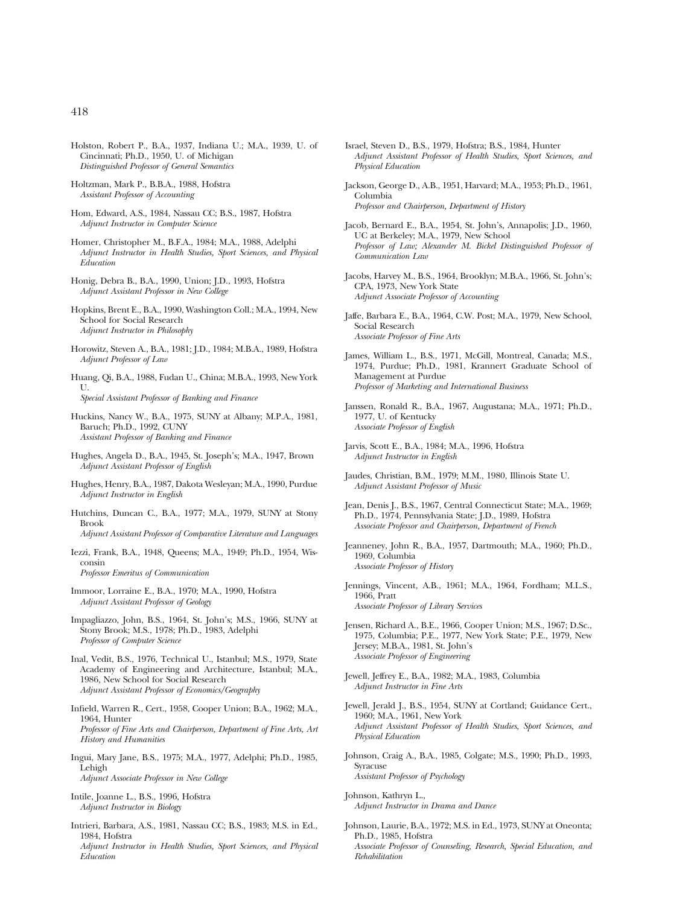- Holston, Robert P., B.A., 1937, Indiana U.; M.A., 1939, U. of Cincinnati; Ph.D., 1950, U. of Michigan *Distinguished Professor of General Semantics*
- Holtzman, Mark P., B.B.A., 1988, Hofstra *Assistant Professor of Accounting*
- Hom, Edward, A.S., 1984, Nassau CC; B.S., 1987, Hofstra *Adjunct Instructor in Computer Science*
- Homer, Christopher M., B.F.A., 1984; M.A., 1988, Adelphi *Adjunct Instructor in Health Studies, Sport Sciences, and Physical Education*
- Honig, Debra B., B.A., 1990, Union; J.D., 1993, Hofstra *Adjunct Assistant Professor in New College*
- Hopkins, Brent E., B.A., 1990, Washington Coll.; M.A., 1994, New School for Social Research *Adjunct Instructor in Philosophy*
- Horowitz, Steven A., B.A., 1981; J.D., 1984; M.B.A., 1989, Hofstra *Adjunct Professor of Law*
- Huang, Qi, B.A., 1988, Fudan U., China; M.B.A., 1993, New York U.

*Special Assistant Professor of Banking and Finance*

- Huckins, Nancy W., B.A., 1975, SUNY at Albany; M.P.A., 1981, Baruch; Ph.D., 1992, CUNY *Assistant Professor of Banking and Finance*
- Hughes, Angela D., B.A., 1945, St. Joseph's; M.A., 1947, Brown *Adjunct Assistant Professor of English*
- Hughes, Henry, B.A., 1987, Dakota Wesleyan; M.A., 1990, Purdue *Adjunct Instructor in English*
- Hutchins, Duncan C., B.A., 1977; M.A., 1979, SUNY at Stony Brook
	- *Adjunct Assistant Professor of Comparative Literature and Languages*
- Iezzi, Frank, B.A., 1948, Queens; M.A., 1949; Ph.D., 1954, Wisconsin

*Professor Emeritus of Communication*

- Immoor, Lorraine E., B.A., 1970; M.A., 1990, Hofstra *Adjunct Assistant Professor of Geology*
- Impagliazzo, John, B.S., 1964, St. John's; M.S., 1966, SUNY at Stony Brook; M.S., 1978; Ph.D., 1983, Adelphi *Professor of Computer Science*
- Inal, Vedit, B.S., 1976, Technical U., Istanbul; M.S., 1979, State Academy of Engineering and Architecture, Istanbul; M.A., 1986, New School for Social Research *Adjunct Assistant Professor of Economics/Geography*
- Infield, Warren R., Cert., 1958, Cooper Union; B.A., 1962; M.A., 1964, Hunter *Professor of Fine Arts and Chairperson, Department of Fine Arts, Art History and Humanities*
- Ingui, Mary Jane, B.S., 1975; M.A., 1977, Adelphi; Ph.D., 1985, Lehigh *Adjunct Associate Professor in New College*
- Intile, Joanne L., B.S., 1996, Hofstra *Adjunct Instructor in Biology*
- Intrieri, Barbara, A.S., 1981, Nassau CC; B.S., 1983; M.S. in Ed., 1984, Hofstra
- *Adjunct Instructor in Health Studies, Sport Sciences, and Physical Education*
- Israel, Steven D., B.S., 1979, Hofstra; B.S., 1984, Hunter *Adjunct Assistant Professor of Health Studies, Sport Sciences, and Physical Education*
- Jackson, George D., A.B., 1951, Harvard; M.A., 1953; Ph.D., 1961, Columbia *Professor and Chairperson, Department of History*
- Jacob, Bernard E., B.A., 1954, St. John's, Annapolis; J.D., 1960, UC at Berkeley; M.A., 1979, New School *Professor of Law; Alexander M. Bickel Distinguished Professor of Communication Law*
- Jacobs, Harvey M., B.S., 1964, Brooklyn; M.B.A., 1966, St. John's; CPA, 1973, New York State *Adjunct Associate Professor of Accounting*
- Jaffe, Barbara E., B.A., 1964, C.W. Post; M.A., 1979, New School, Social Research *Associate Professor of Fine Arts*
- James, William L., B.S., 1971, McGill, Montreal, Canada; M.S., 1974, Purdue; Ph.D., 1981, Krannert Graduate School of Management at Purdue *Professor of Marketing and International Business*
- Janssen, Ronald R., B.A., 1967, Augustana; M.A., 1971; Ph.D., 1977, U. of Kentucky *Associate Professor of English*
- Jarvis, Scott E., B.A., 1984; M.A., 1996, Hofstra *Adjunct Instructor in English*
- Jaudes, Christian, B.M., 1979; M.M., 1980, Illinois State U. *Adjunct Assistant Professor of Music*
- Jean, Denis J., B.S., 1967, Central Connecticut State; M.A., 1969; Ph.D., 1974, Pennsylvania State; J.D., 1989, Hofstra *Associate Professor and Chairperson, Department of French*
- Jeanneney, John R., B.A., 1957, Dartmouth; M.A., 1960; Ph.D., 1969, Columbia *Associate Professor of History*
- Jennings, Vincent, A.B., 1961; M.A., 1964, Fordham; M.L.S., 1966, Pratt *Associate Professor of Library Services*
- Jensen, Richard A., B.E., 1966, Cooper Union; M.S., 1967; D.Sc., 1975, Columbia; P.E., 1977, New York State; P.E., 1979, New Jersey; M.B.A., 1981, St. John's *Associate Professor of Engineering*
- Jewell, Jeffrey E., B.A., 1982; M.A., 1983, Columbia *Adjunct Instructor in Fine Arts*
- Jewell, Jerald J., B.S., 1954, SUNY at Cortland; Guidance Cert., 1960; M.A., 1961, New York *Adjunct Assistant Professor of Health Studies, Sport Sciences, and Physical Education*
- Johnson, Craig A., B.A., 1985, Colgate; M.S., 1990; Ph.D., 1993, Syracuse *Assistant Professor of Psychology*

Johnson, Kathryn L., *Adjunct Instructor in Drama and Dance*

Johnson, Laurie, B.A., 1972; M.S. in Ed., 1973, SUNY at Oneonta; Ph.D., 1985, Hofstra

*Associate Professor of Counseling, Research, Special Education, and Rehabilitation*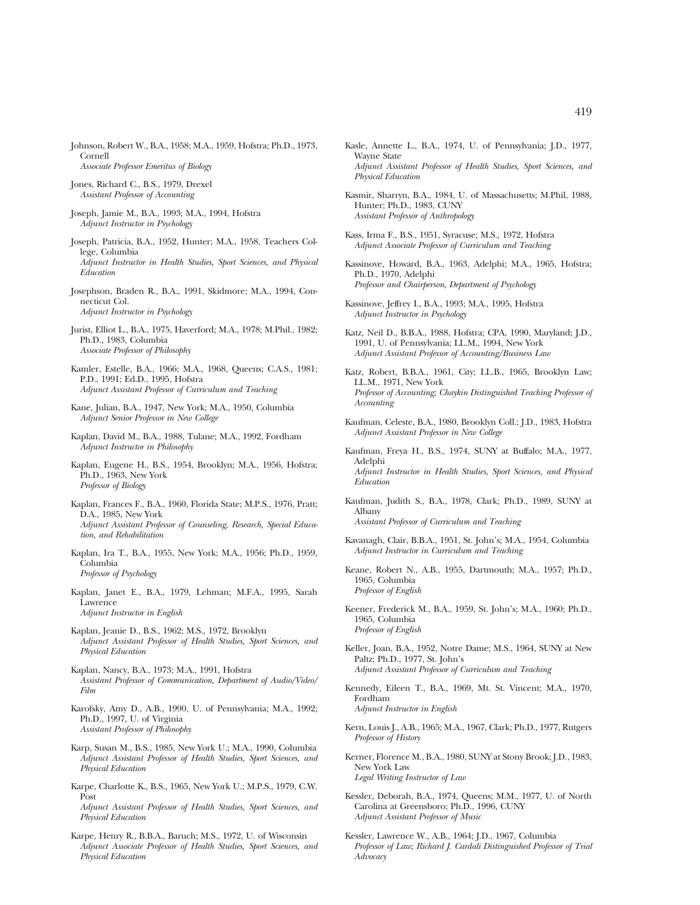Johnson, Robert W., B.A., 1958; M.A., 1959, Hofstra; Ph.D., 1973, Cornell *Associate Professor Emeritus of Biology*

Jones, Richard C., B.S., 1979, Drexel *Assistant Professor of Accounting*

- Joseph, Jamie M., B.A., 1993; M.A., 1994, Hofstra *Adjunct Instructor in Psychology*
- Joseph, Patricia, B.A., 1952, Hunter; M.A., 1958, Teachers College, Columbia *Adjunct Instructor in Health Studies, Sport Sciences, and Physical Education*
- Josephson, Braden R., B.A., 1991, Skidmore; M.A., 1994, Connecticut Col. *Adjunct Instructor in Psychology*
- Jurist, Elliot L., B.A., 1975, Haverford; M.A., 1978; M.Phil., 1982; Ph.D., 1983, Columbia *Associate Professor of Philosophy*
- Kamler, Estelle, B.A., 1966; M.A., 1968, Queens; C.A.S., 1981; P.D., 1991; Ed.D., 1995, Hofstra *Adjunct Assistant Professor of Curriculum and Teaching*
- Kane, Julian, B.A., 1947, New York; M.A., 1950, Columbia *Adjunct Senior Professor in New College*
- Kaplan, David M., B.A., 1988, Tulane; M.A., 1992, Fordham *Adjunct Instructor in Philosophy*
- Kaplan, Eugene H., B.S., 1954, Brooklyn; M.A., 1956, Hofstra; Ph.D., 1963, New York *Professor of Biology*
- Kaplan, Frances F., B.A., 1960, Florida State; M.P.S., 1976, Pratt; D.A., 1985, New York *Adjunct Assistant Professor of Counseling, Research, Special Education, and Rehabilitation*
- Kaplan, Ira T., B.A., 1955, New York; M.A., 1956; Ph.D., 1959, Columbia *Professor of Psychology*
- Kaplan, Janet E., B.A., 1979, Lehman; M.F.A., 1995, Sarah Lawrence *Adjunct Instructor in English*
- Kaplan, Jeanie D., B.S., 1962; M.S., 1972, Brooklyn *Adjunct Assistant Professor of Health Studies, Sport Sciences, and Physical Education*
- Kaplan, Nancy, B.A., 1973; M.A., 1991, Hofstra *Assistant Professor of Communication, Department of Audio/Video/ Film*
- Karofsky, Amy D., A.B., 1990, U. of Pennsylvania; M.A., 1992; Ph.D., 1997, U. of Virginia *Assistant Professor of Philosophy*
- Karp, Susan M., B.S., 1985, New York U.; M.A., 1990, Columbia *Adjunct Assistant Professor of Health Studies, Sport Sciences, and Physical Education*
- Karpe, Charlotte K., B.S., 1965, New York U.; M.P.S., 1979, C.W. Post
	- *Adjunct Assistant Professor of Health Studies, Sport Sciences, and Physical Education*
- Karpe, Henry R., B.B.A., Baruch; M.S., 1972, U. of Wisconsin *Adjunct Associate Professor of Health Studies, Sport Sciences, and Physical Education*
- Kasle, Annette L., B.A., 1974, U. of Pennsylvania; J.D., 1977, Wayne State *Adjunct Assistant Professor of Health Studies, Sport Sciences, and Physical Education*
- Kasmir, Sharryn, B.A., 1984, U. of Massachusetts; M.Phil, 1988, Hunter; Ph.D., 1983, CUNY *Assistant Professor of Anthropology*
- Kass, Irma F., B.S., 1951, Syracuse; M.S., 1972, Hofstra *Adjunct Associate Professor of Curriculum and Teaching*
- Kassinove, Howard, B.A., 1963, Adelphi; M.A., 1965, Hofstra; Ph.D., 1970, Adelphi *Professor and Chairperson, Department of Psychology*
- Kassinove, Jeffrey I., B.A., 1993; M.A., 1995, Hofstra *Adjunct Instructor in Psychology*
- Katz, Neil D., B.B.A., 1988, Hofstra; CPA, 1990, Maryland; J.D., 1991, U. of Pennsylvania; LL.M., 1994, New York *Adjunct Assistant Professor of Accounting/Business Law*
- Katz, Robert, B.B.A., 1961, City; LL.B., 1965, Brooklyn Law; LL.M., 1971, New York *Professor of Accounting; Chaykin Distinguished Teaching Professor of Accounting*
- Kaufman, Celeste, B.A., 1980, Brooklyn Coll.; J.D., 1983, Hofstra *Adjunct Assistant Professor in New College*
- Kaufman, Freya H., B.S., 1974, SUNY at Buffalo; M.A., 1977, Adelphi
- *Adjunct Instructor in Health Studies, Sport Sciences, and Physical Education*
- Kaufman, Judith S., B.A., 1978, Clark; Ph.D., 1989, SUNY at Albany *Assistant Professor of Curriculum and Teaching*
- Kavanagh, Clair, B.B.A., 1951, St. John's; M.A., 1954, Columbia *Adjunct Instructor in Curriculum and Teaching*
- Keane, Robert N., A.B., 1955, Dartmouth; M.A., 1957; Ph.D., 1965, Columbia *Professor of English*
- Keener, Frederick M., B.A., 1959, St. John's; M.A., 1960; Ph.D., 1965, Columbia *Professor of English*
- Keller, Joan, B.A., 1952, Notre Dame; M.S., 1964, SUNY at New Paltz; Ph.D., 1977, St. John's *Adjunct Assistant Professor of Curriculum and Teaching*
- Kennedy, Eileen T., B.A., 1969, Mt. St. Vincent; M.A., 1970, Fordham *Adjunct Instructor in English*
- Kern, Louis J., A.B., 1965; M.A., 1967, Clark; Ph.D., 1977, Rutgers *Professor of History*
- Kerner, Florence M., B.A., 1980, SUNY at Stony Brook; J.D., 1983, New York Law *Legal Writing Instructor of Law*
- Kessler, Deborah, B.A., 1974, Queens; M.M., 1977, U. of North Carolina at Greensboro; Ph.D., 1996, CUNY *Adjunct Assistant Professor of Music*
- Kessler, Lawrence W., A.B., 1964; J.D., 1967, Columbia *Professor of Law; Richard J. Cardali Distinguished Professor of Trial Advocacy*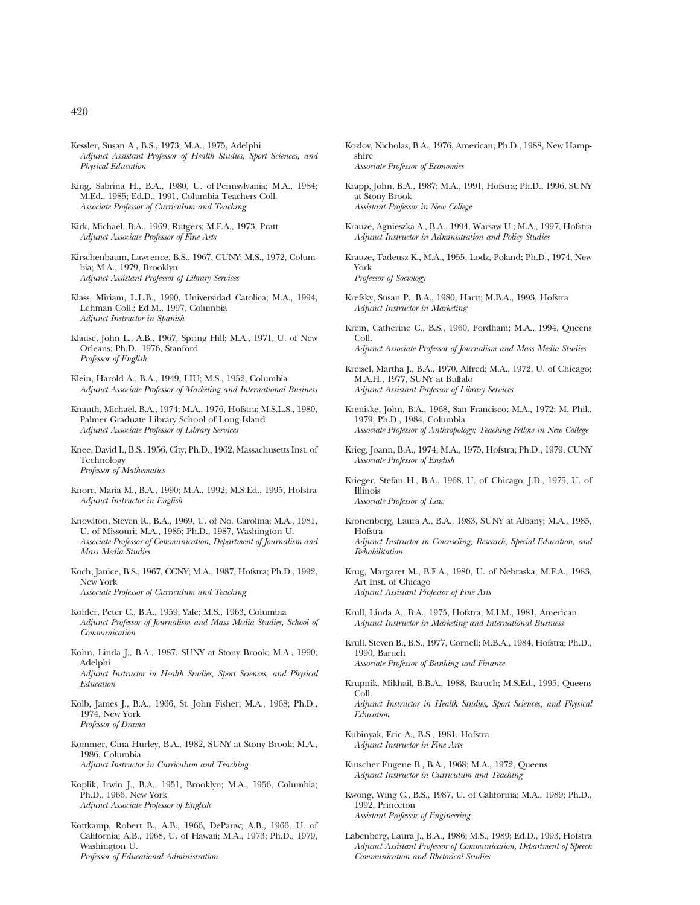- Kessler, Susan A., B.S., 1973; M.A., 1975, Adelphi *Adjunct Assistant Professor of Health Studies, Sport Sciences, and Physical Education*
- King, Sabrina H., B.A., 1980, U. of Pennsylvania; M.A., 1984; M.Ed., 1985; Ed.D., 1991, Columbia Teachers Coll. *Associate Professor of Curriculum and Teaching*
- Kirk, Michael, B.A., 1969, Rutgers; M.F.A., 1973, Pratt *Adjunct Associate Professor of Fine Arts*
- Kirschenbaum, Lawrence, B.S., 1967, CUNY; M.S., 1972, Columbia; M.A., 1979, Brooklyn *Adjunct Assistant Professor of Library Services*
- Klass, Miriam, L.L.B., 1990, Universidad Catolica; M.A., 1994, Lehman Coll.; Ed.M., 1997, Columbia *Adjunct Instructor in Spanish*
- Klause, John L., A.B., 1967, Spring Hill; M.A., 1971, U. of New Orleans; Ph.D., 1976, Stanford *Professor of English*
- Klein, Harold A., B.A., 1949, LIU; M.S., 1952, Columbia *Adjunct Associate Professor of Marketing and International Business*
- Knauth, Michael, B.A., 1974; M.A., 1976, Hofstra; M.S.L.S., 1980, Palmer Graduate Library School of Long Island *Adjunct Associate Professor of Library Services*
- Knee, David I., B.S., 1956, City; Ph.D., 1962, Massachusetts Inst. of Technology *Professor of Mathematics*
- Knorr, Maria M., B.A., 1990; M.A., 1992; M.S.Ed., 1995, Hofstra *Adjunct Instructor in English*
- Knowlton, Steven R., B.A., 1969, U. of No. Carolina; M.A., 1981, U. of Missouri; M.A., 1985; Ph.D., 1987, Washington U. *Associate Professor of Communication, Department of Journalism and Mass Media Studies*
- Koch, Janice, B.S., 1967, CCNY; M.A., 1987, Hofstra; Ph.D., 1992, New York *Associate Professor of Curriculum and Teaching*
- Kohler, Peter C., B.A., 1959, Yale; M.S., 1963, Columbia *Adjunct Professor of Journalism and Mass Media Studies, School of Communication*
- Kohn, Linda J., B.A., 1987, SUNY at Stony Brook; M.A., 1990, Adelphi *Adjunct Instructor in Health Studies, Sport Sciences, and Physical Education*
- Kolb, James J., B.A., 1966, St. John Fisher; M.A., 1968; Ph.D., 1974, New York *Professor of Drama*
- Kommer, Gina Hurley, B.A., 1982, SUNY at Stony Brook; M.A., 1986, Columbia *Adjunct Instructor in Curriculum and Teaching*
- Koplik, Irwin J., B.A., 1951, Brooklyn; M.A., 1956, Columbia; Ph.D., 1966, New York *Adjunct Associate Professor of English*
- Kottkamp, Robert B., A.B., 1966, DePauw; A.B., 1966, U. of California; A.B., 1968, U. of Hawaii; M.A., 1973; Ph.D., 1979, Washington U. *Professor of Educational Administration*
- Kozlov, Nicholas, B.A., 1976, American; Ph.D., 1988, New Hampshire *Associate Professor of Economics*
- Krapp, John, B.A., 1987; M.A., 1991, Hofstra; Ph.D., 1996, SUNY at Stony Brook *Assistant Professor in New College*
- Krauze, Agnieszka A., B.A., 1994, Warsaw U.; M.A., 1997, Hofstra *Adjunct Instructor in Administration and Policy Studies*
- Krauze, Tadeusz K., M.A., 1955, Lodz, Poland; Ph.D., 1974, New York *Professor of Sociology*
- Krefsky, Susan P., B.A., 1980, Hartt; M.B.A., 1993, Hofstra *Adjunct Instructor in Marketing*
- Krein, Catherine C., B.S., 1960, Fordham; M.A., 1994, Queens Coll. *Adjunct Associate Professor of Journalism and Mass Media Studies*
- Kreisel, Martha J., B.A., 1970, Alfred; M.A., 1972, U. of Chicago; M.A.H., 1977, SUNY at Buffalo *Adjunct Assistant Professor of Library Services*
- Kreniske, John, B.A., 1968, San Francisco; M.A., 1972; M. Phil., 1979; Ph.D., 1984, Columbia *Associate Professor of Anthropology; Teaching Fellow in New College*
- Krieg, Joann, B.A., 1974; M.A., 1975, Hofstra; Ph.D., 1979, CUNY *Associate Professor of English*
- Krieger, Stefan H., B.A., 1968, U. of Chicago; J.D., 1975, U. of Illinois
	- *Associate Professor of Law*
- Kronenberg, Laura A., B.A., 1983, SUNY at Albany; M.A., 1985, Hofstra
- *Adjunct Instructor in Counseling, Research, Special Education, and Rehabilitation*
- Krug, Margaret M., B.F.A., 1980, U. of Nebraska; M.F.A., 1983, Art Inst. of Chicago *Adjunct Assistant Professor of Fine Arts*
- Krull, Linda A., B.A., 1975, Hofstra; M.I.M., 1981, American *Adjunct Instructor in Marketing and International Business*
- Krull, Steven B., B.S., 1977, Cornell; M.B.A., 1984, Hofstra; Ph.D., 1990, Baruch *Associate Professor of Banking and Finance*
- Krupnik, Mikhail, B.B.A., 1988, Baruch; M.S.Ed., 1995, Queens Coll. *Adjunct Instructor in Health Studies, Sport Sciences, and Physical Education*
- Kubinyak, Eric A., B.S., 1981, Hofstra *Adjunct Instructor in Fine Arts*
- Kutscher Eugene B., B.A., 1968; M.A., 1972, Queens *Adjunct Instructor in Curriculum and Teaching*
- Kwong, Wing C., B.S., 1987, U. of California; M.A., 1989; Ph.D., 1992, Princeton *Assistant Professor of Engineering*
- Labenberg, Laura J., B.A., 1986; M.S., 1989; Ed.D., 1993, Hofstra *Adjunct Assistant Professor of Communication, Department of Speech Communication and Rhetorical Studies*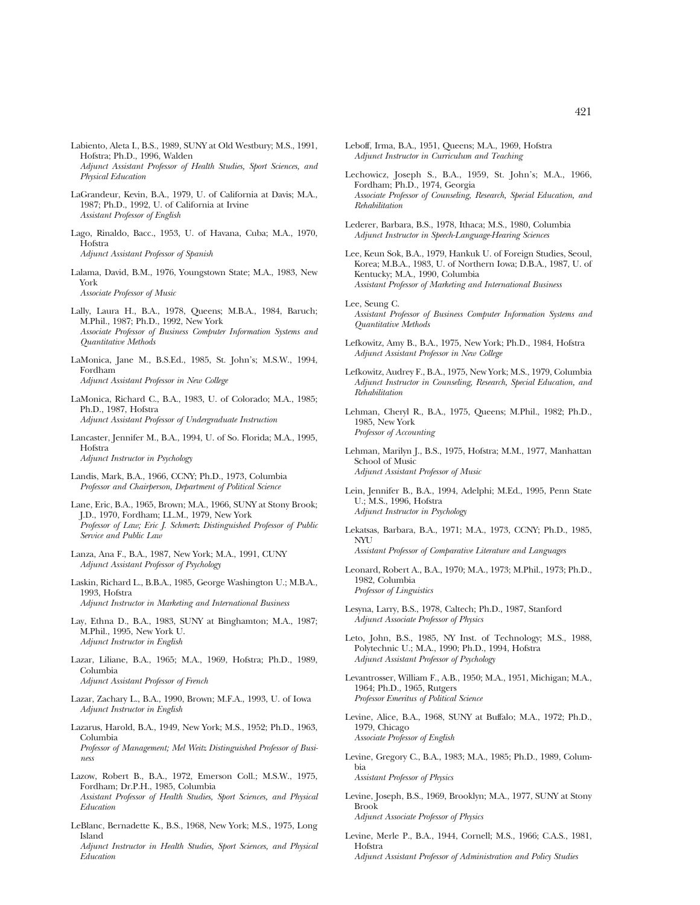- Labiento, Aleta I., B.S., 1989, SUNY at Old Westbury; M.S., 1991, Hofstra; Ph.D., 1996, Walden *Adjunct Assistant Professor of Health Studies, Sport Sciences, and Physical Education*
- LaGrandeur, Kevin, B.A., 1979, U. of California at Davis; M.A., 1987; Ph.D., 1992, U. of California at Irvine *Assistant Professor of English*
- Lago, Rinaldo, Bacc., 1953, U. of Havana, Cuba; M.A., 1970, Hofstra *Adjunct Assistant Professor of Spanish*
- Lalama, David, B.M., 1976, Youngstown State; M.A., 1983, New York *Associate Professor of Music*
- Lally, Laura H., B.A., 1978, Queens; M.B.A., 1984, Baruch; M.Phil., 1987; Ph.D., 1992, New York *Associate Professor of Business Computer Information Systems and Quantitative Methods*
- LaMonica, Jane M., B.S.Ed., 1985, St. John's; M.S.W., 1994, Fordham *Adjunct Assistant Professor in New College*
- LaMonica, Richard C., B.A., 1983, U. of Colorado; M.A., 1985; Ph.D., 1987, Hofstra *Adjunct Assistant Professor of Undergraduate Instruction*
- Lancaster, Jennifer M., B.A., 1994, U. of So. Florida; M.A., 1995, Hofstra *Adjunct Instructor in Psychology*

Landis, Mark, B.A., 1966, CCNY; Ph.D., 1973, Columbia *Professor and Chairperson, Department of Political Science*

- Lane, Eric, B.A., 1965, Brown; M.A., 1966, SUNY at Stony Brook; J.D., 1970, Fordham; LL.M., 1979, New York *Professor of Law; Eric J. Schmertz Distinguished Professor of Public Service and Public Law*
- Lanza, Ana F., B.A., 1987, New York; M.A., 1991, CUNY *Adjunct Assistant Professor of Psychology*
- Laskin, Richard L., B.B.A., 1985, George Washington U.; M.B.A., 1993, Hofstra *Adjunct Instructor in Marketing and International Business*
- Lay, Ethna D., B.A., 1983, SUNY at Binghamton; M.A., 1987; M.Phil., 1995, New York U. *Adjunct Instructor in English*
- Lazar, Liliane, B.A., 1965; M.A., 1969, Hofstra; Ph.D., 1989, Columbia *Adjunct Assistant Professor of French*
- Lazar, Zachary L., B.A., 1990, Brown; M.F.A., 1993, U. of Iowa

*Adjunct Instructor in English*

Lazarus, Harold, B.A., 1949, New York; M.S., 1952; Ph.D., 1963, Columbia *Professor of Management; Mel Weitz Distinguished Professor of Busi-*

*ness*

- Lazow, Robert B., B.A., 1972, Emerson Coll.; M.S.W., 1975, Fordham; Dr.P.H., 1985, Columbia *Assistant Professor of Health Studies, Sport Sciences, and Physical Education*
- LeBlanc, Bernadette K., B.S., 1968, New York; M.S., 1975, Long Island

*Adjunct Instructor in Health Studies, Sport Sciences, and Physical Education*

- Leboff, Irma, B.A., 1951, Queens; M.A., 1969, Hofstra *Adjunct Instructor in Curriculum and Teaching*
- Lechowicz, Joseph S., B.A., 1959, St. John's; M.A., 1966, Fordham; Ph.D., 1974, Georgia *Associate Professor of Counseling, Research, Special Education, and Rehabilitation*
- Lederer, Barbara, B.S., 1978, Ithaca; M.S., 1980, Columbia *Adjunct Instructor in Speech-Language-Hearing Sciences*
- Lee, Keun Sok, B.A., 1979, Hankuk U. of Foreign Studies, Seoul, Korea; M.B.A., 1983, U. of Northern Iowa; D.B.A., 1987, U. of Kentucky; M.A., 1990, Columbia *Assistant Professor of Marketing and International Business*
- Lee, Seung C. *Assistant Professor of Business Computer Information Systems and Quantitative Methods*
- Lefkowitz, Amy B., B.A., 1975, New York; Ph.D., 1984, Hofstra *Adjunct Assistant Professor in New College*
- Lefkowitz, Audrey F., B.A., 1975, New York; M.S., 1979, Columbia *Adjunct Instructor in Counseling, Research, Special Education, and Rehabilitation*
- Lehman, Cheryl R., B.A., 1975, Queens; M.Phil., 1982; Ph.D., 1985, New York *Professor of Accounting*
- Lehman, Marilyn J., B.S., 1975, Hofstra; M.M., 1977, Manhattan School of Music *Adjunct Assistant Professor of Music*
- Lein, Jennifer B., B.A., 1994, Adelphi; M.Ed., 1995, Penn State U.; M.S., 1996, Hofstra *Adjunct Instructor in Psychology*
- Lekatsas, Barbara, B.A., 1971; M.A., 1973, CCNY; Ph.D., 1985, NYU *Assistant Professor of Comparative Literature and Languages*
	-
- Leonard, Robert A., B.A., 1970; M.A., 1973; M.Phil., 1973; Ph.D., 1982, Columbia *Professor of Linguistics*
- Lesyna, Larry, B.S., 1978, Caltech; Ph.D., 1987, Stanford *Adjunct Associate Professor of Physics*
- Leto, John, B.S., 1985, NY Inst. of Technology; M.S., 1988, Polytechnic U.; M.A., 1990; Ph.D., 1994, Hofstra *Adjunct Assistant Professor of Psychology*
- Levantrosser, William F., A.B., 1950; M.A., 1951, Michigan; M.A., 1964; Ph.D., 1965, Rutgers *Professor Emeritus of Political Science*
- Levine, Alice, B.A., 1968, SUNY at Buffalo; M.A., 1972; Ph.D., 1979, Chicago *Associate Professor of English*
- Levine, Gregory C., B.A., 1983; M.A., 1985; Ph.D., 1989, Columbia

*Assistant Professor of Physics*

- Levine, Joseph, B.S., 1969, Brooklyn; M.A., 1977, SUNY at Stony Brook *Adjunct Associate Professor of Physics*
- Levine, Merle P., B.A., 1944, Cornell; M.S., 1966; C.A.S., 1981, Hofstra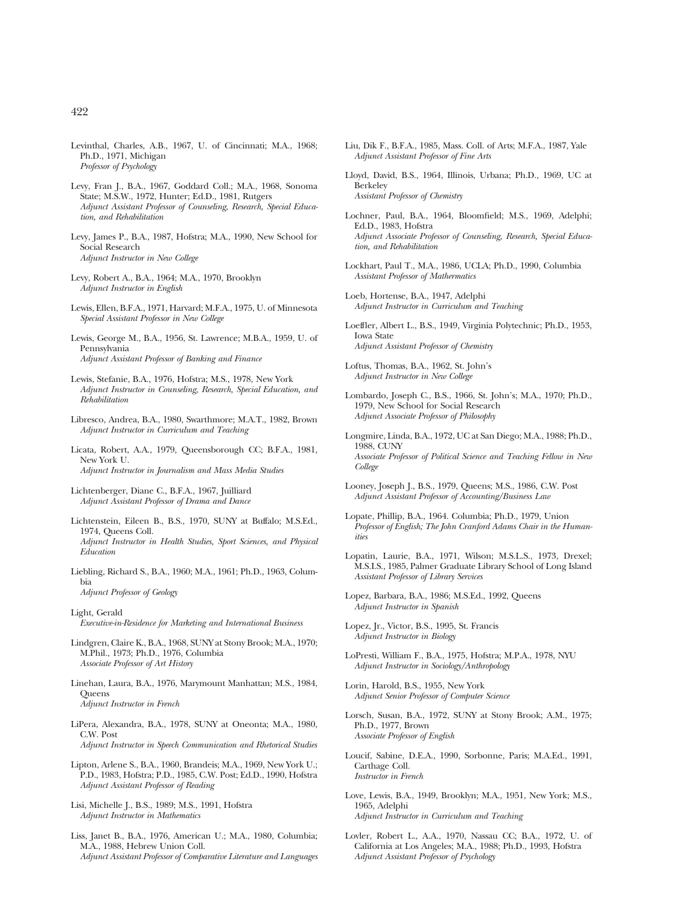- Levinthal, Charles, A.B., 1967, U. of Cincinnati; M.A., 1968; Ph.D., 1971, Michigan *Professor of Psychology*
- Levy, Fran J., B.A., 1967, Goddard Coll.; M.A., 1968, Sonoma State; M.S.W., 1972, Hunter; Ed.D., 1981, Rutgers *Adjunct Assistant Professor of Counseling, Research, Special Education, and Rehabilitation*
- Levy, James P., B.A., 1987, Hofstra; M.A., 1990, New School for Social Research *Adjunct Instructor in New College*
- Levy, Robert A., B.A., 1964; M.A., 1970, Brooklyn *Adjunct Instructor in English*
- Lewis, Ellen, B.F.A., 1971, Harvard; M.F.A., 1975, U. of Minnesota *Special Assistant Professor in New College*
- Lewis, George M., B.A., 1956, St. Lawrence; M.B.A., 1959, U. of Pennsylvania *Adjunct Assistant Professor of Banking and Finance*
- Lewis, Stefanie, B.A., 1976, Hofstra; M.S., 1978, New York *Adjunct Instructor in Counseling, Research, Special Education, and Rehabilitation*
- Libresco, Andrea, B.A., 1980, Swarthmore; M.A.T., 1982, Brown *Adjunct Instructor in Curriculum and Teaching*
- Licata, Robert, A.A., 1979, Queensborough CC; B.F.A., 1981, New York U. *Adjunct Instructor in Journalism and Mass Media Studies*
- Lichtenberger, Diane C., B.F.A., 1967, Juilliard *Adjunct Assistant Professor of Drama and Dance*
- Lichtenstein, Eileen B., B.S., 1970, SUNY at Buffalo; M.S.Ed., 1974, Queens Coll. *Adjunct Instructor in Health Studies, Sport Sciences, and Physical*
- Liebling, Richard S., B.A., 1960; M.A., 1961; Ph.D., 1963, Columbia

*Adjunct Professor of Geology*

*Education*

- Light, Gerald *Executive-in-Residence for Marketing and International Business*
- Lindgren, Claire K., B.A., 1968, SUNY at Stony Brook; M.A., 1970; M.Phil., 1973; Ph.D., 1976, Columbia *Associate Professor of Art History*
- Linehan, Laura, B.A., 1976, Marymount Manhattan; M.S., 1984, **Queens** *Adjunct Instructor in French*
- LiPera, Alexandra, B.A., 1978, SUNY at Oneonta; M.A., 1980, C.W. Post
- *Adjunct Instructor in Speech Communication and Rhetorical Studies*
- Lipton, Arlene S., B.A., 1960, Brandeis; M.A., 1969, New York U.; P.D., 1983, Hofstra; P.D., 1985, C.W. Post; Ed.D., 1990, Hofstra *Adjunct Assistant Professor of Reading*
- Lisi, Michelle J., B.S., 1989; M.S., 1991, Hofstra *Adjunct Instructor in Mathematics*
- Liss, Janet B., B.A., 1976, American U.; M.A., 1980, Columbia; M.A., 1988, Hebrew Union Coll. *Adjunct Assistant Professor of Comparative Literature and Languages*
- Liu, Dik F., B.F.A., 1985, Mass. Coll. of Arts; M.F.A., 1987, Yale *Adjunct Assistant Professor of Fine Arts*
- Lloyd, David, B.S., 1964, Illinois, Urbana; Ph.D., 1969, UC at Berkeley *Assistant Professor of Chemistry*
- Lochner, Paul, B.A., 1964, Bloomfield; M.S., 1969, Adelphi; Ed.D., 1983, Hofstra *Adjunct Associate Professor of Counseling, Research, Special Education, and Rehabilitation*
- Lockhart, Paul T., M.A., 1986, UCLA; Ph.D., 1990, Columbia *Assistant Professor of Mathermatics*
- Loeb, Hortense, B.A., 1947, Adelphi *Adjunct Instructor in Curriculum and Teaching*
- Loeffler, Albert L., B.S., 1949, Virginia Polytechnic; Ph.D., 1953, Iowa State *Adjunct Assistant Professor of Chemistry*
- Loftus, Thomas, B.A., 1962, St. John's *Adjunct Instructor in New College*
- Lombardo, Joseph C., B.S., 1966, St. John's; M.A., 1970; Ph.D., 1979, New School for Social Research *Adjunct Associate Professor of Philosophy*
- Longmire, Linda, B.A., 1972, UC at San Diego; M.A., 1988; Ph.D., 1988, CUNY *Associate Professor of Political Science and Teaching Fellow in New College*
- Looney, Joseph J., B.S., 1979, Queens; M.S., 1986, C.W. Post *Adjunct Assistant Professor of Accounting/Business Law*
- Lopate, Phillip, B.A., 1964. Columbia; Ph.D., 1979, Union *Professor of English; The John Cranford Adams Chair in the Humanities*
- Lopatin, Laurie, B.A., 1971, Wilson; M.S.L.S., 1973, Drexel; M.S.I.S., 1985, Palmer Graduate Library School of Long Island *Assistant Professor of Library Services*
- Lopez, Barbara, B.A., 1986; M.S.Ed., 1992, Queens *Adjunct Instructor in Spanish*
- Lopez, Jr., Victor, B.S., 1995, St. Francis *Adjunct Instructor in Biology*
- LoPresti, William F., B.A., 1975, Hofstra; M.P.A., 1978, NYU *Adjunct Instructor in Sociology/Anthropology*
- Lorin, Harold, B.S., 1955, New York *Adjunct Senior Professor of Computer Science*
- Lorsch, Susan, B.A., 1972, SUNY at Stony Brook; A.M., 1975; Ph.D., 1977, Brown *Associate Professor of English*
- Loucif, Sabine, D.E.A., 1990, Sorbonne, Paris; M.A.Ed., 1991, Carthage Coll. *Instructor in French*
- Love, Lewis, B.A., 1949, Brooklyn; M.A., 1951, New York; M.S., 1965, Adelphi *Adjunct Instructor in Curriculum and Teaching*
- Lovler, Robert L., A.A., 1970, Nassau CC; B.A., 1972, U. of California at Los Angeles; M.A., 1988; Ph.D., 1993, Hofstra *Adjunct Assistant Professor of Psychology*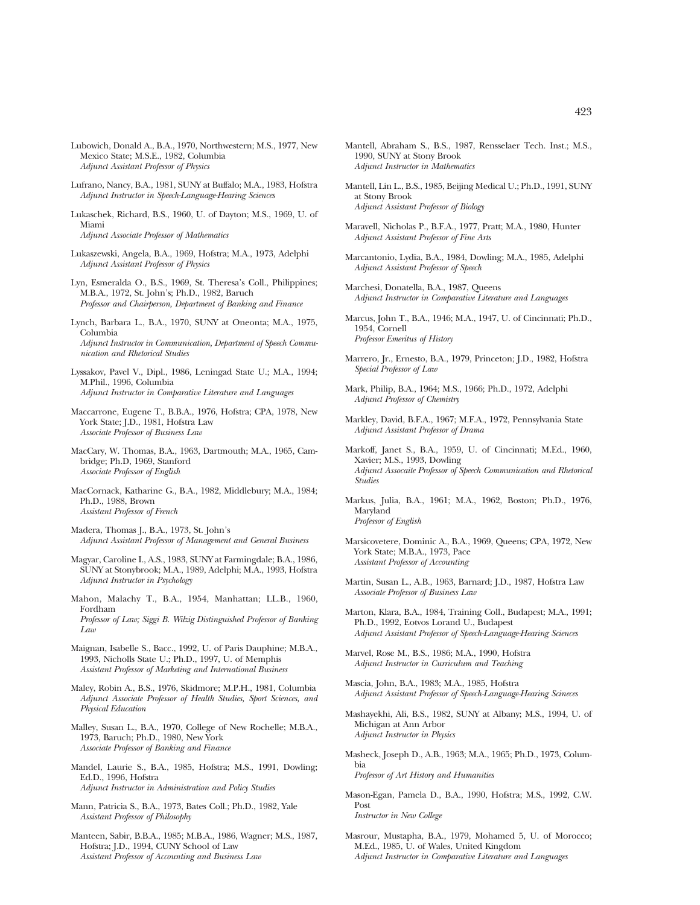- Lubowich, Donald A., B.A., 1970, Northwestern; M.S., 1977, New Mexico State; M.S.E., 1982, Columbia *Adjunct Assistant Professor of Physics*
- Lufrano, Nancy, B.A., 1981, SUNY at Buffalo; M.A., 1983, Hofstra *Adjunct Instructor in Speech-Language-Hearing Sciences*
- Lukaschek, Richard, B.S., 1960, U. of Dayton; M.S., 1969, U. of Miami *Adjunct Associate Professor of Mathematics*
- Lukaszewski, Angela, B.A., 1969, Hofstra; M.A., 1973, Adelphi
- *Adjunct Assistant Professor of Physics* Lyn, Esmeralda O., B.S., 1969, St. Theresa's Coll., Philippines; M.B.A., 1972, St. John's; Ph.D., 1982, Baruch
- *Professor and Chairperson, Department of Banking and Finance*
- Lynch, Barbara L., B.A., 1970, SUNY at Oneonta; M.A., 1975, Columbia *Adjunct Instructor in Communication, Department of Speech Communication and Rhetorical Studies*
- Lyssakov, Pavel V., Dipl., 1986, Leningad State U.; M.A., 1994; M.Phil., 1996, Columbia *Adjunct Instructor in Comparative Literature and Languages*
- Maccarrone, Eugene T., B.B.A., 1976, Hofstra; CPA, 1978, New York State; J.D., 1981, Hofstra Law *Associate Professor of Business Law*
- MacCary, W. Thomas, B.A., 1963, Dartmouth; M.A., 1965, Cambridge; Ph.D, 1969, Stanford *Associate Professor of English*
- MacCornack, Katharine G., B.A., 1982, Middlebury; M.A., 1984; Ph.D., 1988, Brown *Assistant Professor of French*
- Madera, Thomas J., B.A., 1973, St. John's *Adjunct Assistant Professor of Management and General Business*
- Magyar, Caroline I., A.S., 1983, SUNY at Farmingdale; B.A., 1986, SUNY at Stonybrook; M.A., 1989, Adelphi; M.A., 1993, Hofstra *Adjunct Instructor in Psychology*
- Mahon, Malachy T., B.A., 1954, Manhattan; LL.B., 1960, Fordham
	- *Professor of Law; Siggi B. Wilzig Distinguished Professor of Banking Law*
- Maignan, Isabelle S., Bacc., 1992, U. of Paris Dauphine; M.B.A., 1993, Nicholls State U.; Ph.D., 1997, U. of Memphis *Assistant Professor of Marketing and International Business*
- Maley, Robin A., B.S., 1976, Skidmore; M.P.H., 1981, Columbia *Adjunct Associate Professor of Health Studies, Sport Sciences, and Physical Education*
- Malley, Susan L., B.A., 1970, College of New Rochelle; M.B.A., 1973, Baruch; Ph.D., 1980, New York *Associate Professor of Banking and Finance*
- Mandel, Laurie S., B.A., 1985, Hofstra; M.S., 1991, Dowling; Ed.D., 1996, Hofstra *Adjunct Instructor in Administration and Policy Studies*
- Mann, Patricia S., B.A., 1973, Bates Coll.; Ph.D., 1982, Yale *Assistant Professor of Philosophy*
- Manteen, Sabir, B.B.A., 1985; M.B.A., 1986, Wagner; M.S., 1987, Hofstra; J.D., 1994, CUNY School of Law *Assistant Professor of Accounting and Business Law*
- Mantell, Abraham S., B.S., 1987, Rensselaer Tech. Inst.; M.S., 1990, SUNY at Stony Brook *Adjunct Instructor in Mathematics*
- Mantell, Lin L., B.S., 1985, Beijing Medical U.; Ph.D., 1991, SUNY at Stony Brook *Adjunct Assistant Professor of Biology*
- Maravell, Nicholas P., B.F.A., 1977, Pratt; M.A., 1980, Hunter *Adjunct Assistant Professor of Fine Arts*
- Marcantonio, Lydia, B.A., 1984, Dowling; M.A., 1985, Adelphi *Adjunct Assistant Professor of Speech*
- Marchesi, Donatella, B.A., 1987, Queens *Adjunct Instructor in Comparative Literature and Languages*
- Marcus, John T., B.A., 1946; M.A., 1947, U. of Cincinnati; Ph.D., 1954, Cornell *Professor Emeritus of History*
- Marrero, Jr., Ernesto, B.A., 1979, Princeton; J.D., 1982, Hofstra *Special Professor of Law*
- Mark, Philip, B.A., 1964; M.S., 1966; Ph.D., 1972, Adelphi *Adjunct Professor of Chemistry*
- Markley, David, B.F.A., 1967; M.F.A., 1972, Pennsylvania State *Adjunct Assistant Professor of Drama*
- Markoff, Janet S., B.A., 1959, U. of Cincinnati; M.Ed., 1960, Xavier; M.S., 1993, Dowling *Adjunct Assocaite Professor of Speech Communication and Rhetorical Studies*
- Markus, Julia, B.A., 1961; M.A., 1962, Boston; Ph.D., 1976, Maryland *Professor of English*
- Marsicovetere, Dominic A., B.A., 1969, Queens; CPA, 1972, New York State; M.B.A., 1973, Pace *Assistant Professor of Accounting*
- Martin, Susan L., A.B., 1963, Barnard; J.D., 1987, Hofstra Law *Associate Professor of Business Law*
- Marton, Klara, B.A., 1984, Training Coll., Budapest; M.A., 1991; Ph.D., 1992, Eotvos Lorand U., Budapest *Adjunct Assistant Professor of Speech-Language-Hearing Sciences*
- Marvel, Rose M., B.S., 1986; M.A., 1990, Hofstra *Adjunct Instructor in Curriculum and Teaching*
- Mascia, John, B.A., 1983; M.A., 1985, Hofstra *Adjunct Assistant Professor of Speech-Language-Hearing Scineces*
- Mashayekhi, Ali, B.S., 1982, SUNY at Albany; M.S., 1994, U. of Michigan at Ann Arbor *Adjunct Instructor in Physics*
- Masheck, Joseph D., A.B., 1963; M.A., 1965; Ph.D., 1973, Columbia *Professor of Art History and Humanities*
- Mason-Egan, Pamela D., B.A., 1990, Hofstra; M.S., 1992, C.W. Post *Instructor in New College*
- Masrour, Mustapha, B.A., 1979, Mohamed 5, U. of Morocco; M.Ed., 1985, U. of Wales, United Kingdom *Adjunct Instructor in Comparative Literature and Languages*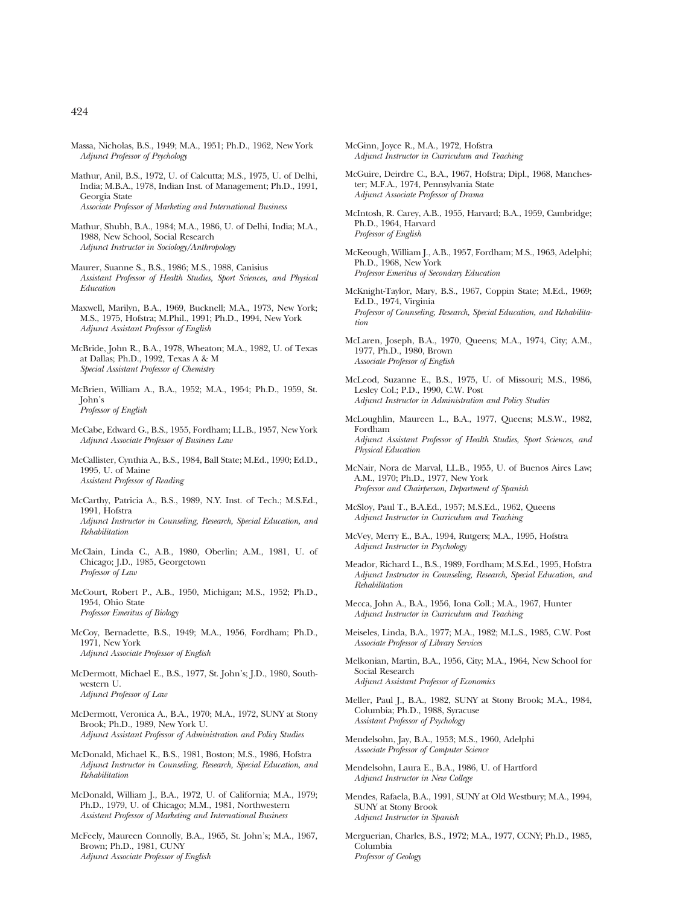- Massa, Nicholas, B.S., 1949; M.A., 1951; Ph.D., 1962, New York *Adjunct Professor of Psychology*
- Mathur, Anil, B.S., 1972, U. of Calcutta; M.S., 1975, U. of Delhi, India; M.B.A., 1978, Indian Inst. of Management; Ph.D., 1991, Georgia State *Associate Professor of Marketing and International Business*
- Mathur, Shubh, B.A., 1984; M.A., 1986, U. of Delhi, India; M.A., 1988, New School, Social Research *Adjunct Instructor in Sociology/Anthropology*
- Maurer, Suanne S., B.S., 1986; M.S., 1988, Canisius *Assistant Professor of Health Studies, Sport Sciences, and Physical Education*
- Maxwell, Marilyn, B.A., 1969, Bucknell; M.A., 1973, New York; M.S., 1975, Hofstra; M.Phil., 1991; Ph.D., 1994, New York *Adjunct Assistant Professor of English*
- McBride, John R., B.A., 1978, Wheaton; M.A., 1982, U. of Texas at Dallas; Ph.D., 1992, Texas A & M *Special Assistant Professor of Chemistry*
- McBrien, William A., B.A., 1952; M.A., 1954; Ph.D., 1959, St. John's *Professor of English*
- McCabe, Edward G., B.S., 1955, Fordham; LL.B., 1957, New York *Adjunct Associate Professor of Business Law*
- McCallister, Cynthia A., B.S., 1984, Ball State; M.Ed., 1990; Ed.D., 1995, U. of Maine *Assistant Professor of Reading*
- McCarthy, Patricia A., B.S., 1989, N.Y. Inst. of Tech.; M.S.Ed., 1991, Hofstra *Adjunct Instructor in Counseling, Research, Special Education, and Rehabilitation*
- McClain, Linda C., A.B., 1980, Oberlin; A.M., 1981, U. of Chicago; J.D., 1985, Georgetown *Professor of Law*
- McCourt, Robert P., A.B., 1950, Michigan; M.S., 1952; Ph.D., 1954, Ohio State *Professor Emeritus of Biology*
- McCoy, Bernadette, B.S., 1949; M.A., 1956, Fordham; Ph.D., 1971, New York *Adjunct Associate Professor of English*
- McDermott, Michael E., B.S., 1977, St. John's; J.D., 1980, Southwestern U. *Adjunct Professor of Law*
- McDermott, Veronica A., B.A., 1970; M.A., 1972, SUNY at Stony Brook; Ph.D., 1989, New York U. *Adjunct Assistant Professor of Administration and Policy Studies*
- McDonald, Michael K., B.S., 1981, Boston; M.S., 1986, Hofstra *Adjunct Instructor in Counseling, Research, Special Education, and Rehabilitation*
- McDonald, William J., B.A., 1972, U. of California; M.A., 1979; Ph.D., 1979, U. of Chicago; M.M., 1981, Northwestern *Assistant Professor of Marketing and International Business*
- McFeely, Maureen Connolly, B.A., 1965, St. John's; M.A., 1967, Brown; Ph.D., 1981, CUNY *Adjunct Associate Professor of English*
- McGinn, Joyce R., M.A., 1972, Hofstra *Adjunct Instructor in Curriculum and Teaching*
- McGuire, Deirdre C., B.A., 1967, Hofstra; Dipl., 1968, Manchester; M.F.A., 1974, Pennsylvania State *Adjunct Associate Professor of Drama*
- McIntosh, R. Carey, A.B., 1955, Harvard; B.A., 1959, Cambridge; Ph.D., 1964, Harvard *Professor of English*
- McKeough, William J., A.B., 1957, Fordham; M.S., 1963, Adelphi; Ph.D., 1968, New York *Professor Emeritus of Secondary Education*
- McKnight-Taylor, Mary, B.S., 1967, Coppin State; M.Ed., 1969; Ed.D., 1974, Virginia *Professor of Counseling, Research, Special Education, and Rehabilitation*
- McLaren, Joseph, B.A., 1970, Queens; M.A., 1974, City; A.M., 1977, Ph.D., 1980, Brown *Associate Professor of English*
- McLeod, Suzanne E., B.S., 1975, U. of Missouri; M.S., 1986, Lesley Col.; P.D., 1990, C.W. Post *Adjunct Instructor in Administration and Policy Studies*
- McLoughlin, Maureen L., B.A., 1977, Queens; M.S.W., 1982, Fordham *Adjunct Assistant Professor of Health Studies, Sport Sciences, and Physical Education*
- McNair, Nora de Marval, LL.B., 1955, U. of Buenos Aires Law; A.M., 1970; Ph.D., 1977, New York *Professor and Chairperson, Department of Spanish*
- McSloy, Paul T., B.A.Ed., 1957; M.S.Ed., 1962, Queens *Adjunct Instructor in Curriculum and Teaching*
- McVey, Merry E., B.A., 1994, Rutgers; M.A., 1995, Hofstra *Adjunct Instructor in Psychology*
- Meador, Richard L., B.S., 1989, Fordham; M.S.Ed., 1995, Hofstra *Adjunct Instructor in Counseling, Research, Special Education, and Rehabilitation*
- Mecca, John A., B.A., 1956, Iona Coll.; M.A., 1967, Hunter *Adjunct Instructor in Curriculum and Teaching*
- Meiseles, Linda, B.A., 1977; M.A., 1982; M.L.S., 1985, C.W. Post *Associate Professor of Library Services*
- Melkonian, Martin, B.A., 1956, City; M.A., 1964, New School for Social Research
	- *Adjunct Assistant Professor of Economics*
- Meller, Paul J., B.A., 1982, SUNY at Stony Brook; M.A., 1984, Columbia; Ph.D., 1988, Syracuse *Assistant Professor of Psychology*
- Mendelsohn, Jay, B.A., 1953; M.S., 1960, Adelphi *Associate Professor of Computer Science*
- Mendelsohn, Laura E., B.A., 1986, U. of Hartford *Adjunct Instructor in New College*
- Mendes, Rafaela, B.A., 1991, SUNY at Old Westbury; M.A., 1994, SUNY at Stony Brook *Adjunct Instructor in Spanish*
- Merguerian, Charles, B.S., 1972; M.A., 1977, CCNY; Ph.D., 1985, Columbia *Professor of Geology*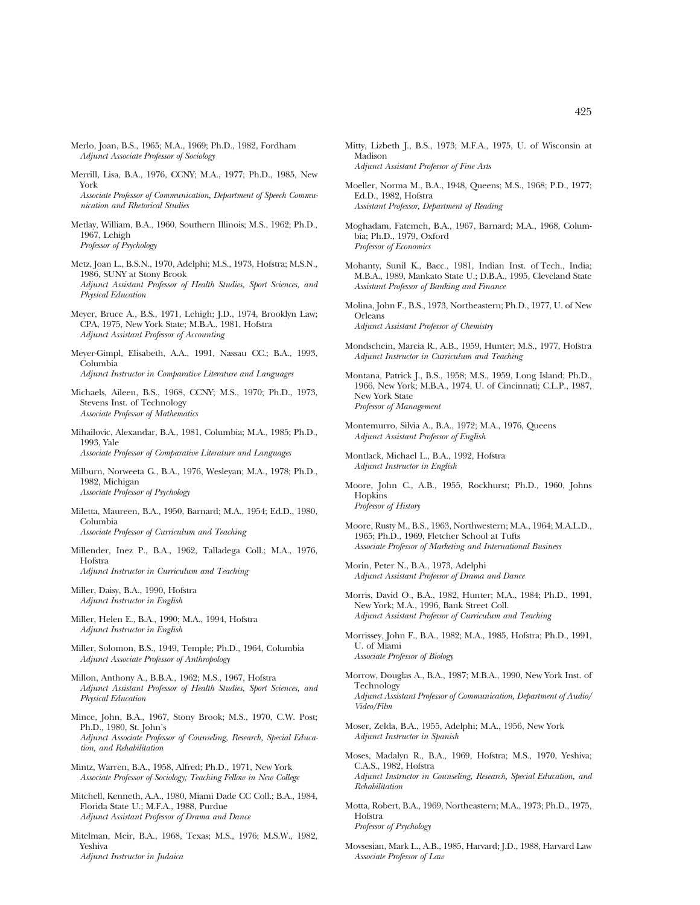- Merlo, Joan, B.S., 1965; M.A., 1969; Ph.D., 1982, Fordham *Adjunct Associate Professor of Sociology*
- Merrill, Lisa, B.A., 1976, CCNY; M.A., 1977; Ph.D., 1985, New York

*Associate Professor of Communication, Department of Speech Communication and Rhetorical Studies*

- Metlay, William, B.A., 1960, Southern Illinois; M.S., 1962; Ph.D., 1967, Lehigh *Professor of Psychology*
- Metz, Joan L., B.S.N., 1970, Adelphi; M.S., 1973, Hofstra; M.S.N., 1986, SUNY at Stony Brook *Adjunct Assistant Professor of Health Studies, Sport Sciences, and Physical Education*
- Meyer, Bruce A., B.S., 1971, Lehigh; J.D., 1974, Brooklyn Law; CPA, 1975, New York State; M.B.A., 1981, Hofstra *Adjunct Assistant Professor of Accounting*
- Meyer-Gimpl, Elisabeth, A.A., 1991, Nassau CC.; B.A., 1993, Columbia

*Adjunct Instructor in Comparative Literature and Languages* Michaels, Aileen, B.S., 1968, CCNY; M.S., 1970; Ph.D., 1973,

- Stevens Inst. of Technology *Associate Professor of Mathematics*
- Mihailovic, Alexandar, B.A., 1981, Columbia; M.A., 1985; Ph.D., 1993, Yale

*Associate Professor of Comparative Literature and Languages*

- Milburn, Norweeta G., B.A., 1976, Wesleyan; M.A., 1978; Ph.D., 1982, Michigan *Associate Professor of Psychology*
- Miletta, Maureen, B.A., 1950, Barnard; M.A., 1954; Ed.D., 1980, Columbia

*Associate Professor of Curriculum and Teaching*

Millender, Inez P., B.A., 1962, Talladega Coll.; M.A., 1976, Hofstra *Adjunct Instructor in Curriculum and Teaching*

Miller, Daisy, B.A., 1990, Hofstra *Adjunct Instructor in English*

- Miller, Helen E., B.A., 1990; M.A., 1994, Hofstra *Adjunct Instructor in English*
- Miller, Solomon, B.S., 1949, Temple; Ph.D., 1964, Columbia *Adjunct Associate Professor of Anthropology*
- Millon, Anthony A., B.B.A., 1962; M.S., 1967, Hofstra *Adjunct Assistant Professor of Health Studies, Sport Sciences, and Physical Education*
- Mince, John, B.A., 1967, Stony Brook; M.S., 1970, C.W. Post; Ph.D., 1980, St. John's *Adjunct Associate Professor of Counseling, Research, Special Education, and Rehabilitation*
- Mintz, Warren, B.A., 1958, Alfred; Ph.D., 1971, New York *Associate Professor of Sociology; Teaching Fellow in New College*
- Mitchell, Kenneth, A.A., 1980, Miami Dade CC Coll.; B.A., 1984, Florida State U.; M.F.A., 1988, Purdue *Adjunct Assistant Professor of Drama and Dance*
- Mitelman, Meir, B.A., 1968, Texas; M.S., 1976; M.S.W., 1982, Yeshiva *Adjunct Instructor in Judaica*
- Mitty, Lizbeth J., B.S., 1973; M.F.A., 1975, U. of Wisconsin at Madison *Adjunct Assistant Professor of Fine Arts*
- Moeller, Norma M., B.A., 1948, Queens; M.S., 1968; P.D., 1977; Ed.D., 1982, Hofstra *Assistant Professor, Department of Reading*
- Moghadam, Fatemeh, B.A., 1967, Barnard; M.A., 1968, Columbia; Ph.D., 1979, Oxford *Professor of Economics*
- Mohanty, Sunil K., Bacc., 1981, Indian Inst. of Tech., India; M.B.A., 1989, Mankato State U.; D.B.A., 1995, Cleveland State *Assistant Professor of Banking and Finance*
- Molina, John F., B.S., 1973, Northeastern; Ph.D., 1977, U. of New Orleans *Adjunct Assistant Professor of Chemistry*
- Mondschein, Marcia R., A.B., 1959, Hunter; M.S., 1977, Hofstra *Adjunct Instructor in Curriculum and Teaching*
- Montana, Patrick J., B.S., 1958; M.S., 1959, Long Island; Ph.D., 1966, New York; M.B.A., 1974, U. of Cincinnati; C.L.P., 1987, New York State *Professor of Management*
- Montemurro, Silvia A., B.A., 1972; M.A., 1976, Queens *Adjunct Assistant Professor of English*

Montlack, Michael L., B.A., 1992, Hofstra *Adjunct Instructor in English*

- Moore, John C., A.B., 1955, Rockhurst; Ph.D., 1960, Johns **Hopkins** *Professor of History*
- Moore, Rusty M., B.S., 1963, Northwestern; M.A., 1964; M.A.L.D., 1965; Ph.D., 1969, Fletcher School at Tufts *Associate Professor of Marketing and International Business*

Morin, Peter N., B.A., 1973, Adelphi *Adjunct Assistant Professor of Drama and Dance*

- Morris, David O., B.A., 1982, Hunter; M.A., 1984; Ph.D., 1991, New York; M.A., 1996, Bank Street Coll. *Adjunct Assistant Professor of Curriculum and Teaching*
- Morrissey, John F., B.A., 1982; M.A., 1985, Hofstra; Ph.D., 1991, U. of Miami *Associate Professor of Biology*
- Morrow, Douglas A., B.A., 1987; M.B.A., 1990, New York Inst. of Technology *Adjunct Assistant Professor of Communication, Department of Audio/ Video/Film*
- Moser, Zelda, B.A., 1955, Adelphi; M.A., 1956, New York *Adjunct Instructor in Spanish*
- Moses, Madalyn R., B.A., 1969, Hofstra; M.S., 1970, Yeshiva; C.A.S., 1982, Hofstra *Adjunct Instructor in Counseling, Research, Special Education, and Rehabilitation*
- Motta, Robert, B.A., 1969, Northeastern; M.A., 1973; Ph.D., 1975, Hofstra *Professor of Psychology*
- Movsesian, Mark L., A.B., 1985, Harvard; J.D., 1988, Harvard Law *Associate Professor of Law*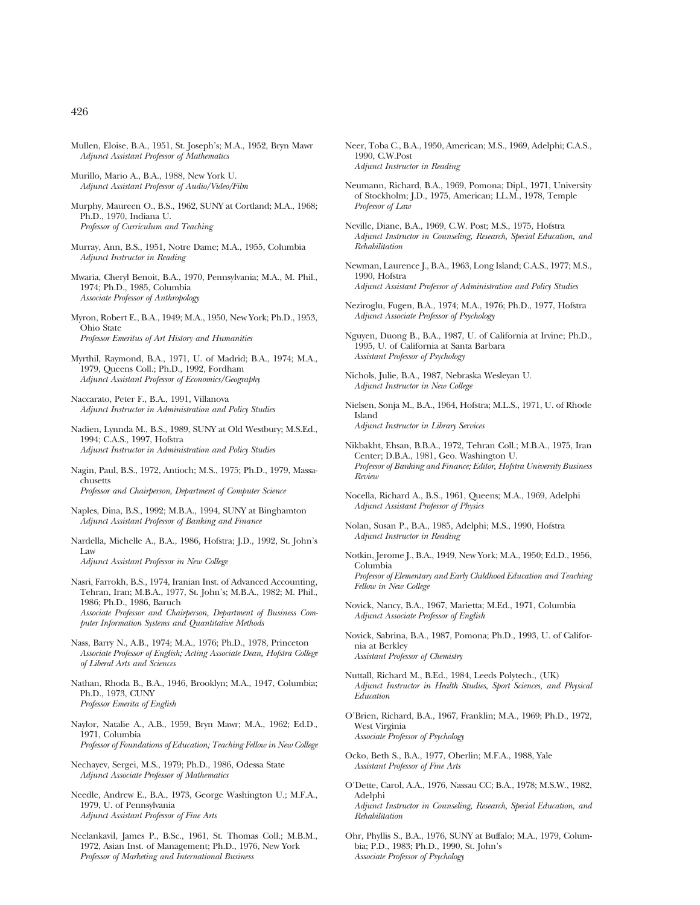- Mullen, Eloise, B.A., 1951, St. Joseph's; M.A., 1952, Bryn Mawr *Adjunct Assistant Professor of Mathematics*
- Murillo, Mario A., B.A., 1988, New York U. *Adjunct Assistant Professor of Audio/Video/Film*
- Murphy, Maureen O., B.S., 1962, SUNY at Cortland; M.A., 1968; Ph.D., 1970, Indiana U. *Professor of Curriculum and Teaching*
- Murray, Ann, B.S., 1951, Notre Dame; M.A., 1955, Columbia *Adjunct Instructor in Reading*
- Mwaria, Cheryl Benoit, B.A., 1970, Pennsylvania; M.A., M. Phil., 1974; Ph.D., 1985, Columbia *Associate Professor of Anthropology*
- Myron, Robert E., B.A., 1949; M.A., 1950, New York; Ph.D., 1953, Ohio State *Professor Emeritus of Art History and Humanities*
- Myrthil, Raymond, B.A., 1971, U. of Madrid; B.A., 1974; M.A., 1979, Queens Coll.; Ph.D., 1992, Fordham *Adjunct Assistant Professor of Economics/Geography*
- Naccarato, Peter F., B.A., 1991, Villanova *Adjunct Instructor in Administration and Policy Studies*
- Nadien, Lynnda M., B.S., 1989, SUNY at Old Westbury; M.S.Ed., 1994; C.A.S., 1997, Hofstra *Adjunct Instructor in Administration and Policy Studies*
- Nagin, Paul, B.S., 1972, Antioch; M.S., 1975; Ph.D., 1979, Massachusetts *Professor and Chairperson, Department of Computer Science*
- Naples, Dina, B.S., 1992; M.B.A., 1994, SUNY at Binghamton *Adjunct Assistant Professor of Banking and Finance*
- Nardella, Michelle A., B.A., 1986, Hofstra; J.D., 1992, St. John's Law *Adjunct Assistant Professor in New College*
- Nasri, Farrokh, B.S., 1974, Iranian Inst. of Advanced Accounting, Tehran, Iran; M.B.A., 1977, St. John's; M.B.A., 1982; M. Phil., 1986; Ph.D., 1986, Baruch *Associate Professor and Chairperson, Department of Business Computer Information Systems and Quantitative Methods*
- Nass, Barry N., A.B., 1974; M.A., 1976; Ph.D., 1978, Princeton *Associate Professor of English; Acting Associate Dean, Hofstra College of Liberal Arts and Sciences*
- Nathan, Rhoda B., B.A., 1946, Brooklyn; M.A., 1947, Columbia; Ph.D., 1973, CUNY *Professor Emerita of English*
- Naylor, Natalie A., A.B., 1959, Bryn Mawr; M.A., 1962; Ed.D., 1971, Columbia *Professor of Foundations of Education; Teaching Fellow in New College*
- Nechayev, Sergei, M.S., 1979; Ph.D., 1986, Odessa State *Adjunct Associate Professor of Mathematics*
- Needle, Andrew E., B.A., 1973, George Washington U.; M.F.A., 1979, U. of Pennsylvania *Adjunct Assistant Professor of Fine Arts*
- Neelankavil, James P., B.Sc., 1961, St. Thomas Coll.; M.B.M., 1972, Asian Inst. of Management; Ph.D., 1976, New York *Professor of Marketing and International Business*
- Neer, Toba C., B.A., 1950, American; M.S., 1969, Adelphi; C.A.S., 1990, C.W.Post *Adjunct Instructor in Reading*
- Neumann, Richard, B.A., 1969, Pomona; Dipl., 1971, University of Stockholm; J.D., 1975, American; LL.M., 1978, Temple *Professor of Law*
- Neville, Diane, B.A., 1969, C.W. Post; M.S., 1975, Hofstra *Adjunct Instructor in Counseling, Research, Special Education, and Rehabilitation*
- Newman, Laurence J., B.A., 1963, Long Island; C.A.S., 1977; M.S., 1990, Hofstra *Adjunct Assistant Professor of Administration and Policy Studies*
- Neziroglu, Fugen, B.A., 1974; M.A., 1976; Ph.D., 1977, Hofstra *Adjunct Associate Professor of Psychology*
- Nguyen, Duong B., B.A., 1987, U. of California at Irvine; Ph.D., 1995, U. of California at Santa Barbara *Assistant Professor of Psychology*
- Nichols, Julie, B.A., 1987, Nebraska Wesleyan U. *Adjunct Instructor in New College*
- Nielsen, Sonja M., B.A., 1964, Hofstra; M.L.S., 1971, U. of Rhode Island *Adjunct Instructor in Library Services*
- Nikbakht, Ehsan, B.B.A., 1972, Tehran Coll.; M.B.A., 1975, Iran Center; D.B.A., 1981, Geo. Washington U. *Professor of Banking and Finance; Editor, Hofstra University Business Review*
- Nocella, Richard A., B.S., 1961, Queens; M.A., 1969, Adelphi *Adjunct Assistant Professor of Physics*
- Nolan, Susan P., B.A., 1985, Adelphi; M.S., 1990, Hofstra *Adjunct Instructor in Reading*
- Notkin, Jerome J., B.A., 1949, New York; M.A., 1950; Ed.D., 1956, Columbia *Professor of Elementary and Early Childhood Education and Teaching Fellow in New College*
- Novick, Nancy, B.A., 1967, Marietta; M.Ed., 1971, Columbia *Adjunct Associate Professor of English*
- Novick, Sabrina, B.A., 1987, Pomona; Ph.D., 1993, U. of California at Berkley *Assistant Professor of Chemistry*
- Nuttall, Richard M., B.Ed., 1984, Leeds Polytech., (UK) *Adjunct Instructor in Health Studies, Sport Sciences, and Physical Education*
- O'Brien, Richard, B.A., 1967, Franklin; M.A., 1969; Ph.D., 1972, West Virginia *Associate Professor of Psychology*
- Ocko, Beth S., B.A., 1977, Oberlin; M.F.A., 1988, Yale *Assistant Professor of Fine Arts*

*Rehabilitation*

- O'Dette, Carol, A.A., 1976, Nassau CC; B.A., 1978; M.S.W., 1982, Adelphi *Adjunct Instructor in Counseling, Research, Special Education, and*
- Ohr, Phyllis S., B.A., 1976, SUNY at Buffalo; M.A., 1979, Columbia; P.D., 1983; Ph.D., 1990, St. John's *Associate Professor of Psychology*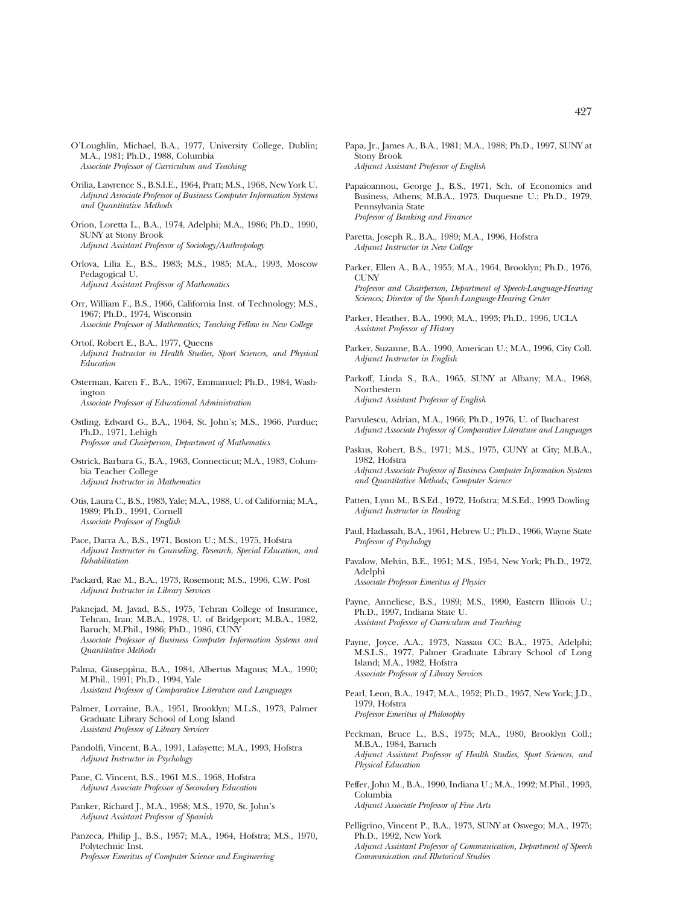- O'Loughlin, Michael, B.A., 1977, University College, Dublin; M.A., 1981; Ph.D., 1988, Columbia *Associate Professor of Curriculum and Teaching*
- Orilia, Lawrence S., B.S.I.E., 1964, Pratt; M.S., 1968, New York U. *Adjunct Associate Professor of Business Computer Information Systems and Quantitative Methods*
- Orion, Loretta L., B.A., 1974, Adelphi; M.A., 1986; Ph.D., 1990, SUNY at Stony Brook *Adjunct Assistant Professor of Sociology/Anthropology*
- Orlova, Lilia E., B.S., 1983; M.S., 1985; M.A., 1993, Moscow Pedagogical U. *Adjunct Assistant Professor of Mathematics*
- Orr, William F., B.S., 1966, California Inst. of Technology; M.S., 1967; Ph.D., 1974, Wisconsin *Associate Professor of Mathematics; Teaching Fellow in New College*
- Ortof, Robert E., B.A., 1977, Queens *Adjunct Instructor in Health Studies, Sport Sciences, and Physical Education*
- Osterman, Karen F., B.A., 1967, Emmanuel; Ph.D., 1984, Washington *Associate Professor of Educational Administration*
- Ostling, Edward G., B.A., 1964, St. John's; M.S., 1966, Purdue; Ph.D., 1971, Lehigh *Professor and Chairperson, Department of Mathematics*
- Ostrick, Barbara G., B.A., 1963, Connecticut; M.A., 1983, Columbia Teacher College *Adjunct Instructor in Mathematics*
- Otis, Laura C., B.S., 1983, Yale; M.A., 1988, U. of California; M.A., 1989; Ph.D., 1991, Cornell *Associate Professor of English*
- Pace, Darra A., B.S., 1971, Boston U.; M.S., 1975, Hofstra *Adjunct Instructor in Counseling, Research, Special Education, and Rehabilitation*
- Packard, Rae M., B.A., 1973, Rosemont; M.S., 1996, C.W. Post *Adjunct Instructor in Library Services*
- Paknejad, M. Javad, B.S., 1975, Tehran College of Insurance, Tehran, Iran; M.B.A., 1978, U. of Bridgeport; M.B.A., 1982, Baruch; M.Phil., 1986; PhD., 1986, CUNY *Associate Professor of Business Computer Information Systems and Quantitative Methods*
- Palma, Giuseppina, B.A., 1984, Albertus Magnus; M.A., 1990; M.Phil., 1991; Ph.D., 1994, Yale *Assistant Professor of Comparative Literature and Languages*
- Palmer, Lorraine, B.A., 1951, Brooklyn; M.L.S., 1973, Palmer Graduate Library School of Long Island *Assistant Professor of Library Services*
- Pandolfi, Vincent, B.A., 1991, Lafayette; M.A., 1993, Hofstra *Adjunct Instructor in Psychology*
- Pane, C. Vincent, B.S., 1961 M.S., 1968, Hofstra *Adjunct Associate Professor of Secondary Education*
- Panker, Richard J., M.A., 1958; M.S., 1970, St. John's *Adjunct Assistant Professor of Spanish*
- Panzeca, Philip J., B.S., 1957; M.A., 1964, Hofstra; M.S., 1970, Polytechnic Inst. *Professor Emeritus of Computer Science and Engineering*
- Papa, Jr., James A., B.A., 1981; M.A., 1988; Ph.D., 1997, SUNY at Stony Brook *Adjunct Assistant Professor of English*
- Papaioannou, George J., B.S., 1971, Sch. of Economics and Business, Athens; M.B.A., 1973, Duquesne U.; Ph.D., 1979, Pennsylvania State *Professor of Banking and Finance*
- Paretta, Joseph R., B.A., 1989; M.A., 1996, Hofstra *Adjunct Instructor in New College*
- Parker, Ellen A., B.A., 1955; M.A., 1964, Brooklyn; Ph.D., 1976, **CUNY** *Professor and Chairperson, Department of Speech-Language-Hearing Sciences; Director of the Speech-Language-Hearing Center*
- Parker, Heather, B.A., 1990; M.A., 1993; Ph.D., 1996, UCLA *Assistant Professor of History*
- Parker, Suzanne, B.A., 1990, American U.; M.A., 1996, City Coll. *Adjunct Instructor in English*
- Parkoff, Linda S., B.A., 1965, SUNY at Albany; M.A., 1968, Northestern *Adjunct Assistant Professor of English*
- Parvulescu, Adrian, M.A., 1966; Ph.D., 1976, U. of Bucharest *Adjunct Associate Professor of Comparative Literature and Languages*
- Paskus, Robert, B.S., 1971; M.S., 1975, CUNY at City; M.B.A., 1982, Hofstra *Adjunct Associate Professor of Business Computer Information Systems and Quantitative Methods; Computer Science*
- Patten, Lynn M., B.S.Ed., 1972, Hofstra; M.S.Ed., 1993 Dowling *Adjunct Instructor in Reading*
- Paul, Hadassah, B.A., 1961, Hebrew U.; Ph.D., 1966, Wayne State *Professor of Psychology*
- Pavalow, Melvin, B.E., 1951; M.S., 1954, New York; Ph.D., 1972, Adelphi *Associate Professor Emeritus of Physics*

- Payne, Anneliese, B.S., 1989; M.S., 1990, Eastern Illinois U.; Ph.D., 1997, Indiana State U. *Assistant Professor of Curriculum and Teaching*
- Payne, Joyce, A.A., 1973, Nassau CC; B.A., 1975, Adelphi; M.S.L.S., 1977, Palmer Graduate Library School of Long Island; M.A., 1982, Hofstra *Associate Professor of Library Services*
- Pearl, Leon, B.A., 1947; M.A., 1952; Ph.D., 1957, New York; J.D., 1979, Hofstra *Professor Emeritus of Philosophy*
- Peckman, Bruce L., B.S., 1975; M.A., 1980, Brooklyn Coll.; M.B.A., 1984, Baruch *Adjunct Assistant Professor of Health Studies, Sport Sciences, and Physical Education*
- Peffer, John M., B.A., 1990, Indiana U.; M.A., 1992; M.Phil., 1993, Columbia *Adjunct Associate Professor of Fine Arts*
- Pelligrino, Vincent P., B.A., 1973, SUNY at Oswego; M.A., 1975; Ph.D., 1992, New York *Adjunct Assistant Professor of Communication, Department of Speech Communication and Rhetorical Studies*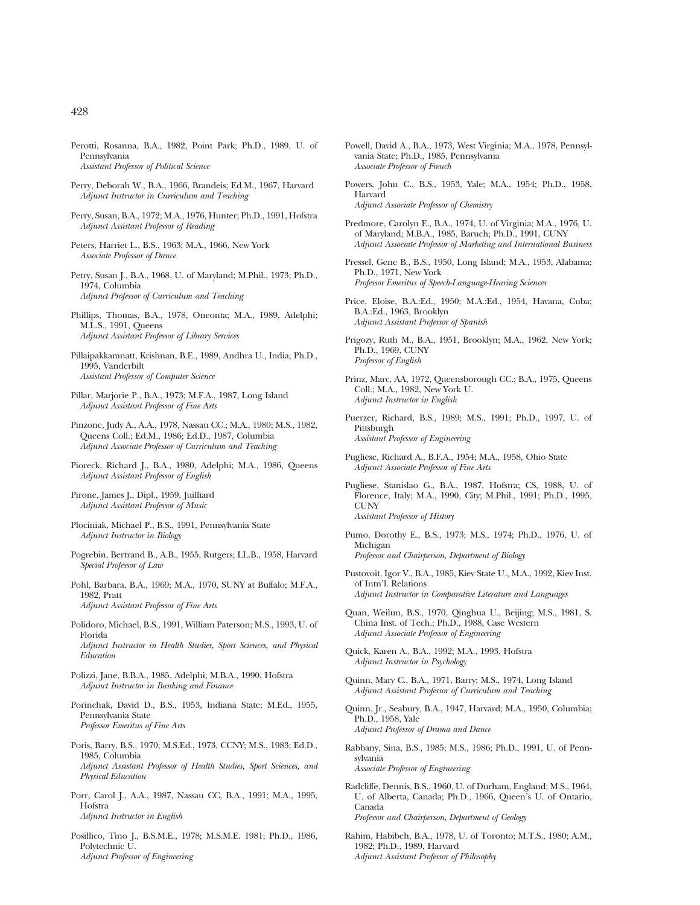- Perotti, Rosanna, B.A., 1982, Point Park; Ph.D., 1989, U. of Pennsylvania *Assistant Professor of Political Science*
- Perry, Deborah W., B.A., 1966, Brandeis; Ed.M., 1967, Harvard *Adjunct Instructor in Curriculum and Teaching*
- Perry, Susan, B.A., 1972; M.A., 1976, Hunter; Ph.D., 1991, Hofstra *Adjunct Assistant Professor of Reading*
- Peters, Harriet L., B.S., 1963; M.A., 1966, New York *Associate Professor of Dance*
- Petry, Susan J., B.A., 1968, U. of Maryland; M.Phil., 1973; Ph.D., 1974, Columbia *Adjunct Professor of Curriculum and Teaching*
- Phillips, Thomas, B.A., 1978, Oneonta; M.A., 1989, Adelphi; M.L.S., 1991, Queens *Adjunct Assistant Professor of Library Services*
- Pillaipakkamnatt, Krishnan, B.E., 1989, Andhra U., India; Ph.D., 1995, Vanderbilt *Assistant Professor of Computer Science*
- Pillar, Marjorie P., B.A., 1973; M.F.A., 1987, Long Island *Adjunct Assistant Professor of Fine Arts*
- Pinzone, Judy A., A.A., 1978, Nassau CC.; M.A., 1980; M.S., 1982, Queens Coll.; Ed.M., 1986; Ed.D., 1987, Columbia *Adjunct Associate Professor of Curriculum and Teaching*
- Pioreck, Richard J., B.A., 1980, Adelphi; M.A., 1986, Queens *Adjunct Assistant Professor of English*
- Pirone, James J., Dipl., 1959, Juilliard *Adjunct Assistant Professor of Music*
- Plociniak, Michael P., B.S., 1991, Pennsylvania State *Adjunct Instructor in Biology*
- Pogrebin, Bertrand B., A.B., 1955, Rutgers; LL.B., 1958, Harvard *Special Professor of Law*
- Pohl, Barbara, B.A., 1969; M.A., 1970, SUNY at Buffalo; M.F.A., 1982, Pratt *Adjunct Assistant Professor of Fine Arts*
- Polidoro, Michael, B.S., 1991, William Paterson; M.S., 1993, U. of Florida *Adjunct Instructor in Health Studies, Sport Sciences, and Physical*

*Education*

- Polizzi, Jane, B.B.A., 1985, Adelphi; M.B.A., 1990, Hofstra *Adjunct Instructor in Banking and Finance*
- Porinchak, David D., B.S., 1953, Indiana State; M.Ed., 1955, Pennsylvania State *Professor Emeritus of Fine Arts*
- Poris, Barry, B.S., 1970; M.S.Ed., 1973, CCNY; M.S., 1983; Ed.D., 1985, Columbia *Adjunct Assistant Professor of Health Studies, Sport Sciences, and Physical Education*
- Porr, Carol J., A.A., 1987, Nassau CC, B.A., 1991; M.A., 1995, Hofstra *Adjunct Instructor in English*
- Posillico, Tino J., B.S.M.E., 1978; M.S.M.E. 1981; Ph.D., 1986, Polytechnic U. *Adjunct Professor of Engineering*
- Powell, David A., B.A., 1973, West Virginia; M.A., 1978, Pennsylvania State; Ph.D., 1985, Pennsylvania *Associate Professor of French*
- Powers, John C., B.S., 1953, Yale; M.A., 1954; Ph.D., 1958, Harvard *Adjunct Associate Professor of Chemistry*

- Predmore, Carolyn E., B.A., 1974, U. of Virginia; M.A., 1976, U. of Maryland; M.B.A., 1985, Baruch; Ph.D., 1991, CUNY *Adjunct Associate Professor of Marketing and International Business*
- Pressel, Gene B., B.S., 1950, Long Island; M.A., 1953, Alabama; Ph.D., 1971, New York *Professor Emeritus of Speech-Language-Hearing Sciences*
- Price, Eloise, B.A.:Ed., 1950; M.A.:Ed., 1954, Havana, Cuba; B.A.:Ed., 1963, Brooklyn *Adjunct Assistant Professor of Spanish*
- Prigozy, Ruth M., B.A., 1951, Brooklyn; M.A., 1962, New York; Ph.D., 1969, CUNY *Professor of English*
- Prinz, Marc, AA, 1972, Queensborough CC.; B.A., 1975, Queens Coll.; M.A., 1982, New York U. *Adjunct Instructor in English*
- Puerzer, Richard, B.S., 1989; M.S., 1991; Ph.D., 1997, U. of Pittsburgh *Assistant Professor of Engineering*
- Pugliese, Richard A., B.F.A., 1954; M.A., 1958, Ohio State *Adjunct Associate Professor of Fine Arts*
- Pugliese, Stanislao G., B.A., 1987, Hofstra; CS, 1988, U. of Florence, Italy; M.A., 1990, City; M.Phil., 1991; Ph.D., 1995, **CUNY** *Assistant Professor of History*
- Pumo, Dorothy E., B.S., 1973; M.S., 1974; Ph.D., 1976, U. of Michigan *Professor and Chairperson, Department of Biology*
- Pustovoit, Igor V., B.A., 1985, Kiev State U., M.A., 1992, Kiev Inst. of Intn'l. Relations *Adjunct Instructor in Comparative Literature and Languages*
- Quan, Weilun, B.S., 1970, Qinghua U., Beijing; M.S., 1981, S. China Inst. of Tech.; Ph.D., 1988, Case Western *Adjunct Associate Professor of Engineering*

Quick, Karen A., B.A., 1992; M.A., 1993, Hofstra *Adjunct Instructor in Psychology*

- Quinn, Mary C., B.A., 1971, Barry; M.S., 1974, Long Island *Adjunct Assistant Professor of Curriculum and Teaching*
- Quinn, Jr., Seabury, B.A., 1947, Harvard; M.A., 1950, Columbia; Ph.D., 1958, Yale *Adjunct Professor of Drama and Dance*
- Rabbany, Sina, B.S., 1985; M.S., 1986; Ph.D., 1991, U. of Pennsylvania *Associate Professor of Engineering*
- Radcliffe, Dennis, B.S., 1960, U. of Durham, England; M.S., 1964, U. of Alberta, Canada; Ph.D., 1966, Queen's U. of Ontario, Canada *Professor and Chairperson, Department of Geology*
- Rahim, Habibeh, B.A., 1978, U. of Toronto; M.T.S., 1980; A.M., 1982; Ph.D., 1989, Harvard *Adjunct Assistant Professor of Philosophy*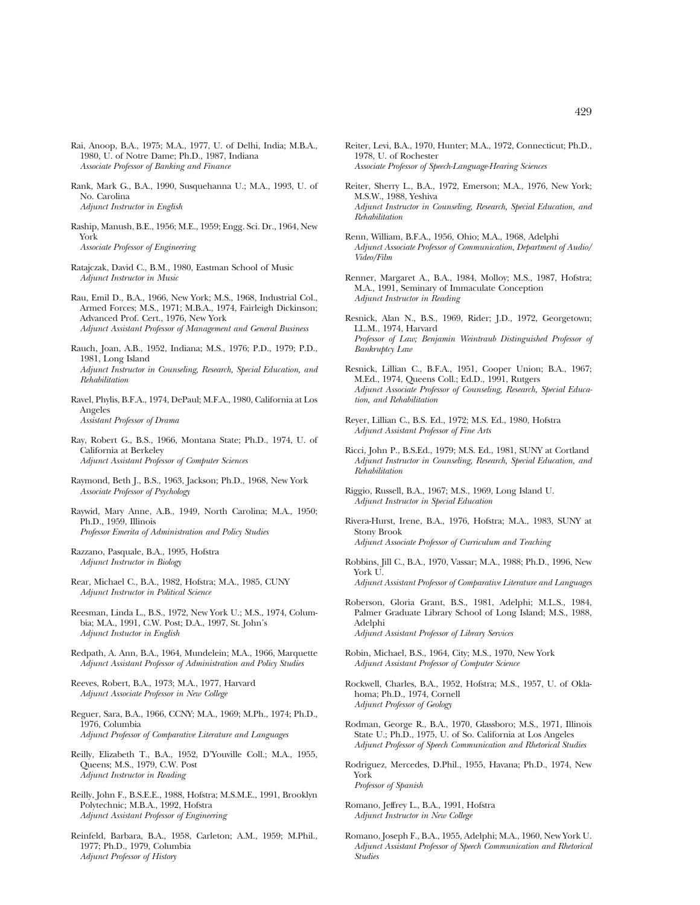- Rai, Anoop, B.A., 1975; M.A., 1977, U. of Delhi, India; M.B.A., 1980, U. of Notre Dame; Ph.D., 1987, Indiana *Associate Professor of Banking and Finance*
- Rank, Mark G., B.A., 1990, Susquehanna U.; M.A., 1993, U. of No. Carolina *Adjunct Instructor in English*
- Raship, Manush, B.E., 1956; M.E., 1959; Engg. Sci. Dr., 1964, New York *Associate Professor of Engineering*
- Ratajczak, David C., B.M., 1980, Eastman School of Music *Adjunct Instructor in Music*
- Rau, Emil D., B.A., 1966, New York; M.S., 1968, Industrial Col., Armed Forces; M.S., 1971; M.B.A., 1974, Fairleigh Dickinson; Advanced Prof. Cert., 1976, New York *Adjunct Assistant Professor of Management and General Business*
- Rauch, Joan, A.B., 1952, Indiana; M.S., 1976; P.D., 1979; P.D., 1981, Long Island *Adjunct Instructor in Counseling, Research, Special Education, and Rehabilitation*
- Ravel, Phylis, B.F.A., 1974, DePaul; M.F.A., 1980, California at Los Angeles *Assistant Professor of Drama*
- Ray, Robert G., B.S., 1966, Montana State; Ph.D., 1974, U. of California at Berkeley *Adjunct Assistant Professor of Computer Sciences*
- Raymond, Beth J., B.S., 1963, Jackson; Ph.D., 1968, New York *Associate Professor of Psychology*
- Raywid, Mary Anne, A.B., 1949, North Carolina; M.A., 1950; Ph.D., 1959, Illinois *Professor Emerita of Administration and Policy Studies*
- Razzano, Pasquale, B.A., 1995, Hofstra *Adjunct Instructor in Biology*
- Rear, Michael C., B.A., 1982, Hofstra; M.A., 1985, CUNY *Adjunct Instructor in Political Science*
- Reesman, Linda L., B.S., 1972, New York U.; M.S., 1974, Columbia; M.A., 1991, C.W. Post; D.A., 1997, St. John's *Adjunct Instuctor in English*
- Redpath, A. Ann, B.A., 1964, Mundelein; M.A., 1966, Marquette *Adjunct Assistant Professor of Administration and Policy Studies*
- Reeves, Robert, B.A., 1973; M.A., 1977, Harvard *Adjunct Associate Professor in New College*
- Reguer, Sara, B.A., 1966, CCNY; M.A., 1969; M.Ph., 1974; Ph.D., 1976, Columbia *Adjunct Professor of Comparative Literature and Languages*
- Reilly, Elizabeth T., B.A., 1952, D'Youville Coll.; M.A., 1955, Queens; M.S., 1979, C.W. Post *Adjunct Instructor in Reading*
- Reilly, John F., B.S.E.E., 1988, Hofstra; M.S.M.E., 1991, Brooklyn Polytechnic; M.B.A., 1992, Hofstra *Adjunct Assistant Professor of Engineering*
- Reinfeld, Barbara, B.A., 1958, Carleton; A.M., 1959; M.Phil., 1977; Ph.D., 1979, Columbia *Adjunct Professor of History*
- Reiter, Levi, B.A., 1970, Hunter; M.A., 1972, Connecticut; Ph.D., 1978, U. of Rochester *Associate Professor of Speech-Language-Hearing Sciences*
- Reiter, Sherry L., B.A., 1972, Emerson; M.A., 1976, New York; M.S.W., 1988, Yeshiva *Adjunct Instructor in Counseling, Research, Special Education, and Rehabilitation*
- Renn, William, B.F.A., 1956, Ohio; M.A., 1968, Adelphi *Adjunct Associate Professor of Communication, Department of Audio/ Video/Film*
- Renner, Margaret A., B.A., 1984, Molloy; M.S., 1987, Hofstra; M.A., 1991, Seminary of Immaculate Conception *Adjunct Instructor in Reading*
- Resnick, Alan N., B.S., 1969, Rider; J.D., 1972, Georgetown; LL.M., 1974, Harvard *Professor of Law; Benjamin Weintraub Distinguished Professor of Bankruptcy Law*
- Resnick, Lillian C., B.F.A., 1951, Cooper Union; B.A., 1967; M.Ed., 1974, Queens Coll.; Ed.D., 1991, Rutgers *Adjunct Associate Professor of Counseling, Research, Special Education, and Rehabilitation*
- Reyer, Lillian C., B.S. Ed., 1972; M.S. Ed., 1980, Hofstra *Adjunct Assistant Professor of Fine Arts*
- Ricci, John P., B.S.Ed., 1979; M.S. Ed., 1981, SUNY at Cortland *Adjunct Instructor in Counseling, Research, Special Education, and Rehabilitation*
- Riggio, Russell, B.A., 1967; M.S., 1969, Long Island U. *Adjunct Instructor in Special Education*
- Rivera-Hurst, Irene, B.A., 1976, Hofstra; M.A., 1983, SUNY at Stony Brook *Adjunct Associate Professor of Curriculum and Teaching*
- Robbins, Jill C., B.A., 1970, Vassar; M.A., 1988; Ph.D., 1996, New York U.

*Adjunct Assistant Professor of Comparative Literature and Languages*

- Roberson, Gloria Grant, B.S., 1981, Adelphi; M.L.S., 1984, Palmer Graduate Library School of Long Island; M.S., 1988, Adelphi *Adjunct Assistant Professor of Library Services*
- Robin, Michael, B.S., 1964, City; M.S., 1970, New York *Adjunct Assistant Professor of Computer Science*
- Rockwell, Charles, B.A., 1952, Hofstra; M.S., 1957, U. of Oklahoma; Ph.D., 1974, Cornell *Adjunct Professor of Geology*
- Rodman, George R., B.A., 1970, Glassboro; M.S., 1971, Illinois State U.; Ph.D., 1975, U. of So. California at Los Angeles *Adjunct Professor of Speech Communication and Rhetorical Studies*
- Rodriguez, Mercedes, D.Phil., 1955, Havana; Ph.D., 1974, New York *Professor of Spanish*

Romano, Jeffrey L., B.A., 1991, Hofstra

*Adjunct Instructor in New College*

Romano, Joseph F., B.A., 1955, Adelphi; M.A., 1960, New York U. *Adjunct Assistant Professor of Speech Communication and Rhetorical Studies*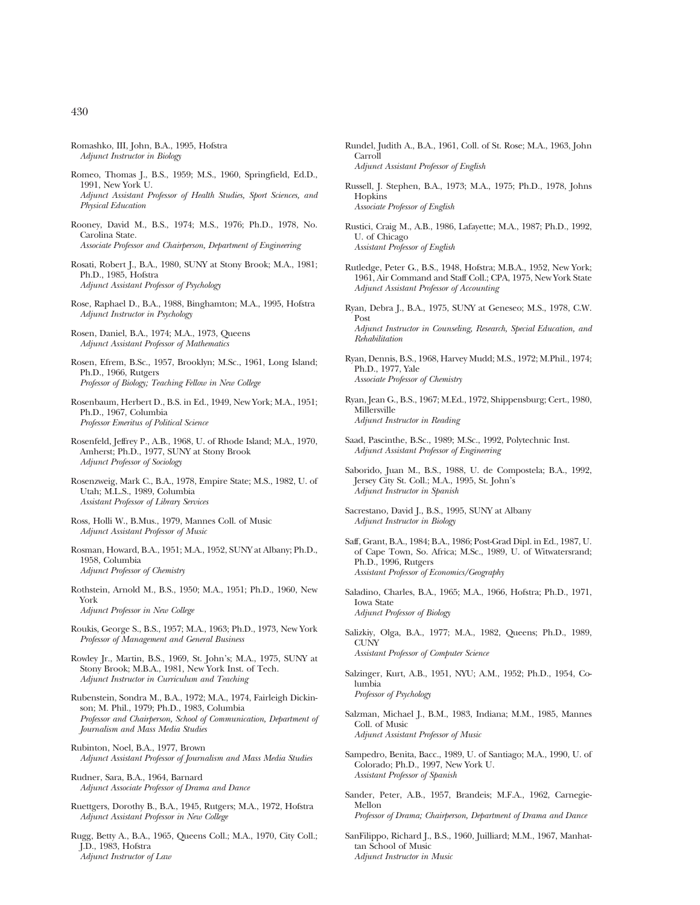- Romashko, III, John, B.A., 1995, Hofstra *Adjunct Instructor in Biology*
- Romeo, Thomas J., B.S., 1959; M.S., 1960, Springfield, Ed.D., 1991, New York U. *Adjunct Assistant Professor of Health Studies, Sport Sciences, and Physical Education*
- Rooney, David M., B.S., 1974; M.S., 1976; Ph.D., 1978, No. Carolina State. *Associate Professor and Chairperson, Department of Engineering*
- Rosati, Robert J., B.A., 1980, SUNY at Stony Brook; M.A., 1981; Ph.D., 1985, Hofstra *Adjunct Assistant Professor of Psychology*
- Rose, Raphael D., B.A., 1988, Binghamton; M.A., 1995, Hofstra *Adjunct Instructor in Psychology*
- Rosen, Daniel, B.A., 1974; M.A., 1973, Queens *Adjunct Assistant Professor of Mathematics*
- Rosen, Efrem, B.Sc., 1957, Brooklyn; M.Sc., 1961, Long Island; Ph.D., 1966, Rutgers *Professor of Biology; Teaching Fellow in New College*
- Rosenbaum, Herbert D., B.S. in Ed., 1949, New York; M.A., 1951; Ph.D., 1967, Columbia *Professor Emeritus of Political Science*
- Rosenfeld, Jeffrey P., A.B., 1968, U. of Rhode Island; M.A., 1970, Amherst; Ph.D., 1977, SUNY at Stony Brook *Adjunct Professor of Sociology*
- Rosenzweig, Mark C., B.A., 1978, Empire State; M.S., 1982, U. of Utah; M.L.S., 1989, Columbia *Assistant Professor of Library Services*
- Ross, Holli W., B.Mus., 1979, Mannes Coll. of Music *Adjunct Assistant Professor of Music*
- Rosman, Howard, B.A., 1951; M.A., 1952, SUNY at Albany; Ph.D., 1958, Columbia *Adjunct Professor of Chemistry*
- Rothstein, Arnold M., B.S., 1950; M.A., 1951; Ph.D., 1960, New York
	- *Adjunct Professor in New College*
- Roukis, George S., B.S., 1957; M.A., 1963; Ph.D., 1973, New York *Professor of Management and General Business*
- Rowley Jr., Martin, B.S., 1969, St. John's; M.A., 1975, SUNY at Stony Brook; M.B.A., 1981, New York Inst. of Tech. *Adjunct Instructor in Curriculum and Teaching*
- Rubenstein, Sondra M., B.A., 1972; M.A., 1974, Fairleigh Dickinson; M. Phil., 1979; Ph.D., 1983, Columbia *Professor and Chairperson, School of Communication, Department of Journalism and Mass Media Studies*
- Rubinton, Noel, B.A., 1977, Brown *Adjunct Assistant Professor of Journalism and Mass Media Studies*
- Rudner, Sara, B.A., 1964, Barnard *Adjunct Associate Professor of Drama and Dance*
- Ruettgers, Dorothy B., B.A., 1945, Rutgers; M.A., 1972, Hofstra *Adjunct Assistant Professor in New College*
- Rugg, Betty A., B.A., 1965, Queens Coll.; M.A., 1970, City Coll.; J.D., 1983, Hofstra *Adjunct Instructor of Law*
- Rundel, Judith A., B.A., 1961, Coll. of St. Rose; M.A., 1963, John **Carroll** *Adjunct Assistant Professor of English*
- Russell, J. Stephen, B.A., 1973; M.A., 1975; Ph.D., 1978, Johns Hopkins *Associate Professor of English*
- Rustici, Craig M., A.B., 1986, Lafayette; M.A., 1987; Ph.D., 1992, U. of Chicago

*Assistant Professor of English*

- Rutledge, Peter G., B.S., 1948, Hofstra; M.B.A., 1952, New York; 1961, Air Command and Staff Coll.; CPA, 1975, New York State *Adjunct Assistant Professor of Accounting*
- Ryan, Debra J., B.A., 1975, SUNY at Geneseo; M.S., 1978, C.W. Post *Adjunct Instructor in Counseling, Research, Special Education, and*

*Rehabilitation*

- Ryan, Dennis, B.S., 1968, Harvey Mudd; M.S., 1972; M.Phil., 1974; Ph.D., 1977, Yale *Associate Professor of Chemistry*
- Ryan, Jean G., B.S., 1967; M.Ed., 1972, Shippensburg; Cert., 1980, Millersville *Adjunct Instructor in Reading*
- Saad, Pascinthe, B.Sc., 1989; M.Sc., 1992, Polytechnic Inst. *Adjunct Assistant Professor of Engineering*
- Saborido, Juan M., B.S., 1988, U. de Compostela; B.A., 1992, Jersey City St. Coll.; M.A., 1995, St. John's *Adjunct Instructor in Spanish*

Sacrestano, David J., B.S., 1995, SUNY at Albany *Adjunct Instructor in Biology*

- Saff, Grant, B.A., 1984; B.A., 1986; Post-Grad Dipl. in Ed., 1987, U. of Cape Town, So. Africa; M.Sc., 1989, U. of Witwatersrand; Ph.D., 1996, Rutgers *Assistant Professor of Economics/Geography*
- Saladino, Charles, B.A., 1965; M.A., 1966, Hofstra; Ph.D., 1971, Iowa State *Adjunct Professor of Biology*
- Salizkiy, Olga, B.A., 1977; M.A., 1982, Queens; Ph.D., 1989, **CUNY** *Assistant Professor of Computer Science*
- Salzinger, Kurt, A.B., 1951, NYU; A.M., 1952; Ph.D., 1954, Columbia *Professor of Psychology*
- Salzman, Michael J., B.M., 1983, Indiana; M.M., 1985, Mannes Coll. of Music *Adjunct Assistant Professor of Music*
- Sampedro, Benita, Bacc., 1989, U. of Santiago; M.A., 1990, U. of Colorado; Ph.D., 1997, New York U. *Assistant Professor of Spanish*
- Sander, Peter, A.B., 1957, Brandeis; M.F.A., 1962, Carnegie-Mellon *Professor of Drama; Chairperson, Department of Drama and Dance*
- SanFilippo, Richard J., B.S., 1960, Juilliard; M.M., 1967, Manhattan School of Music *Adjunct Instructor in Music*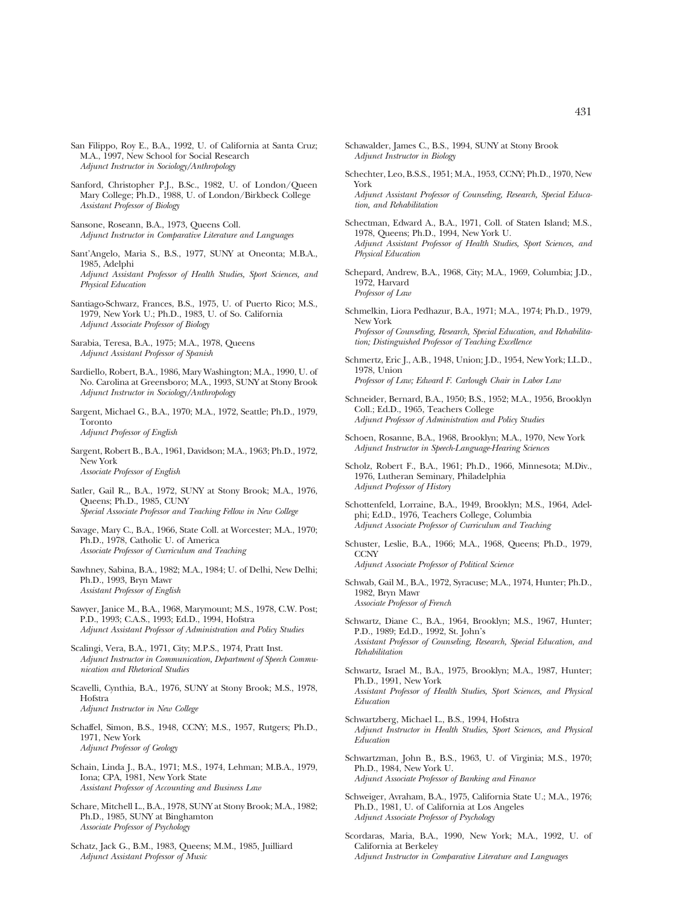- San Filippo, Roy E., B.A., 1992, U. of California at Santa Cruz; M.A., 1997, New School for Social Research *Adjunct Instructor in Sociology/Anthropology*
- Sanford, Christopher P.J., B.Sc., 1982, U. of London/Queen Mary College; Ph.D., 1988, U. of London/Birkbeck College *Assistant Professor of Biology*
- Sansone, Roseann, B.A., 1973, Queens Coll. *Adjunct Instructor in Comparative Literature and Languages*
- Sant'Angelo, Maria S., B.S., 1977, SUNY at Oneonta; M.B.A., 1985, Adelphi *Adjunct Assistant Professor of Health Studies, Sport Sciences, and Physical Education*
- Santiago-Schwarz, Frances, B.S., 1975, U. of Puerto Rico; M.S., 1979, New York U.; Ph.D., 1983, U. of So. California *Adjunct Associate Professor of Biology*
- Sarabia, Teresa, B.A., 1975; M.A., 1978, Queens *Adjunct Assistant Professor of Spanish*
- Sardiello, Robert, B.A., 1986, Mary Washington; M.A., 1990, U. of No. Carolina at Greensboro; M.A., 1993, SUNY at Stony Brook *Adjunct Instructor in Sociology/Anthropology*
- Sargent, Michael G., B.A., 1970; M.A., 1972, Seattle; Ph.D., 1979, Toronto *Adjunct Professor of English*
- Sargent, Robert B., B.A., 1961, Davidson; M.A., 1963; Ph.D., 1972, New York *Associate Professor of English*
- Satler, Gail R.,, B.A., 1972, SUNY at Stony Brook; M.A., 1976, Queens; Ph.D., 1985, CUNY *Special Associate Professor and Teaching Fellow in New College*
- Savage, Mary C., B.A., 1966, State Coll. at Worcester; M.A., 1970; Ph.D., 1978, Catholic U. of America *Associate Professor of Curriculum and Teaching*
- Sawhney, Sabina, B.A., 1982; M.A., 1984; U. of Delhi, New Delhi; Ph.D., 1993, Bryn Mawr *Assistant Professor of English*
- Sawyer, Janice M., B.A., 1968, Marymount; M.S., 1978, C.W. Post; P.D., 1993; C.A.S., 1993; Ed.D., 1994, Hofstra *Adjunct Assistant Professor of Administration and Policy Studies*
- Scalingi, Vera, B.A., 1971, City; M.P.S., 1974, Pratt Inst. *Adjunct Instructor in Communication, Department of Speech Communication and Rhetorical Studies*
- Scavelli, Cynthia, B.A., 1976, SUNY at Stony Brook; M.S., 1978, **H**ofstra *Adjunct Instructor in New College*
- Schaffel, Simon, B.S., 1948, CCNY; M.S., 1957, Rutgers; Ph.D., 1971, New York *Adjunct Professor of Geology*
- Schain, Linda J., B.A., 1971; M.S., 1974, Lehman; M.B.A., 1979, Iona; CPA, 1981, New York State *Assistant Professor of Accounting and Business Law*
- Schare, Mitchell L., B.A., 1978, SUNY at Stony Brook; M.A., 1982; Ph.D., 1985, SUNY at Binghamton *Associate Professor of Psychology*
- Schatz, Jack G., B.M., 1983, Queens; M.M., 1985, Juilliard *Adjunct Assistant Professor of Music*
- Schawalder, James C., B.S., 1994, SUNY at Stony Brook *Adjunct Instructor in Biology*
- Schechter, Leo, B.S.S., 1951; M.A., 1953, CCNY; Ph.D., 1970, New York
- *Adjunct Assistant Professor of Counseling, Research, Special Education, and Rehabilitation*
- Schectman, Edward A., B.A., 1971, Coll. of Staten Island; M.S., 1978, Queens; Ph.D., 1994, New York U. *Adjunct Assistant Professor of Health Studies, Sport Sciences, and Physical Education*
- Schepard, Andrew, B.A., 1968, City; M.A., 1969, Columbia; J.D., 1972, Harvard *Professor of Law*
- Schmelkin, Liora Pedhazur, B.A., 1971; M.A., 1974; Ph.D., 1979, New York
	- *Professor of Counseling, Research, Special Education, and Rehabilitation; Distinguished Professor of Teaching Excellence*
- Schmertz, Eric J., A.B., 1948, Union; J.D., 1954, New York; LL.D., 1978, Union *Professor of Law; Edward F. Carlough Chair in Labor Law*
- Schneider, Bernard, B.A., 1950; B.S., 1952; M.A., 1956, Brooklyn Coll.; Ed.D., 1965, Teachers College *Adjunct Professor of Administration and Policy Studies*
- Schoen, Rosanne, B.A., 1968, Brooklyn; M.A., 1970, New York *Adjunct Instructor in Speech-Language-Hearing Sciences*
- Scholz, Robert F., B.A., 1961; Ph.D., 1966, Minnesota; M.Div., 1976, Lutheran Seminary, Philadelphia *Adjunct Professor of History*
- Schottenfeld, Lorraine, B.A., 1949, Brooklyn; M.S., 1964, Adelphi; Ed.D., 1976, Teachers College, Columbia *Adjunct Associate Professor of Curriculum and Teaching*
- Schuster, Leslie, B.A., 1966; M.A., 1968, Queens; Ph.D., 1979, **CCNY**

*Adjunct Associate Professor of Political Science*

- Schwab, Gail M., B.A., 1972, Syracuse; M.A., 1974, Hunter; Ph.D., 1982, Bryn Mawr *Associate Professor of French*
- Schwartz, Diane C., B.A., 1964, Brooklyn; M.S., 1967, Hunter; P.D., 1989; Ed.D., 1992, St. John's *Assistant Professor of Counseling, Research, Special Education, and Rehabilitation*
- Schwartz, Israel M., B.A., 1975, Brooklyn; M.A., 1987, Hunter; Ph.D., 1991, New York *Assistant Professor of Health Studies, Sport Sciences, and Physical Education*
- Schwartzberg, Michael L., B.S., 1994, Hofstra *Adjunct Instructor in Health Studies, Sport Sciences, and Physical Education*
- Schwartzman, John B., B.S., 1963, U. of Virginia; M.S., 1970; Ph.D., 1984, New York U. *Adjunct Associate Professor of Banking and Finance*
- Schweiger, Avraham, B.A., 1975, California State U.; M.A., 1976; Ph.D., 1981, U. of California at Los Angeles *Adjunct Associate Professor of Psychology*
- Scordaras, Maria, B.A., 1990, New York; M.A., 1992, U. of California at Berkeley *Adjunct Instructor in Comparative Literature and Languages*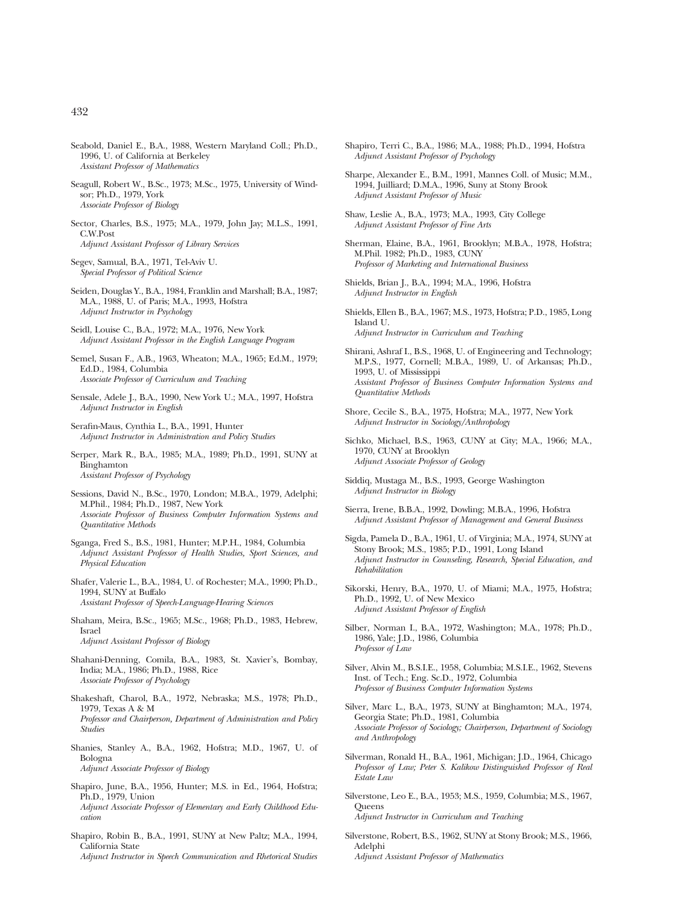Seagull, Robert W., B.Sc., 1973; M.Sc., 1975, University of Windsor; Ph.D., 1979, York *Associate Professor of Biology*

Sector, Charles, B.S., 1975; M.A., 1979, John Jay; M.L.S., 1991, C.W.Post *Adjunct Assistant Professor of Library Services*

Segev, Samual, B.A., 1971, Tel-Aviv U. *Special Professor of Political Science*

*Assistant Professor of Mathematics*

Seiden, Douglas Y., B.A., 1984, Franklin and Marshall; B.A., 1987; M.A., 1988, U. of Paris; M.A., 1993, Hofstra *Adjunct Instructor in Psychology*

Seidl, Louise C., B.A., 1972; M.A., 1976, New York *Adjunct Assistant Professor in the English Language Program*

Semel, Susan F., A.B., 1963, Wheaton; M.A., 1965; Ed.M., 1979; Ed.D., 1984, Columbia *Associate Professor of Curriculum and Teaching*

- Sensale, Adele J., B.A., 1990, New York U.; M.A., 1997, Hofstra *Adjunct Instructor in English*
- Serafin-Maus, Cynthia L., B.A., 1991, Hunter *Adjunct Instructor in Administration and Policy Studies*
- Serper, Mark R., B.A., 1985; M.A., 1989; Ph.D., 1991, SUNY at Binghamton *Assistant Professor of Psychology*

Sessions, David N., B.Sc., 1970, London; M.B.A., 1979, Adelphi; M.Phil., 1984; Ph.D., 1987, New York *Associate Professor of Business Computer Information Systems and Quantitative Methods*

Sganga, Fred S., B.S., 1981, Hunter; M.P.H., 1984, Columbia *Adjunct Assistant Professor of Health Studies, Sport Sciences, and Physical Education*

- Shafer, Valerie L., B.A., 1984, U. of Rochester; M.A., 1990; Ph.D., 1994, SUNY at Buffalo *Assistant Professor of Speech-Language-Hearing Sciences*
- Shaham, Meira, B.Sc., 1965; M.Sc., 1968; Ph.D., 1983, Hebrew, Israel

*Adjunct Assistant Professor of Biology*

- Shahani-Denning, Comila, B.A., 1983, St. Xavier's, Bombay, India; M.A., 1986; Ph.D., 1988, Rice *Associate Professor of Psychology*
- Shakeshaft, Charol, B.A., 1972, Nebraska; M.S., 1978; Ph.D., 1979, Texas A & M *Professor and Chairperson, Department of Administration and Policy Studies*
- Shanies, Stanley A., B.A., 1962, Hofstra; M.D., 1967, U. of Bologna *Adjunct Associate Professor of Biology*
- Shapiro, June, B.A., 1956, Hunter; M.S. in Ed., 1964, Hofstra; Ph.D., 1979, Union *Adjunct Associate Professor of Elementary and Early Childhood Education*
- Shapiro, Robin B., B.A., 1991, SUNY at New Paltz; M.A., 1994, California State *Adjunct Instructor in Speech Communication and Rhetorical Studies*
- Shapiro, Terri C., B.A., 1986; M.A., 1988; Ph.D., 1994, Hofstra *Adjunct Assistant Professor of Psychology*
- Sharpe, Alexander E., B.M., 1991, Mannes Coll. of Music; M.M., 1994, Juilliard; D.M.A., 1996, Suny at Stony Brook *Adjunct Assistant Professor of Music*

Shaw, Leslie A., B.A., 1973; M.A., 1993, City College *Adjunct Assistant Professor of Fine Arts*

- Sherman, Elaine, B.A., 1961, Brooklyn; M.B.A., 1978, Hofstra; M.Phil. 1982; Ph.D., 1983, CUNY *Professor of Marketing and International Business*
- Shields, Brian J., B.A., 1994; M.A., 1996, Hofstra *Adjunct Instructor in English*
- Shields, Ellen B., B.A., 1967; M.S., 1973, Hofstra; P.D., 1985, Long Island U. *Adjunct Instructor in Curriculum and Teaching*
- Shirani, Ashraf I., B.S., 1968, U. of Engineering and Technology; M.P.S., 1977, Cornell; M.B.A., 1989, U. of Arkansas; Ph.D., 1993, U. of Mississippi *Assistant Professor of Business Computer Information Systems and Quantitative Methods*
- Shore, Cecile S., B.A., 1975, Hofstra; M.A., 1977, New York *Adjunct Instructor in Sociology/Anthropology*

Sichko, Michael, B.S., 1963, CUNY at City; M.A., 1966; M.A., 1970, CUNY at Brooklyn *Adjunct Associate Professor of Geology*

Siddiq, Mustaga M., B.S., 1993, George Washington *Adjunct Instructor in Biology*

- Sierra, Irene, B.B.A., 1992, Dowling; M.B.A., 1996, Hofstra *Adjunct Assistant Professor of Management and General Business*
- Sigda, Pamela D., B.A., 1961, U. of Virginia; M.A., 1974, SUNY at Stony Brook; M.S., 1985; P.D., 1991, Long Island *Adjunct Instructor in Counseling, Research, Special Education, and Rehabilitation*

Sikorski, Henry, B.A., 1970, U. of Miami; M.A., 1975, Hofstra; Ph.D., 1992, U. of New Mexico *Adjunct Assistant Professor of English*

- Silber, Norman I., B.A., 1972, Washington; M.A., 1978; Ph.D., 1986, Yale; J.D., 1986, Columbia *Professor of Law*
- Silver, Alvin M., B.S.I.E., 1958, Columbia; M.S.I.E., 1962, Stevens Inst. of Tech.; Eng. Sc.D., 1972, Columbia *Professor of Business Computer Information Systems*
- Silver, Marc L., B.A., 1973, SUNY at Binghamton; M.A., 1974, Georgia State; Ph.D., 1981, Columbia *Associate Professor of Sociology; Chairperson, Department of Sociology and Anthropology*
- Silverman, Ronald H., B.A., 1961, Michigan; J.D., 1964, Chicago *Professor of Law; Peter S. Kalikow Distinguished Professor of Real Estate Law*
- Silverstone, Leo E., B.A., 1953; M.S., 1959, Columbia; M.S., 1967, **Queens**

*Adjunct Instructor in Curriculum and Teaching*

Silverstone, Robert, B.S., 1962, SUNY at Stony Brook; M.S., 1966, Adelphi

*Adjunct Assistant Professor of Mathematics*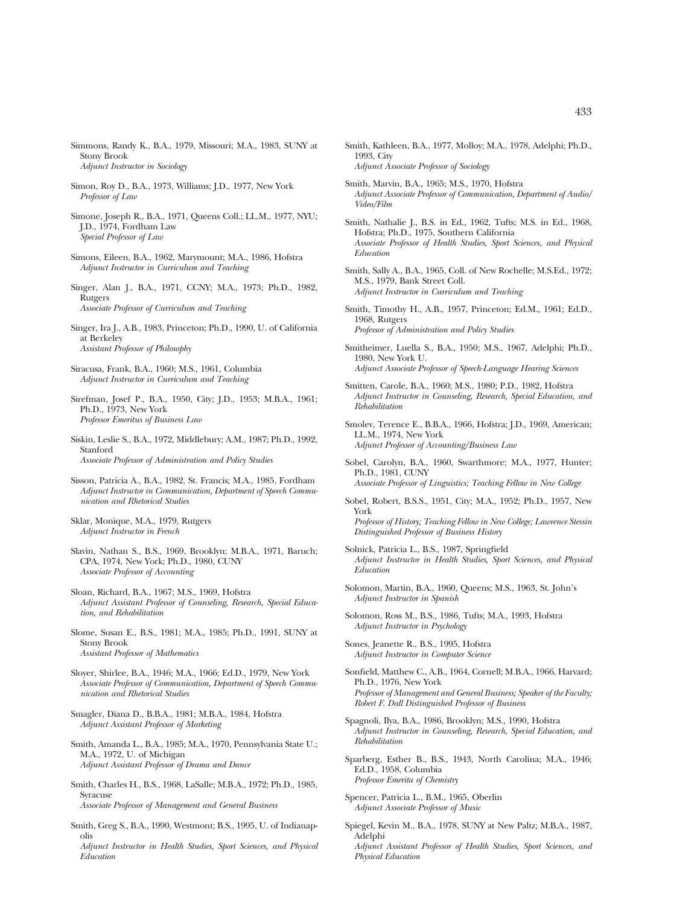- Simmons, Randy K., B.A., 1979, Missouri; M.A., 1983, SUNY at Stony Brook *Adjunct Instructor in Sociology*
- Simon, Roy D., B.A., 1973, Williams; J.D., 1977, New York *Professor of Law*
- Simone, Joseph R., B.A., 1971, Queens Coll.; LL.M., 1977, NYU; J.D., 1974, Fordham Law *Special Professor of Law*
- Simons, Eileen, B.A., 1962, Marymount; M.A., 1986, Hofstra *Adjunct Instructor in Curriculum and Teaching*
- Singer, Alan J., B.A., 1971, CCNY; M.A., 1973; Ph.D., 1982, Rutgers *Associate Professor of Curriculum and Teaching*
- Singer, Ira J., A.B., 1983, Princeton; Ph.D., 1990, U. of California at Berkeley *Assistant Professor of Philosophy*
- Siracusa, Frank, B.A., 1960; M.S., 1961, Columbia *Adjunct Instructor in Curriculum and Teaching*
- Sirefman, Josef P., B.A., 1950, City; J.D., 1953; M.B.A., 1961; Ph.D., 1973, New York *Professor Emeritus of Business Law*
- Siskin, Leslie S., B.A., 1972, Middlebury; A.M., 1987; Ph.D., 1992, Stanford *Associate Professor of Administration and Policy Studies*
- Sisson, Patricia A., B.A., 1982, St. Francis; M.A., 1985, Fordham *Adjunct Instructor in Communication, Department of Speech Communication and Rhetorical Studies*
- Sklar, Monique, M.A., 1979, Rutgers *Adjunct Instructor in French*
- Slavin, Nathan S., B.S., 1969, Brooklyn; M.B.A., 1971, Baruch; CPA, 1974, New York; Ph.D., 1980, CUNY *Associate Professor of Accounting*
- Sloan, Richard, B.A., 1967; M.S., 1969, Hofstra *Adjunct Assistant Professor of Counseling, Research, Special Education, and Rehabilitation*
- Slome, Susan E., B.S., 1981; M.A., 1985; Ph.D., 1991, SUNY at Stony Brook *Assistant Professor of Mathematics*
- Sloyer, Shirlee, B.A., 1946; M.A., 1966; Ed.D., 1979, New York *Associate Professor of Communication, Department of Speech Communication and Rhetorical Studies*
- Smagler, Diana D., B.B.A., 1981; M.B.A., 1984, Hofstra *Adjunct Assistant Professor of Marketing*
- Smith, Amanda L., B.A., 1985; M.A., 1970, Pennsylvania State U.; M.A., 1972, U. of Michigan *Adjunct Assistant Professor of Drama and Dance*
- Smith, Charles H., B.S., 1968, LaSalle; M.B.A., 1972; Ph.D., 1985, Syracuse *Associate Professor of Management and General Business*
- Smith, Greg S., B.A., 1990, Westmont; B.S., 1995, U. of Indianapolis
	- *Adjunct Instructor in Health Studies, Sport Sciences, and Physical Education*
- Smith, Kathleen, B.A., 1977, Molloy; M.A., 1978, Adelphi; Ph.D., 1993, City *Adjunct Associate Professor of Sociology*
- Smith, Marvin, B.A., 1965; M.S., 1970, Hofstra *Adjunct Associate Professor of Communication, Department of Audio/ Video/Film*
- Smith, Nathalie J., B.S. in Ed., 1962, Tufts; M.S. in Ed., 1968, Hofstra; Ph.D., 1975, Southern California *Associate Professor of Health Studies, Sport Sciences, and Physical Education*
- Smith, Sally A., B.A., 1965, Coll. of New Rochelle; M.S.Ed., 1972; M.S., 1979, Bank Street Coll. *Adjunct Instructor in Curriculum and Teaching*
- Smith, Timothy H., A.B., 1957, Princeton; Ed.M., 1961; Ed.D., 1968, Rutgers *Professor of Administration and Policy Studies*
- Smitheimer, Luella S., B.A., 1950; M.S., 1967, Adelphi; Ph.D., 1980, New York U. *Adjunct Associate Professor of Speech-Language Hearing Sciences*
- Smitten, Carole, B.A., 1960; M.S., 1980; P.D., 1982, Hofstra *Adjunct Instructor in Counseling, Research, Special Education, and Rehabilitation*
- Smolev, Terence E., B.B.A., 1966, Hofstra; J.D., 1969, American; LL.M., 1974, New York *Adjunct Professor of Accounting/Business Law*
- Sobel, Carolyn, B.A., 1960, Swarthmore; M.A., 1977, Hunter; Ph.D., 1981, CUNY *Associate Professor of Linguistics; Teaching Fellow in New College*
- Sobel, Robert, B.S.S., 1951, City; M.A., 1952; Ph.D., 1957, New York
- *Professor of History; Teaching Fellow in New College; Lawrence Stessin Distinguished Professor of Business History*
- Solnick, Patricia L., B.S., 1987, Springfield *Adjunct Instructor in Health Studies, Sport Sciences, and Physical Education*
- Solomon, Martin, B.A., 1960, Queens; M.S., 1963, St. John's *Adjunct Instructor in Spanish*
- Solomon, Ross M., B.S., 1986, Tufts; M.A., 1993, Hofstra *Adjunct Instructor in Psychology*
- Sones, Jeanette R., B.S., 1995, Hofstra *Adjunct Instructor in Computer Science*
- Sonfield, Matthew C., A.B., 1964, Cornell; M.B.A., 1966, Harvard; Ph.D., 1976, New York *Professor of Management and General Business; Speaker of the Faculty; Robert F. Dall Distinguished Professor of Business*
- Spagnoli, Ilya, B.A., 1986, Brooklyn; M.S., 1990, Hofstra *Adjunct Instructor in Counseling, Research, Special Education, and Rehabilitation*
- Sparberg, Esther B., B.S., 1943, North Carolina; M.A., 1946; Ed.D., 1958, Columbia *Professor Emerita of Chemistry*
- Spencer, Patricia L., B.M., 1965, Oberlin *Adjunct Associate Professor of Music*
- Spiegel, Kevin M., B.A., 1978, SUNY at New Paltz; M.B.A., 1987, Adelphi
	- *Adjunct Assistant Professor of Health Studies, Sport Sciences, and Physical Education*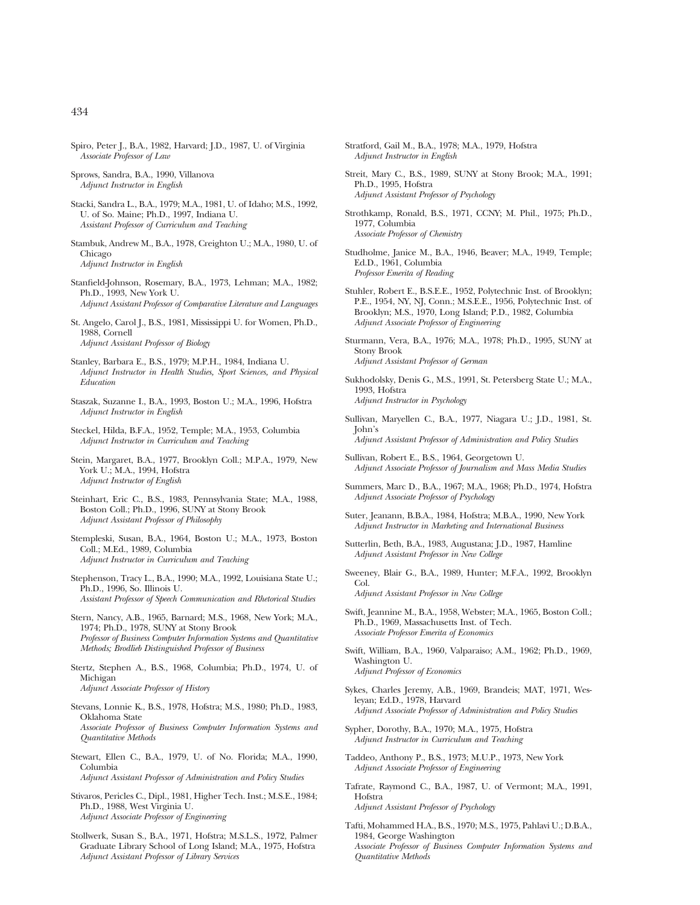Spiro, Peter J., B.A., 1982, Harvard; J.D., 1987, U. of Virginia *Associate Professor of Law*

Sprows, Sandra, B.A., 1990, Villanova *Adjunct Instructor in English*

- Stacki, Sandra L., B.A., 1979; M.A., 1981, U. of Idaho; M.S., 1992, U. of So. Maine; Ph.D., 1997, Indiana U. *Assistant Professor of Curriculum and Teaching*
- Stambuk, Andrew M., B.A., 1978, Creighton U.; M.A., 1980, U. of Chicago *Adjunct Instructor in English*
- Stanfield-Johnson, Rosemary, B.A., 1973, Lehman; M.A., 1982; Ph.D., 1993, New York U. *Adjunct Assistant Professor of Comparative Literature and Languages*
- St. Angelo, Carol J., B.S., 1981, Mississippi U. for Women, Ph.D., 1988, Cornell *Adjunct Assistant Professor of Biology*
- Stanley, Barbara E., B.S., 1979; M.P.H., 1984, Indiana U. *Adjunct Instructor in Health Studies, Sport Sciences, and Physical Education*
- Staszak, Suzanne I., B.A., 1993, Boston U.; M.A., 1996, Hofstra *Adjunct Instructor in English*
- Steckel, Hilda, B.F.A., 1952, Temple; M.A., 1953, Columbia *Adjunct Instructor in Curriculum and Teaching*
- Stein, Margaret, B.A., 1977, Brooklyn Coll.; M.P.A., 1979, New York U.; M.A., 1994, Hofstra *Adjunct Instructor of English*
- Steinhart, Eric C., B.S., 1983, Pennsylvania State; M.A., 1988, Boston Coll.; Ph.D., 1996, SUNY at Stony Brook *Adjunct Assistant Professor of Philosophy*
- Stempleski, Susan, B.A., 1964, Boston U.; M.A., 1973, Boston Coll.; M.Ed., 1989, Columbia *Adjunct Instructor in Curriculum and Teaching*
- Stephenson, Tracy L., B.A., 1990; M.A., 1992, Louisiana State U.; Ph.D., 1996, So. Illinois U. *Assistant Professor of Speech Communication and Rhetorical Studies*
- Stern, Nancy, A.B., 1965, Barnard; M.S., 1968, New York; M.A., 1974; Ph.D., 1978, SUNY at Stony Brook *Professor of Business Computer Information Systems and Quantitative Methods; Brodlieb Distinguished Professor of Business*
- Stertz, Stephen A., B.S., 1968, Columbia; Ph.D., 1974, U. of Michigan *Adjunct Associate Professor of History*
- Stevans, Lonnie K., B.S., 1978, Hofstra; M.S., 1980; Ph.D., 1983, Oklahoma State *Associate Professor of Business Computer Information Systems and Quantitative Methods*
- Stewart, Ellen C., B.A., 1979, U. of No. Florida; M.A., 1990, Columbia

*Adjunct Assistant Professor of Administration and Policy Studies*

Stivaros, Pericles C., Dipl., 1981, Higher Tech. Inst.; M.S.E., 1984; Ph.D., 1988, West Virginia U. *Adjunct Associate Professor of Engineering*

Stollwerk, Susan S., B.A., 1971, Hofstra; M.S.L.S., 1972, Palmer Graduate Library School of Long Island; M.A., 1975, Hofstra *Adjunct Assistant Professor of Library Services*

- Stratford, Gail M., B.A., 1978; M.A., 1979, Hofstra *Adjunct Instructor in English*
- Streit, Mary C., B.S., 1989, SUNY at Stony Brook; M.A., 1991; Ph.D., 1995, Hofstra *Adjunct Assistant Professor of Psychology*
- Strothkamp, Ronald, B.S., 1971, CCNY; M. Phil., 1975; Ph.D., 1977, Columbia *Associate Professor of Chemistry*
- Studholme, Janice M., B.A., 1946, Beaver; M.A., 1949, Temple; Ed.D., 1961, Columbia *Professor Emerita of Reading*
- Stuhler, Robert E., B.S.E.E., 1952, Polytechnic Inst. of Brooklyn; P.E., 1954, NY, NJ, Conn.; M.S.E.E., 1956, Polytechnic Inst. of Brooklyn; M.S., 1970, Long Island; P.D., 1982, Columbia *Adjunct Associate Professor of Engineering*
- Sturmann, Vera, B.A., 1976; M.A., 1978; Ph.D., 1995, SUNY at Stony Brook *Adjunct Assistant Professor of German*
- Sukhodolsky, Denis G., M.S., 1991, St. Petersberg State U.; M.A., 1993, Hofstra *Adjunct Instructor in Psychology*
- Sullivan, Maryellen C., B.A., 1977, Niagara U.; J.D., 1981, St. John's *Adjunct Assistant Professor of Administration and Policy Studies*
- Sullivan, Robert E., B.S., 1964, Georgetown U.
- *Adjunct Associate Professor of Journalism and Mass Media Studies*
- Summers, Marc D., B.A., 1967; M.A., 1968; Ph.D., 1974, Hofstra *Adjunct Associate Professor of Psychology*
- Suter, Jeanann, B.B.A., 1984, Hofstra; M.B.A., 1990, New York *Adjunct Instructor in Marketing and International Business*
- Sutterlin, Beth, B.A., 1983, Augustana; J.D., 1987, Hamline *Adjunct Assistant Professor in New College*
- Sweeney, Blair G., B.A., 1989, Hunter; M.F.A., 1992, Brooklyn Col.

*Adjunct Assistant Professor in New College*

- Swift, Jeannine M., B.A., 1958, Webster; M.A., 1965, Boston Coll.; Ph.D., 1969, Massachusetts Inst. of Tech. *Associate Professor Emerita of Economics*
- Swift, William, B.A., 1960, Valparaiso; A.M., 1962; Ph.D., 1969, Washington U. *Adjunct Professor of Economics*
- Sykes, Charles Jeremy, A.B., 1969, Brandeis; MAT, 1971, Wesleyan; Ed.D., 1978, Harvard *Adjunct Associate Professor of Administration and Policy Studies*
- Sypher, Dorothy, B.A., 1970; M.A., 1975, Hofstra *Adjunct Instructor in Curriculum and Teaching*
- Taddeo, Anthony P., B.S., 1973; M.U.P., 1973, New York *Adjunct Associate Professor of Engineering*
- Tafrate, Raymond C., B.A., 1987, U. of Vermont; M.A., 1991, Hofstra *Adjunct Assistant Professor of Psychology*
- Tafti, Mohammed H.A., B.S., 1970; M.S., 1975, Pahlavi U.; D.B.A., 1984, George Washington *Associate Professor of Business Computer Information Systems and Quantitative Methods*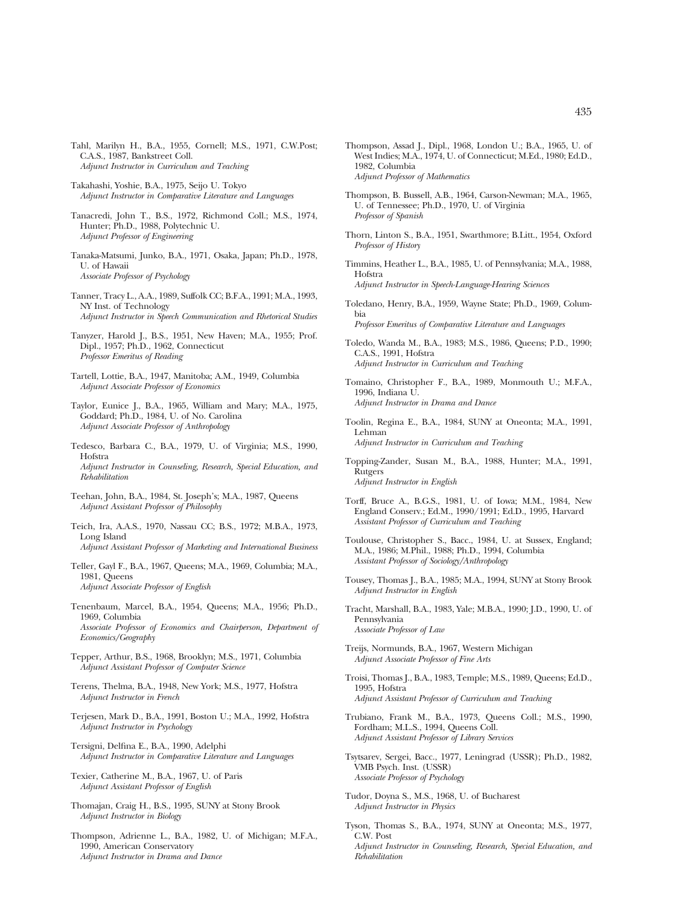- Tahl, Marilyn H., B.A., 1955, Cornell; M.S., 1971, C.W.Post; C.A.S., 1987, Bankstreet Coll. *Adjunct Instructor in Curriculum and Teaching*
- Takahashi, Yoshie, B.A., 1975, Seijo U. Tokyo *Adjunct Instructor in Comparative Literature and Languages*
- Tanacredi, John T., B.S., 1972, Richmond Coll.; M.S., 1974, Hunter; Ph.D., 1988, Polytechnic U. *Adjunct Professor of Engineering*
- Tanaka-Matsumi, Junko, B.A., 1971, Osaka, Japan; Ph.D., 1978, U. of Hawaii *Associate Professor of Psychology*
- Tanner, Tracy L., A.A., 1989, Suffolk CC; B.F.A., 1991; M.A., 1993, NY Inst. of Technology *Adjunct Instructor in Speech Communication and Rhetorical Studies*
- Tanyzer, Harold J., B.S., 1951, New Haven; M.A., 1955; Prof. Dipl., 1957; Ph.D., 1962, Connecticut *Professor Emeritus of Reading*
- Tartell, Lottie, B.A., 1947, Manitoba; A.M., 1949, Columbia *Adjunct Associate Professor of Economics*
- Taylor, Eunice J., B.A., 1965, William and Mary; M.A., 1975, Goddard; Ph.D., 1984, U. of No. Carolina *Adjunct Associate Professor of Anthropology*
- Tedesco, Barbara C., B.A., 1979, U. of Virginia; M.S., 1990, Hofstra *Adjunct Instructor in Counseling, Research, Special Education, and Rehabilitation*
- Teehan, John, B.A., 1984, St. Joseph's; M.A., 1987, Queens *Adjunct Assistant Professor of Philosophy*
- Teich, Ira, A.A.S., 1970, Nassau CC; B.S., 1972; M.B.A., 1973, Long Island

*Adjunct Assistant Professor of Marketing and International Business*

- Teller, Gayl F., B.A., 1967, Queens; M.A., 1969, Columbia; M.A., 1981, Queens *Adjunct Associate Professor of English*
- Tenenbaum, Marcel, B.A., 1954, Queens; M.A., 1956; Ph.D., 1969, Columbia *Associate Professor of Economics and Chairperson, Department of*

*Economics/Geography*

- Tepper, Arthur, B.S., 1968, Brooklyn; M.S., 1971, Columbia *Adjunct Assistant Professor of Computer Science*
- Terens, Thelma, B.A., 1948, New York; M.S., 1977, Hofstra *Adjunct Instructor in French*
- Terjesen, Mark D., B.A., 1991, Boston U.; M.A., 1992, Hofstra *Adjunct Instructor in Psychology*
- Tersigni, Delfina E., B.A., 1990, Adelphi *Adjunct Instructor in Comparative Literature and Languages*
- Texier, Catherine M., B.A., 1967, U. of Paris *Adjunct Assistant Professor of English*
- Thomajan, Craig H., B.S., 1995, SUNY at Stony Brook *Adjunct Instructor in Biology*
- Thompson, Adrienne L., B.A., 1982, U. of Michigan; M.F.A., 1990, American Conservatory *Adjunct Instructor in Drama and Dance*
- Thompson, Assad J., Dipl., 1968, London U.; B.A., 1965, U. of West Indies; M.A., 1974, U. of Connecticut; M.Ed., 1980; Ed.D., 1982, Columbia *Adjunct Professor of Mathematics*
- Thompson, B. Bussell, A.B., 1964, Carson-Newman; M.A., 1965, U. of Tennessee; Ph.D., 1970, U. of Virginia *Professor of Spanish*
- Thorn, Linton S., B.A., 1951, Swarthmore; B.Litt., 1954, Oxford *Professor of History*
- Timmins, Heather L., B.A., 1985, U. of Pennsylvania; M.A., 1988, **Hofstra** *Adjunct Instructor in Speech-Language-Hearing Sciences*
- Toledano, Henry, B.A., 1959, Wayne State; Ph.D., 1969, Columbia
	- *Professor Emeritus of Comparative Literature and Languages*
- Toledo, Wanda M., B.A., 1983; M.S., 1986, Queens; P.D., 1990; C.A.S., 1991, Hofstra *Adjunct Instructor in Curriculum and Teaching*
- Tomaino, Christopher F., B.A., 1989, Monmouth U.; M.F.A., 1996, Indiana U. *Adjunct Instructor in Drama and Dance*
- Toolin, Regina E., B.A., 1984, SUNY at Oneonta; M.A., 1991, Lehman *Adjunct Instructor in Curriculum and Teaching*
- Topping-Zander, Susan M., B.A., 1988, Hunter; M.A., 1991, Rutgers

*Adjunct Instructor in English*

- Torff, Bruce A., B.G.S., 1981, U. of Iowa; M.M., 1984, New England Conserv.; Ed.M., 1990/1991; Ed.D., 1995, Harvard *Assistant Professor of Curriculum and Teaching*
- Toulouse, Christopher S., Bacc., 1984, U. at Sussex, England; M.A., 1986; M.Phil., 1988; Ph.D., 1994, Columbia *Assistant Professor of Sociology/Anthropology*
- Tousey, Thomas J., B.A., 1985; M.A., 1994, SUNY at Stony Brook *Adjunct Instructor in English*
- Tracht, Marshall, B.A., 1983, Yale; M.B.A., 1990; J.D., 1990, U. of Pennsylvania *Associate Professor of Law*
- Treijs, Normunds, B.A., 1967, Western Michigan *Adjunct Associate Professor of Fine Arts*
- Troisi, Thomas J., B.A., 1983, Temple; M.S., 1989, Queens; Ed.D., 1995, Hofstra *Adjunct Assistant Professor of Curriculum and Teaching*
- Trubiano, Frank M., B.A., 1973, Queens Coll.; M.S., 1990, Fordham; M.L.S., 1994, Queens Coll. *Adjunct Assistant Professor of Library Services*
- Tsytsarev, Sergei, Bacc., 1977, Leningrad (USSR); Ph.D., 1982, VMB Psych. Inst. (USSR) *Associate Professor of Psychology*

Tudor, Doyna S., M.S., 1968, U. of Bucharest *Adjunct Instructor in Physics*

Tyson, Thomas S., B.A., 1974, SUNY at Oneonta; M.S., 1977, C.W. Post

*Adjunct Instructor in Counseling, Research, Special Education, and Rehabilitation*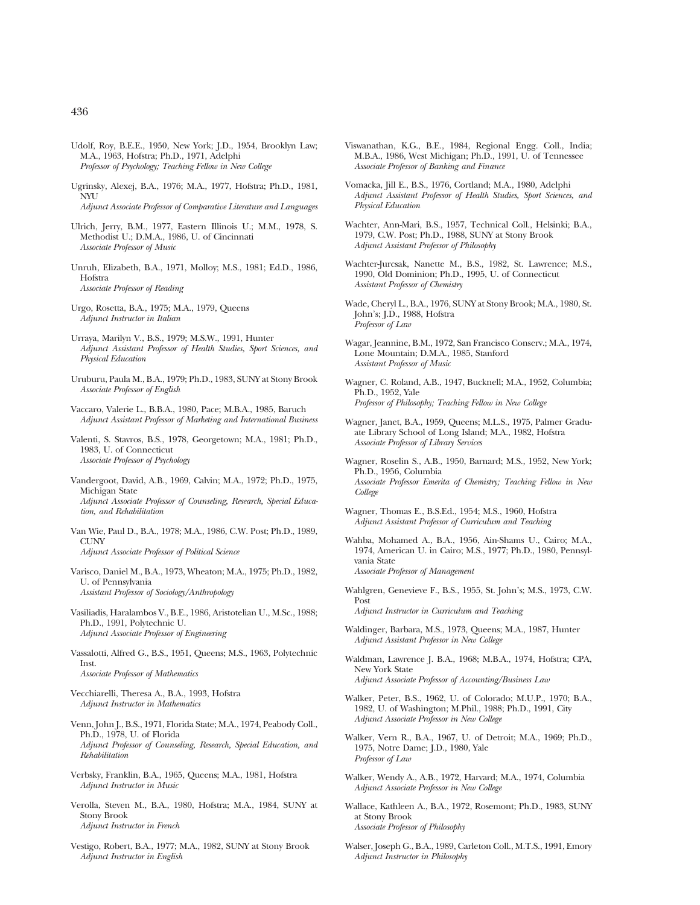- Udolf, Roy, B.E.E., 1950, New York; J.D., 1954, Brooklyn Law; M.A., 1963, Hofstra; Ph.D., 1971, Adelphi *Professor of Psychology; Teaching Fellow in New College*
- Ugrinsky, Alexej, B.A., 1976; M.A., 1977, Hofstra; Ph.D., 1981, NYU

*Adjunct Associate Professor of Comparative Literature and Languages*

- Ulrich, Jerry, B.M., 1977, Eastern Illinois U.; M.M., 1978, S. Methodist U.; D.M.A., 1986, U. of Cincinnati *Associate Professor of Music*
- Unruh, Elizabeth, B.A., 1971, Molloy; M.S., 1981; Ed.D., 1986, Hofstra *Associate Professor of Reading*
- Urgo, Rosetta, B.A., 1975; M.A., 1979, Queens *Adjunct Instructor in Italian*
- Urraya, Marilyn V., B.S., 1979; M.S.W., 1991, Hunter *Adjunct Assistant Professor of Health Studies, Sport Sciences, and Physical Education*
- Uruburu, Paula M., B.A., 1979; Ph.D., 1983, SUNY at Stony Brook *Associate Professor of English*
- Vaccaro, Valerie L., B.B.A., 1980, Pace; M.B.A., 1985, Baruch *Adjunct Assistant Professor of Marketing and International Business*
- Valenti, S. Stavros, B.S., 1978, Georgetown; M.A., 1981; Ph.D., 1983, U. of Connecticut *Associate Professor of Psychology*
- Vandergoot, David, A.B., 1969, Calvin; M.A., 1972; Ph.D., 1975, Michigan State *Adjunct Associate Professor of Counseling, Research, Special Education, and Rehabilitation*
- Van Wie, Paul D., B.A., 1978; M.A., 1986, C.W. Post; Ph.D., 1989, CUNY *Adjunct Associate Professor of Political Science*
- Varisco, Daniel M., B.A., 1973, Wheaton; M.A., 1975; Ph.D., 1982, U. of Pennsylvania *Assistant Professor of Sociology/Anthropology*
- Vasiliadis, Haralambos V., B.E., 1986, Aristotelian U., M.Sc., 1988; Ph.D., 1991, Polytechnic U. *Adjunct Associate Professor of Engineering*
- Vassalotti, Alfred G., B.S., 1951, Queens; M.S., 1963, Polytechnic Inst. *Associate Professor of Mathematics*
- Vecchiarelli, Theresa A., B.A., 1993, Hofstra *Adjunct Instructor in Mathematics*
- Venn, John J., B.S., 1971, Florida State; M.A., 1974, Peabody Coll., Ph.D., 1978, U. of Florida *Adjunct Professor of Counseling, Research, Special Education, and Rehabilitation*
- Verbsky, Franklin, B.A., 1965, Queens; M.A., 1981, Hofstra *Adjunct Instructor in Music*
- Verolla, Steven M., B.A., 1980, Hofstra; M.A., 1984, SUNY at Stony Brook *Adjunct Instructor in French*
- Vestigo, Robert, B.A., 1977; M.A., 1982, SUNY at Stony Brook *Adjunct Instructor in English*
- Viswanathan, K.G., B.E., 1984, Regional Engg. Coll., India; M.B.A., 1986, West Michigan; Ph.D., 1991, U. of Tennessee *Associate Professor of Banking and Finance*
- Vomacka, Jill E., B.S., 1976, Cortland; M.A., 1980, Adelphi *Adjunct Assistant Professor of Health Studies, Sport Sciences, and Physical Education*
- Wachter, Ann-Mari, B.S., 1957, Technical Coll., Helsinki; B.A., 1979, C.W. Post; Ph.D., 1988, SUNY at Stony Brook *Adjunct Assistant Professor of Philosophy*
- Wachter-Jurcsak, Nanette M., B.S., 1982, St. Lawrence; M.S., 1990, Old Dominion; Ph.D., 1995, U. of Connecticut *Assistant Professor of Chemistry*
- Wade, Cheryl L., B.A., 1976, SUNY at Stony Brook; M.A., 1980, St. John's; J.D., 1988, Hofstra *Professor of Law*
- Wagar, Jeannine, B.M., 1972, San Francisco Conserv.; M.A., 1974, Lone Mountain; D.M.A., 1985, Stanford *Assistant Professor of Music*
- Wagner, C. Roland, A.B., 1947, Bucknell; M.A., 1952, Columbia; Ph.D., 1952, Yale *Professor of Philosophy; Teaching Fellow in New College*
- Wagner, Janet, B.A., 1959, Queens; M.L.S., 1975, Palmer Graduate Library School of Long Island; M.A., 1982, Hofstra *Associate Professor of Library Services*
- Wagner, Roselin S., A.B., 1950, Barnard; M.S., 1952, New York; Ph.D., 1956, Columbia *Associate Professor Emerita of Chemistry; Teaching Fellow in New College*
- Wagner, Thomas E., B.S.Ed., 1954; M.S., 1960, Hofstra *Adjunct Assistant Professor of Curriculum and Teaching*
- Wahba, Mohamed A., B.A., 1956, Ain-Shams U., Cairo; M.A., 1974, American U. in Cairo; M.S., 1977; Ph.D., 1980, Pennsylvania State *Associate Professor of Management*
- Wahlgren, Genevieve F., B.S., 1955, St. John's; M.S., 1973, C.W. Post

*Adjunct Instructor in Curriculum and Teaching*

- Waldinger, Barbara, M.S., 1973, Queens; M.A., 1987, Hunter *Adjunct Assistant Professor in New College*
- Waldman, Lawrence J. B.A., 1968; M.B.A., 1974, Hofstra; CPA, New York State *Adjunct Associate Professor of Accounting/Business Law*
- Walker, Peter, B.S., 1962, U. of Colorado; M.U.P., 1970; B.A., 1982, U. of Washington; M.Phil., 1988; Ph.D., 1991, City *Adjunct Associate Professor in New College*
- Walker, Vern R., B.A., 1967, U. of Detroit; M.A., 1969; Ph.D., 1975, Notre Dame; J.D., 1980, Yale *Professor of Law*
- Walker, Wendy A., A.B., 1972, Harvard; M.A., 1974, Columbia *Adjunct Associate Professor in New College*
- Wallace, Kathleen A., B.A., 1972, Rosemont; Ph.D., 1983, SUNY at Stony Brook *Associate Professor of Philosophy*
- Walser, Joseph G., B.A., 1989, Carleton Coll., M.T.S., 1991, Emory *Adjunct Instructor in Philosophy*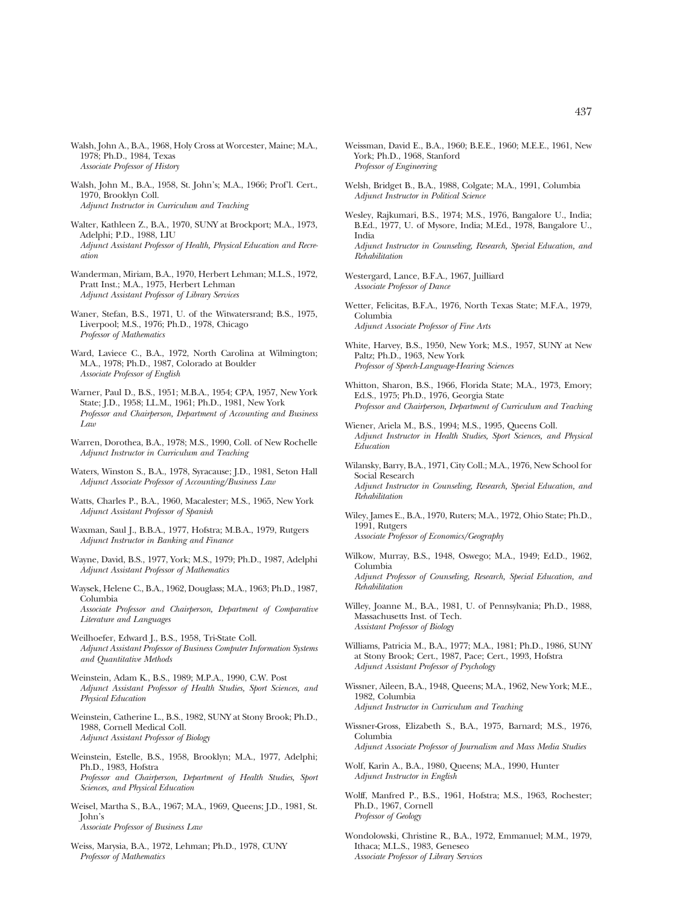- Walsh, John A., B.A., 1968, Holy Cross at Worcester, Maine; M.A., 1978; Ph.D., 1984, Texas *Associate Professor of History*
- Walsh, John M., B.A., 1958, St. John's; M.A., 1966; Prof'l. Cert., 1970, Brooklyn Coll. *Adjunct Instructor in Curriculum and Teaching*
- Walter, Kathleen Z., B.A., 1970, SUNY at Brockport; M.A., 1973, Adelphi; P.D., 1988, LIU *Adjunct Assistant Professor of Health, Physical Education and Recreation*
- Wanderman, Miriam, B.A., 1970, Herbert Lehman; M.L.S., 1972, Pratt Inst.; M.A., 1975, Herbert Lehman *Adjunct Assistant Professor of Library Services*
- Waner, Stefan, B.S., 1971, U. of the Witwatersrand; B.S., 1975, Liverpool; M.S., 1976; Ph.D., 1978, Chicago *Professor of Mathematics*
- Ward, Laviece C., B.A., 1972, North Carolina at Wilmington; M.A., 1978; Ph.D., 1987, Colorado at Boulder *Associate Professor of English*
- Warner, Paul D., B.S., 1951; M.B.A., 1954; CPA, 1957, New York State; J.D., 1958; LL.M., 1961; Ph.D., 1981, New York *Professor and Chairperson, Department of Accounting and Business Law*
- Warren, Dorothea, B.A., 1978; M.S., 1990, Coll. of New Rochelle *Adjunct Instructor in Curriculum and Teaching*
- Waters, Winston S., B.A., 1978, Syracause; J.D., 1981, Seton Hall *Adjunct Associate Professor of Accounting/Business Law*
- Watts, Charles P., B.A., 1960, Macalester; M.S., 1965, New York *Adjunct Assistant Professor of Spanish*
- Waxman, Saul J., B.B.A., 1977, Hofstra; M.B.A., 1979, Rutgers *Adjunct Instructor in Banking and Finance*
- Wayne, David, B.S., 1977, York; M.S., 1979; Ph.D., 1987, Adelphi *Adjunct Assistant Professor of Mathematics*
- Waysek, Helene C., B.A., 1962, Douglass; M.A., 1963; Ph.D., 1987, Columbia *Associate Professor and Chairperson, Department of Comparative Literature and Languages*
- Weilhoefer, Edward J., B.S., 1958, Tri-State Coll. *Adjunct Assistant Professor of Business Computer Information Systems and Quantitative Methods*
- Weinstein, Adam K., B.S., 1989; M.P.A., 1990, C.W. Post *Adjunct Assistant Professor of Health Studies, Sport Sciences, and Physical Education*
- Weinstein, Catherine L., B.S., 1982, SUNY at Stony Brook; Ph.D., 1988, Cornell Medical Coll. *Adjunct Assistant Professor of Biology*
- Weinstein, Estelle, B.S., 1958, Brooklyn; M.A., 1977, Adelphi; Ph.D., 1983, Hofstra *Professor and Chairperson, Department of Health Studies, Sport Sciences, and Physical Education*
- Weisel, Martha S., B.A., 1967; M.A., 1969, Queens; J.D., 1981, St. John's *Associate Professor of Business Law*
- Weiss, Marysia, B.A., 1972, Lehman; Ph.D., 1978, CUNY *Professor of Mathematics*
- Weissman, David E., B.A., 1960; B.E.E., 1960; M.E.E., 1961, New York; Ph.D., 1968, Stanford *Professor of Engineering*
- Welsh, Bridget B., B.A., 1988, Colgate; M.A., 1991, Columbia *Adjunct Instructor in Political Science*
- Wesley, Rajkumari, B.S., 1974; M.S., 1976, Bangalore U., India; B.Ed., 1977, U. of Mysore, India; M.Ed., 1978, Bangalore U., India *Adjunct Instructor in Counseling, Research, Special Education, and Rehabilitation*
- Westergard, Lance, B.F.A., 1967, Juilliard *Associate Professor of Dance*
- Wetter, Felicitas, B.F.A., 1976, North Texas State; M.F.A., 1979, Columbia *Adjunct Associate Professor of Fine Arts*
- White, Harvey, B.S., 1950, New York; M.S., 1957, SUNY at New Paltz; Ph.D., 1963, New York *Professor of Speech-Language-Hearing Sciences*
- Whitton, Sharon, B.S., 1966, Florida State; M.A., 1973, Emory; Ed.S., 1975; Ph.D., 1976, Georgia State *Professor and Chairperson, Department of Curriculum and Teaching*
- Wiener, Ariela M., B.S., 1994; M.S., 1995, Queens Coll. *Adjunct Instructor in Health Studies, Sport Sciences, and Physical Education*
- Wilansky, Barry, B.A., 1971, City Coll.; M.A., 1976, New School for Social Research *Adjunct Instructor in Counseling, Research, Special Education, and Rehabilitation*
- Wiley, James E., B.A., 1970, Ruters; M.A., 1972, Ohio State; Ph.D., 1991, Rutgers *Associate Professor of Economics/Geography*
- Wilkow, Murray, B.S., 1948, Oswego; M.A., 1949; Ed.D., 1962, Columbia *Adjunct Professor of Counseling, Research, Special Education, and Rehabilitation*
- Willey, Joanne M., B.A., 1981, U. of Pennsylvania; Ph.D., 1988, Massachusetts Inst. of Tech. *Assistant Professor of Biology*
- Williams, Patricia M., B.A., 1977; M.A., 1981; Ph.D., 1986, SUNY at Stony Brook; Cert., 1987, Pace; Cert., 1993, Hofstra *Adjunct Assistant Professor of Psychology*
- Wissner, Aileen, B.A., 1948, Queens; M.A., 1962, New York; M.E., 1982, Columbia *Adjunct Instructor in Curriculum and Teaching*
- Wissner-Gross, Elizabeth S., B.A., 1975, Barnard; M.S., 1976, Columbia *Adjunct Associate Professor of Journalism and Mass Media Studies*
- Wolf, Karin A., B.A., 1980, Queens; M.A., 1990, Hunter *Adjunct Instructor in English*
- Wolff, Manfred P., B.S., 1961, Hofstra; M.S., 1963, Rochester; Ph.D., 1967, Cornell *Professor of Geology*
- Wondolowski, Christine R., B.A., 1972, Emmanuel; M.M., 1979, Ithaca; M.L.S., 1983, Geneseo *Associate Professor of Library Services*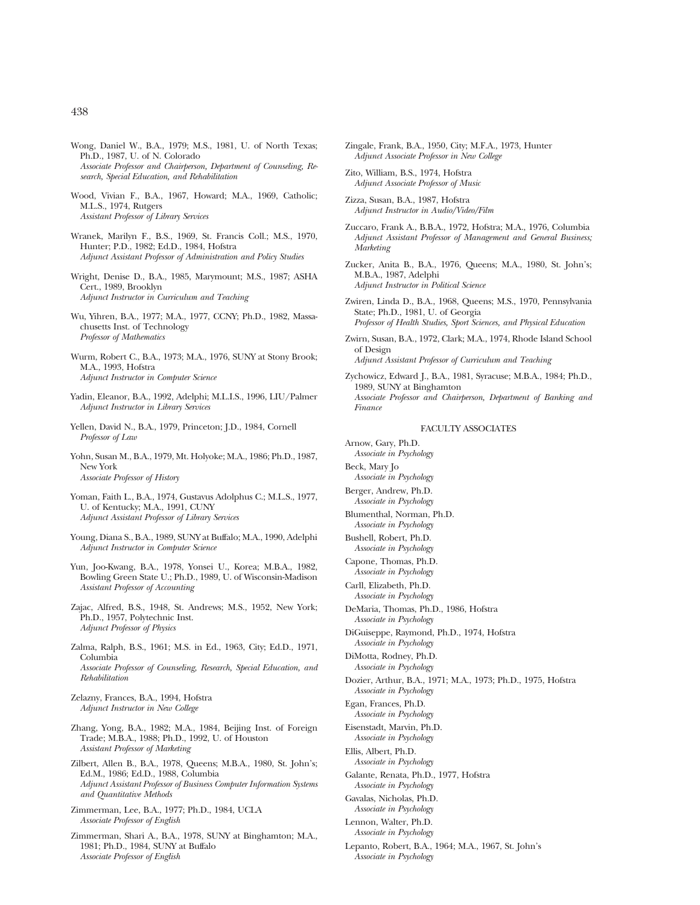- Wong, Daniel W., B.A., 1979; M.S., 1981, U. of North Texas; Ph.D., 1987, U. of N. Colorado *Associate Professor and Chairperson, Department of Counseling, Research, Special Education, and Rehabilitation*
- Wood, Vivian F., B.A., 1967, Howard; M.A., 1969, Catholic; M.L.S., 1974, Rutgers *Assistant Professor of Library Services*
- Wranek, Marilyn F., B.S., 1969, St. Francis Coll.; M.S., 1970, Hunter; P.D., 1982; Ed.D., 1984, Hofstra *Adjunct Assistant Professor of Administration and Policy Studies*
- Wright, Denise D., B.A., 1985, Marymount; M.S., 1987; ASHA Cert., 1989, Brooklyn *Adjunct Instructor in Curriculum and Teaching*
- Wu, Yihren, B.A., 1977; M.A., 1977, CCNY; Ph.D., 1982, Massachusetts Inst. of Technology *Professor of Mathematics*
- Wurm, Robert C., B.A., 1973; M.A., 1976, SUNY at Stony Brook; M.A., 1993, Hofstra *Adjunct Instructor in Computer Science*
- Yadin, Eleanor, B.A., 1992, Adelphi; M.L.I.S., 1996, LIU/Palmer *Adjunct Instructor in Library Services*
- Yellen, David N., B.A., 1979, Princeton; J.D., 1984, Cornell *Professor of Law*
- Yohn, Susan M., B.A., 1979, Mt. Holyoke; M.A., 1986; Ph.D., 1987, New York *Associate Professor of History*
- Yoman, Faith L., B.A., 1974, Gustavus Adolphus C.; M.L.S., 1977, U. of Kentucky; M.A., 1991, CUNY *Adjunct Assistant Professor of Library Services*
- Young, Diana S., B.A., 1989, SUNY at Buffalo; M.A., 1990, Adelphi *Adjunct Instructor in Computer Science*
- Yun, Joo-Kwang, B.A., 1978, Yonsei U., Korea; M.B.A., 1982, Bowling Green State U.; Ph.D., 1989, U. of Wisconsin-Madison *Assistant Professor of Accounting*
- Zajac, Alfred, B.S., 1948, St. Andrews; M.S., 1952, New York; Ph.D., 1957, Polytechnic Inst. *Adjunct Professor of Physics*
- Zalma, Ralph, B.S., 1961; M.S. in Ed., 1963, City; Ed.D., 1971, Columbia *Associate Professor of Counseling, Research, Special Education, and Rehabilitation*
- Zelazny, Frances, B.A., 1994, Hofstra *Adjunct Instructor in New College*
- Zhang, Yong, B.A., 1982; M.A., 1984, Beijing Inst. of Foreign Trade; M.B.A., 1988; Ph.D., 1992, U. of Houston *Assistant Professor of Marketing*
- Zilbert, Allen B., B.A., 1978, Queens; M.B.A., 1980, St. John's; Ed.M., 1986; Ed.D., 1988, Columbia *Adjunct Assistant Professor of Business Computer Information Systems and Quantitative Methods*
- Zimmerman, Lee, B.A., 1977; Ph.D., 1984, UCLA *Associate Professor of English*
- Zimmerman, Shari A., B.A., 1978, SUNY at Binghamton; M.A., 1981; Ph.D., 1984, SUNY at Buffalo *Associate Professor of English*
- Zingale, Frank, B.A., 1950, City; M.F.A., 1973, Hunter *Adjunct Associate Professor in New College*
- Zito, William, B.S., 1974, Hofstra *Adjunct Associate Professor of Music*
- Zizza, Susan, B.A., 1987, Hofstra *Adjunct Instructor in Audio/Video/Film*
- Zuccaro, Frank A., B.B.A., 1972, Hofstra; M.A., 1976, Columbia *Adjunct Assistant Professor of Management and General Business; Marketing*
- Zucker, Anita B., B.A., 1976, Queens; M.A., 1980, St. John's; M.B.A., 1987, Adelphi *Adjunct Instructor in Political Science*
- Zwiren, Linda D., B.A., 1968, Queens; M.S., 1970, Pennsylvania State; Ph.D., 1981, U. of Georgia *Professor of Health Studies, Sport Sciences, and Physical Education*
- Zwirn, Susan, B.A., 1972, Clark; M.A., 1974, Rhode Island School of Design
	- *Adjunct Assistant Professor of Curriculum and Teaching*
- Zychowicz, Edward J., B.A., 1981, Syracuse; M.B.A., 1984; Ph.D., 1989, SUNY at Binghamton *Associate Professor and Chairperson, Department of Banking and Finance*

## FACULTY ASSOCIATES

Arnow, Gary, Ph.D. *Associate in Psychology* Beck, Mary Jo *Associate in Psychology* Berger, Andrew, Ph.D. *Associate in Psychology* Blumenthal, Norman, Ph.D. *Associate in Psychology* Bushell, Robert, Ph.D. *Associate in Psychology* Capone, Thomas, Ph.D. *Associate in Psychology* Carll, Elizabeth, Ph.D. *Associate in Psychology* DeMaria, Thomas, Ph.D., 1986, Hofstra *Associate in Psychology* DiGuiseppe, Raymond, Ph.D., 1974, Hofstra *Associate in Psychology* DiMotta, Rodney, Ph.D. *Associate in Psychology* Dozier, Arthur, B.A., 1971; M.A., 1973; Ph.D., 1975, Hofstra *Associate in Psychology* Egan, Frances, Ph.D. *Associate in Psychology* Eisenstadt, Marvin, Ph.D. *Associate in Psychology* Ellis, Albert, Ph.D. *Associate in Psychology* Galante, Renata, Ph.D., 1977, Hofstra *Associate in Psychology* Gavalas, Nicholas, Ph.D. *Associate in Psychology* Lennon, Walter, Ph.D. *Associate in Psychology* Lepanto, Robert, B.A., 1964; M.A., 1967, St. John's *Associate in Psychology*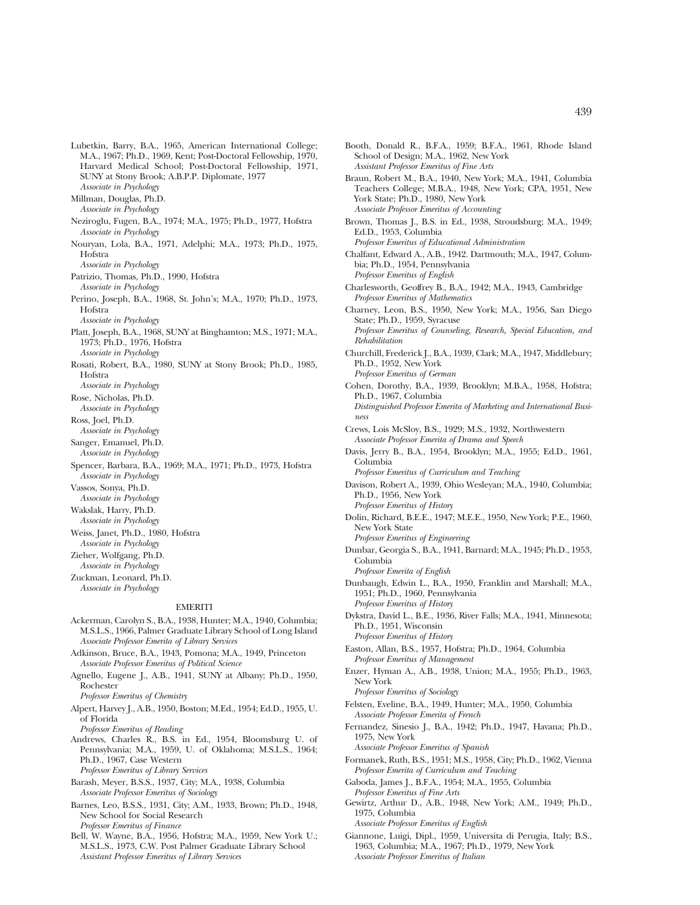Lubetkin, Barry, B.A., 1965, American International College; M.A., 1967; Ph.D., 1969, Kent; Post-Doctoral Fellowship, 1970, Harvard Medical School; Post-Doctoral Fellowship, 1971, SUNY at Stony Brook; A.B.P.P. Diplomate, 1977 *Associate in Psychology* Millman, Douglas, Ph.D. *Associate in Psychology* Neziroglu, Fugen, B.A., 1974; M.A., 1975; Ph.D., 1977, Hofstra *Associate in Psychology* Nouryan, Lola, B.A., 1971, Adelphi; M.A., 1973; Ph.D., 1975, Hofstra *Associate in Psychology* Patrizio, Thomas, Ph.D., 1990, Hofstra *Associate in Psychology* Perino, Joseph, B.A., 1968, St. John's; M.A., 1970; Ph.D., 1973, Hofstra *Associate in Psychology* Platt, Joseph, B.A., 1968, SUNY at Binghamton; M.S., 1971; M.A., 1973; Ph.D., 1976, Hofstra *Associate in Psychology* Rosati, Robert, B.A., 1980, SUNY at Stony Brook; Ph.D., 1985, Hofstra *Associate in Psychology* Rose, Nicholas, Ph.D. *Associate in Psychology* Ross, Joel, Ph.D. *Associate in Psychology* Sanger, Emanuel, Ph.D. *Associate in Psychology* Spencer, Barbara, B.A., 1969; M.A., 1971; Ph.D., 1973, Hofstra *Associate in Psychology* Vassos, Sonya, Ph.D. *Associate in Psychology* Wakslak, Harry, Ph.D. *Associate in Psychology* Weiss, Janet, Ph.D., 1980, Hofstra *Associate in Psychology* Zieher, Wolfgang, Ph.D. *Associate in Psychology* Zuckman, Leonard, Ph.D. *Associate in Psychology*

## **EMERITI**

- Ackerman, Carolyn S., B.A., 1938, Hunter; M.A., 1940, Columbia; M.S.L.S., 1966, Palmer Graduate Library School of Long Island *Associate Professor Emerita of Library Services*
- Adkinson, Bruce, B.A., 1943, Pomona; M.A., 1949, Princeton *Associate Professor Emeritus of Political Science*
- Agnello, Eugene J., A.B., 1941, SUNY at Albany; Ph.D., 1950, Rochester

*Professor Emeritus of Chemistry*

Alpert, Harvey J., A.B., 1950, Boston; M.Ed., 1954; Ed.D., 1955, U. of Florida

*Professor Emeritus of Reading*

Andrews, Charles R., B.S. in Ed., 1954, Bloomsburg U. of Pennsylvania; M.A., 1959, U. of Oklahoma; M.S.L.S., 1964; Ph.D., 1967, Case Western *Professor Emeritus of Library Services*

Barash, Meyer, B.S.S., 1937, City; M.A., 1938, Columbia *Associate Professor Emeritus of Sociology*

- Barnes, Leo, B.S.S., 1931, City; A.M., 1933, Brown; Ph.D., 1948, New School for Social Research *Professor Emeritus of Finance*
- Bell, W. Wayne, B.A., 1956, Hofstra; M.A., 1959, New York U.; M.S.L.S., 1973, C.W. Post Palmer Graduate Library School *Assistant Professor Emeritus of Library Services*
- 
- Booth, Donald R., B.F.A., 1959; B.F.A., 1961, Rhode Island School of Design; M.A., 1962, New York *Assistant Professor Emeritus of Fine Arts*
- Braun, Robert M., B.A., 1940, New York; M.A., 1941, Columbia Teachers College; M.B.A., 1948, New York; CPA, 1951, New York State; Ph.D., 1980, New York *Associate Professor Emeritus of Accounting*
- Brown, Thomas J., B.S. in Ed., 1938, Stroudsburg; M.A., 1949; Ed.D., 1953, Columbia
- *Professor Emeritus of Educational Administration*
- Chalfant, Edward A., A.B., 1942. Dartmouth; M.A., 1947, Columbia; Ph.D., 1954, Pennsylvania *Professor Emeritus of English*
- Charlesworth, Geoffrey B., B.A., 1942; M.A., 1943, Cambridge *Professor Emeritus of Mathematics*
- Charney, Leon, B.S., 1950, New York; M.A., 1956, San Diego State; Ph.D., 1959, Syracuse *Professor Emeritus of Counseling, Research, Special Education, and Rehabilitation*
- Churchill, Frederick J., B.A., 1939, Clark; M.A., 1947, Middlebury; Ph.D., 1952, New York *Professor Emeritus of German*
- Cohen, Dorothy, B.A., 1939, Brooklyn; M.B.A., 1958, Hofstra; Ph.D., 1967, Columbia
	- *Distinguished Professor Emerita of Marketing and International Business*
- Crews, Lois McSloy, B.S., 1929; M.S., 1932, Northwestern *Associate Professor Emerita of Drama and Speech*
- Davis, Jerry B., B.A., 1954, Brooklyn; M.A., 1955; Ed.D., 1961, Columbia

*Professor Emeritus of Curriculum and Teaching*

- Davison, Robert A., 1939, Ohio Wesleyan; M.A., 1940, Columbia; Ph.D., 1956, New York
- *Professor Emeritus of History* Dolin, Richard, B.E.E., 1947; M.E.E., 1950, New York; P.E., 1960, New York State

*Professor Emeritus of Engineering*

Dunbar, Georgia S., B.A., 1941, Barnard; M.A., 1945; Ph.D., 1953, Columbia

*Professor Emerita of English*

- Dunbaugh, Edwin L., B.A., 1950, Franklin and Marshall; M.A., 1951; Ph.D., 1960, Pennsylvania *Professor Emeritus of History*
- Dykstra, David L., B.E., 1936, River Falls; M.A., 1941, Minnesota; Ph.D., 1951, Wisconsin

*Professor Emeritus of History*

- Easton, Allan, B.S., 1957, Hofstra; Ph.D., 1964, Columbia *Professor Emeritus of Management*
- Enzer, Hyman A., A.B., 1938, Union; M.A., 1955; Ph.D., 1963, New York
	- *Professor Emeritus of Sociology*
- Felsten, Eveline, B.A., 1949, Hunter; M.A., 1950, Columbia *Associate Professor Emerita of French*
- Fernandez, Sinesio J., B.A., 1942; Ph.D., 1947, Havana; Ph.D., 1975, New York

*Associate Professor Emeritus of Spanish*

- Formanek, Ruth, B.S., 1951; M.S., 1958, City; Ph.D., 1962, Vienna *Professor Emerita of Curriculum and Teaching*
- Gaboda, James J., B.F.A., 1954; M.A., 1955, Columbia *Professor Emeritus of Fine Arts*
- Gewirtz, Arthur D., A.B., 1948, New York; A.M., 1949; Ph.D., 1975, Columbia

*Associate Professor Emeritus of English*

Giannone, Luigi, Dipl., 1959, Universita di Perugia, Italy; B.S., 1963, Columbia; M.A., 1967; Ph.D., 1979, New York *Associate Professor Emeritus of Italian*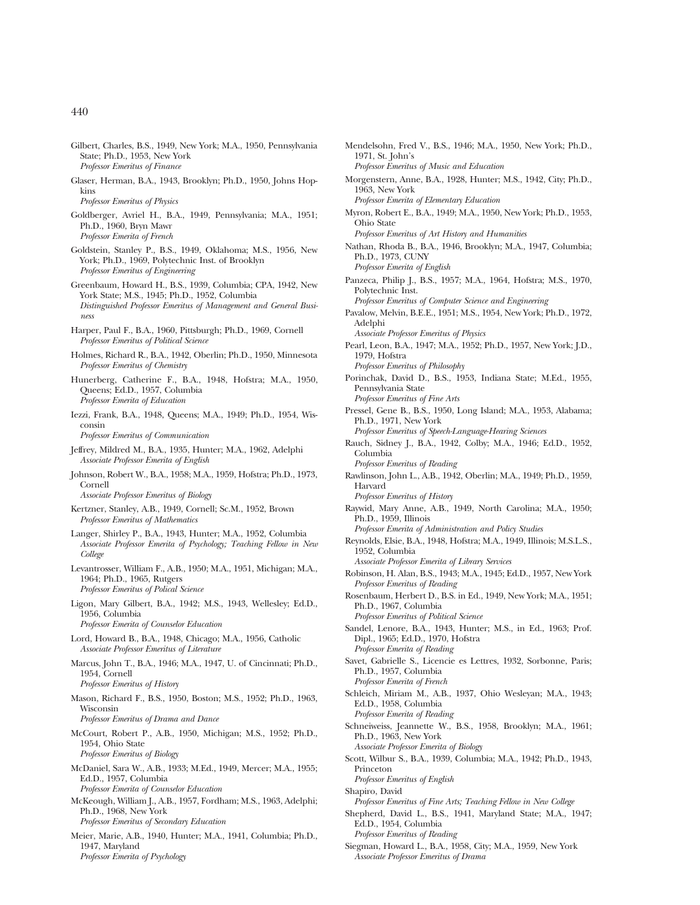- Gilbert, Charles, B.S., 1949, New York; M.A., 1950, Pennsylvania State; Ph.D., 1953, New York *Professor Emeritus of Finance*
- Glaser, Herman, B.A., 1943, Brooklyn; Ph.D., 1950, Johns Hopkins

*Professor Emeritus of Physics*

- Goldberger, Avriel H., B.A., 1949, Pennsylvania; M.A., 1951; Ph.D., 1960, Bryn Mawr *Professor Emerita of French*
- Goldstein, Stanley P., B.S., 1949, Oklahoma; M.S., 1956, New York; Ph.D., 1969, Polytechnic Inst. of Brooklyn *Professor Emeritus of Engineering*
- Greenbaum, Howard H., B.S., 1939, Columbia; CPA, 1942, New York State; M.S., 1945; Ph.D., 1952, Columbia *Distinguished Professor Emeritus of Management and General Business*
- Harper, Paul F., B.A., 1960, Pittsburgh; Ph.D., 1969, Cornell *Professor Emeritus of Political Science*
- Holmes, Richard R., B.A., 1942, Oberlin; Ph.D., 1950, Minnesota *Professor Emeritus of Chemistry*
- Hunerberg, Catherine F., B.A., 1948, Hofstra; M.A., 1950, Queens; Ed.D., 1957, Columbia *Professor Emerita of Education*
- Iezzi, Frank, B.A., 1948, Queens; M.A., 1949; Ph.D., 1954, Wisconsin
	- *Professor Emeritus of Communication*
- Jeffrey, Mildred M., B.A., 1935, Hunter; M.A., 1962, Adelphi *Associate Professor Emerita of English*
- Johnson, Robert W., B.A., 1958; M.A., 1959, Hofstra; Ph.D., 1973, Cornell

*Associate Professor Emeritus of Biology*

- Kertzner, Stanley, A.B., 1949, Cornell; Sc.M., 1952, Brown *Professor Emeritus of Mathematics*
- Langer, Shirley P., B.A., 1943, Hunter; M.A., 1952, Columbia *Associate Professor Emerita of Psychology; Teaching Fellow in New College*
- Levantrosser, William F., A.B., 1950; M.A., 1951, Michigan; M.A., 1964; Ph.D., 1965, Rutgers *Professor Emeritus of Polical Science*
- Ligon, Mary Gilbert, B.A., 1942; M.S., 1943, Wellesley; Ed.D., 1956, Columbia *Professor Emerita of Counselor Education*
- Lord, Howard B., B.A., 1948, Chicago; M.A., 1956, Catholic
- *Associate Professor Emeritus of Literature* Marcus, John T., B.A., 1946; M.A., 1947, U. of Cincinnati; Ph.D.,
- 1954, Cornell *Professor Emeritus of History*
- Mason, Richard F., B.S., 1950, Boston; M.S., 1952; Ph.D., 1963, Wisconsin
	- *Professor Emeritus of Drama and Dance*
- McCourt, Robert P., A.B., 1950, Michigan; M.S., 1952; Ph.D., 1954, Ohio State *Professor Emeritus of Biology*
- McDaniel, Sara W., A.B., 1933; M.Ed., 1949, Mercer; M.A., 1955; Ed.D., 1957, Columbia
- *Professor Emerita of Counselor Education* McKeough, William J., A.B., 1957, Fordham; M.S., 1963, Adelphi; Ph.D., 1968, New York

*Professor Emeritus of Secondary Education*

Meier, Marie, A.B., 1940, Hunter; M.A., 1941, Columbia; Ph.D., 1947, Maryland *Professor Emerita of Psychology*

- Mendelsohn, Fred V., B.S., 1946; M.A., 1950, New York; Ph.D., 1971, St. John's *Professor Emeritus of Music and Education*
- Morgenstern, Anne, B.A., 1928, Hunter; M.S., 1942, City; Ph.D., 1963, New York
	- *Professor Emerita of Elementary Education*
- Myron, Robert E., B.A., 1949; M.A., 1950, New York; Ph.D., 1953, Ohio State
- *Professor Emeritus of Art History and Humanities*
- Nathan, Rhoda B., B.A., 1946, Brooklyn; M.A., 1947, Columbia; Ph.D., 1973, CUNY
	- *Professor Emerita of English*
- Panzeca, Philip J., B.S., 1957; M.A., 1964, Hofstra; M.S., 1970, Polytechnic Inst. *Professor Emeritus of Computer Science and Engineering*
- Pavalow, Melvin, B.E.E., 1951; M.S., 1954, New York; Ph.D., 1972, Adelphi
	- *Associate Professor Emeritus of Physics*
- Pearl, Leon, B.A., 1947; M.A., 1952; Ph.D., 1957, New York; J.D., 1979, Hofstra
	- *Professor Emeritus of Philosophy*
- Porinchak, David D., B.S., 1953, Indiana State; M.Ed., 1955, Pennsylvania State *Professor Emeritus of Fine Arts*
- Pressel, Gene B., B.S., 1950, Long Island; M.A., 1953, Alabama; Ph.D., 1971, New York
- *Professor Emeritus of Speech-Language-Hearing Sciences*
- Rauch, Sidney J., B.A., 1942, Colby; M.A., 1946; Ed.D., 1952, Columbia
	- *Professor Emeritus of Reading*
- Rawlinson, John L., A.B., 1942, Oberlin; M.A., 1949; Ph.D., 1959, Harvard
	- *Professor Emeritus of History*
- Raywid, Mary Anne, A.B., 1949, North Carolina; M.A., 1950; Ph.D., 1959, Illinois
- *Professor Emerita of Administration and Policy Studies*
- Reynolds, Elsie, B.A., 1948, Hofstra; M.A., 1949, Illinois; M.S.L.S., 1952, Columbia
- *Associate Professor Emerita of Library Services* Robinson, H. Alan, B.S., 1943; M.A., 1945; Ed.D., 1957, New York
- *Professor Emeritus of Reading* Rosenbaum, Herbert D., B.S. in Ed., 1949, New York; M.A., 1951; Ph.D., 1967, Columbia

*Professor Emeritus of Political Science*

- Sandel, Lenore, B.A., 1943, Hunter; M.S., in Ed., 1963; Prof. Dipl., 1965; Ed.D., 1970, Hofstra *Professor Emerita of Reading*
- Savet, Gabrielle S., Licencie es Lettres, 1932, Sorbonne, Paris; Ph.D., 1957, Columbia
	- *Professor Emerita of French*
- Schleich, Miriam M., A.B., 1937, Ohio Wesleyan; M.A., 1943; Ed.D., 1958, Columbia
	- *Professor Emerita of Reading*
- Schneiweiss, Jeannette W., B.S., 1958, Brooklyn; M.A., 1961; Ph.D., 1963, New York
	- *Associate Professor Emerita of Biology*
- Scott, Wilbur S., B.A., 1939, Columbia; M.A., 1942; Ph.D., 1943, Princeton
	- *Professor Emeritus of English*
- Shapiro, David *Professor Emeritus of Fine Arts; Teaching Fellow in New College*
- Shepherd, David L., B.S., 1941, Maryland State; M.A., 1947; Ed.D., 1954, Columbia
	- *Professor Emeritus of Reading*
- Siegman, Howard L., B.A., 1958, City; M.A., 1959, New York *Associate Professor Emeritus of Drama*